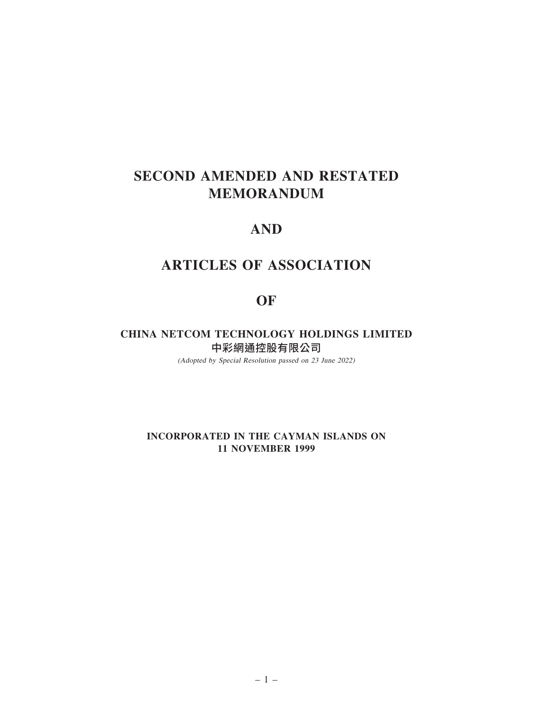# SECOND AMENDED AND RESTATED MEMORANDUM

# AND

# ARTICLES OF ASSOCIATION

# OF

CHINA NETCOM TECHNOLOGY HOLDINGS LIMITED 中彩網通控股有限公司

(Adopted by Special Resolution passed on 23 June 2022)

INCORPORATED IN THE CAYMAN ISLANDS ON 11 NOVEMBER 1999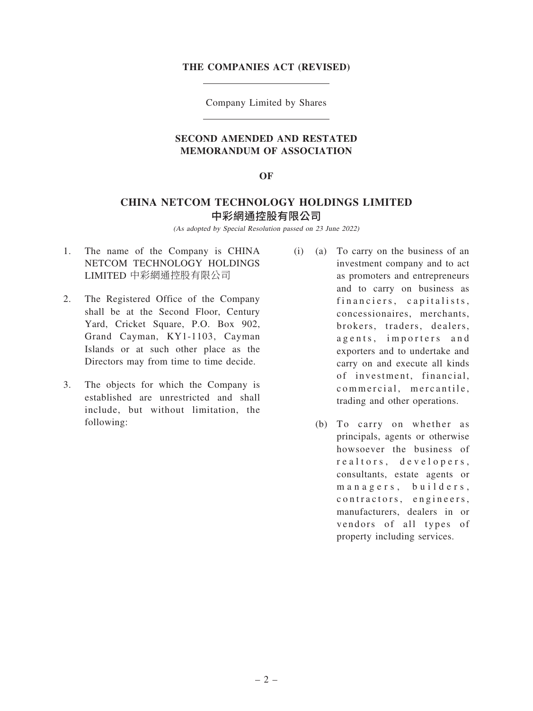#### THE COMPANIES ACT (REVISED)

Company Limited by Shares

# SECOND AMENDED AND RESTATED MEMORANDUM OF ASSOCIATION

#### OF

# CHINA NETCOM TECHNOLOGY HOLDINGS LIMITED 中彩網通控股有限公司

(As adopted by Special Resolution passed on 23 June 2022)

- 1. The name of the Company is CHINA NETCOM TECHNOLOGY HOLDINGS LIMITED 中彩網通控股有限公司
- 2. The Registered Office of the Company shall be at the Second Floor, Century Yard, Cricket Square, P.O. Box 902, Grand Cayman, KY1-1103, Cayman Islands or at such other place as the Directors may from time to time decide.
- 3. The objects for which the Company is established are unrestricted and shall include, but without limitation, the following:
- (i) (a) To carry on the business of an investment company and to act as promoters and entrepreneurs and to carry on business as financiers, capitalists, concessionaires, merchants, brokers, traders, dealers, agents, importers and exporters and to undertake and carry on and execute all kinds of investment, financial, commercial, mercantile, trading and other operations.
	- (b) To carry on whether as principals, agents or otherwise howsoever the business of realtors, developers, consultants, estate agents or managers, builders, contractors, engineers, manufacturers, dealers in or vendors of all types of property including services.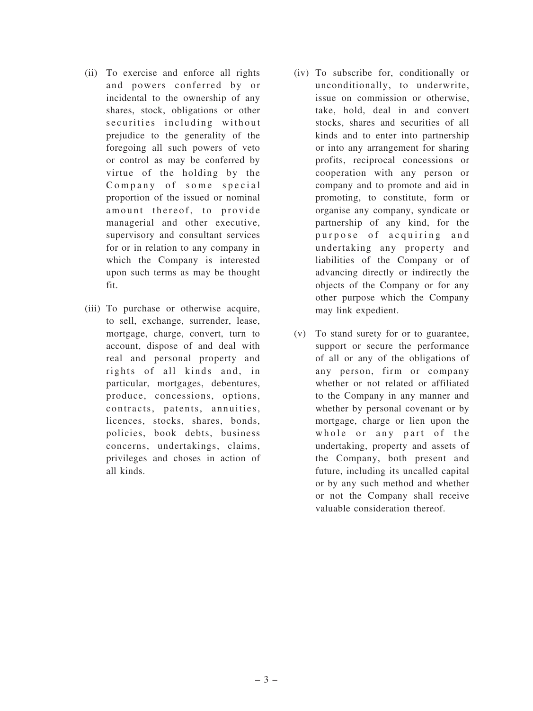- (ii) To exercise and enforce all rights and powers conferred by or incidental to the ownership of any shares, stock, obligations or other securities including without prejudice to the generality of the foregoing all such powers of veto or control as may be conferred by virtue of the holding by the Company of some special proportion of the issued or nominal amount thereof, to provide managerial and other executive, supervisory and consultant services for or in relation to any company in which the Company is interested upon such terms as may be thought fit.
- (iii) To purchase or otherwise acquire, to sell, exchange, surrender, lease, mortgage, charge, convert, turn to account, dispose of and deal with real and personal property and rights of all kinds and, in particular, mortgages, debentures, produce, concessions, options, contracts, patents, annuities, licences, stocks, shares, bonds, policies, book debts, business concerns, undertakings, claims, privileges and choses in action of all kinds.
- (iv) To subscribe for, conditionally or unconditionally, to underwrite, issue on commission or otherwise, take, hold, deal in and convert stocks, shares and securities of all kinds and to enter into partnership or into any arrangement for sharing profits, reciprocal concessions or cooperation with any person or company and to promote and aid in promoting, to constitute, form or organise any company, syndicate or partnership of any kind, for the purpose of acquiring and undertaking any property and liabilities of the Company or of advancing directly or indirectly the objects of the Company or for any other purpose which the Company may link expedient.
- (v) To stand surety for or to guarantee, support or secure the performance of all or any of the obligations of any person, firm or company whether or not related or affiliated to the Company in any manner and whether by personal covenant or by mortgage, charge or lien upon the whole or any part of the undertaking, property and assets of the Company, both present and future, including its uncalled capital or by any such method and whether or not the Company shall receive valuable consideration thereof.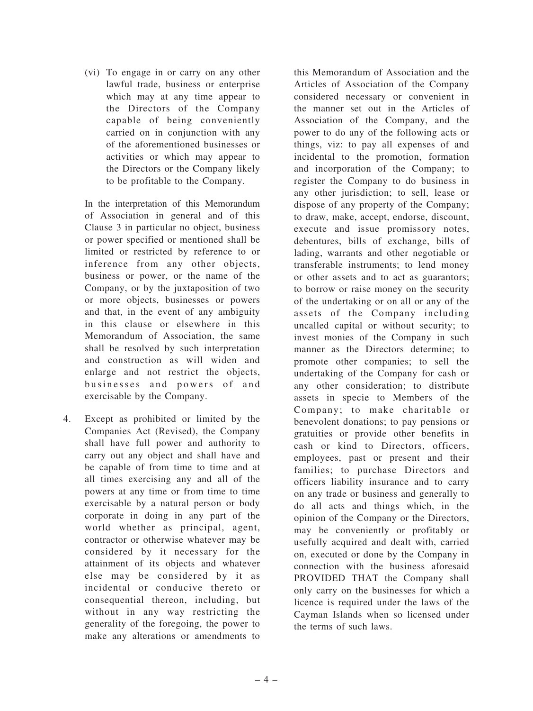(vi) To engage in or carry on any other lawful trade, business or enterprise which may at any time appear to the Directors of the Company capable of being conveniently carried on in conjunction with any of the aforementioned businesses or activities or which may appear to the Directors or the Company likely to be profitable to the Company.

In the interpretation of this Memorandum of Association in general and of this Clause 3 in particular no object, business or power specified or mentioned shall be limited or restricted by reference to or inference from any other objects, business or power, or the name of the Company, or by the juxtaposition of two or more objects, businesses or powers and that, in the event of any ambiguity in this clause or elsewhere in this Memorandum of Association, the same shall be resolved by such interpretation and construction as will widen and enlarge and not restrict the objects, businesses and powers of and exercisable by the Company.

4. Except as prohibited or limited by the Companies Act (Revised), the Company shall have full power and authority to carry out any object and shall have and be capable of from time to time and at all times exercising any and all of the powers at any time or from time to time exercisable by a natural person or body corporate in doing in any part of the world whether as principal, agent, contractor or otherwise whatever may be considered by it necessary for the attainment of its objects and whatever else may be considered by it as incidental or conducive thereto or consequential thereon, including, but without in any way restricting the generality of the foregoing, the power to make any alterations or amendments to

this Memorandum of Association and the Articles of Association of the Company considered necessary or convenient in the manner set out in the Articles of Association of the Company, and the power to do any of the following acts or things, viz: to pay all expenses of and incidental to the promotion, formation and incorporation of the Company; to register the Company to do business in any other jurisdiction; to sell, lease or dispose of any property of the Company; to draw, make, accept, endorse, discount, execute and issue promissory notes, debentures, bills of exchange, bills of lading, warrants and other negotiable or transferable instruments; to lend money or other assets and to act as guarantors; to borrow or raise money on the security of the undertaking or on all or any of the assets of the Company including uncalled capital or without security; to invest monies of the Company in such manner as the Directors determine; to promote other companies; to sell the undertaking of the Company for cash or any other consideration; to distribute assets in specie to Members of the Company; to make charitable or benevolent donations; to pay pensions or gratuities or provide other benefits in cash or kind to Directors, officers, employees, past or present and their families; to purchase Directors and officers liability insurance and to carry on any trade or business and generally to do all acts and things which, in the opinion of the Company or the Directors, may be conveniently or profitably or usefully acquired and dealt with, carried on, executed or done by the Company in connection with the business aforesaid PROVIDED THAT the Company shall only carry on the businesses for which a licence is required under the laws of the Cayman Islands when so licensed under the terms of such laws.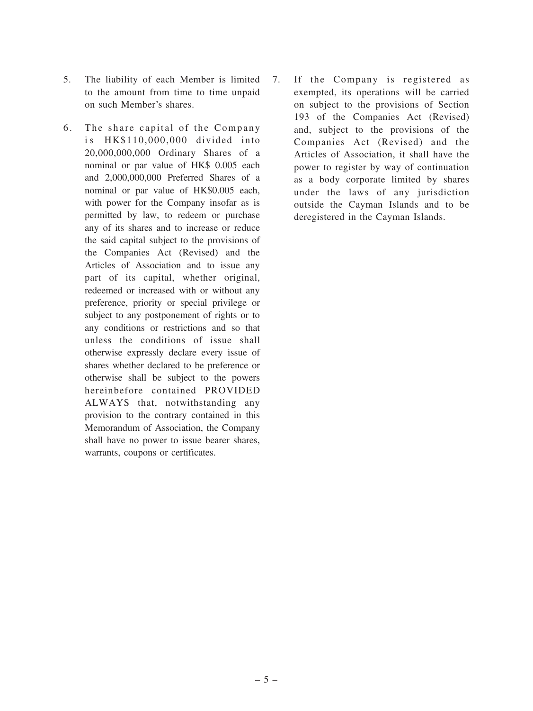- 5. The liability of each Member is limited to the amount from time to time unpaid on such Member's shares.
- 6. The share capital of the Company is HK\$110,000,000 divided into 20,000,000,000 Ordinary Shares of a nominal or par value of HK\$ 0.005 each and 2,000,000,000 Preferred Shares of a nominal or par value of HK\$0.005 each, with power for the Company insofar as is permitted by law, to redeem or purchase any of its shares and to increase or reduce the said capital subject to the provisions of the Companies Act (Revised) and the Articles of Association and to issue any part of its capital, whether original, redeemed or increased with or without any preference, priority or special privilege or subject to any postponement of rights or to any conditions or restrictions and so that unless the conditions of issue shall otherwise expressly declare every issue of shares whether declared to be preference or otherwise shall be subject to the powers hereinbefore contained PROVIDED ALWAYS that, notwithstanding any provision to the contrary contained in this Memorandum of Association, the Company shall have no power to issue bearer shares, warrants, coupons or certificates.
- 7. If the Company is registered as exempted, its operations will be carried on subject to the provisions of Section 193 of the Companies Act (Revised) and, subject to the provisions of the Companies Act (Revised) and the Articles of Association, it shall have the power to register by way of continuation as a body corporate limited by shares under the laws of any jurisdiction outside the Cayman Islands and to be deregistered in the Cayman Islands.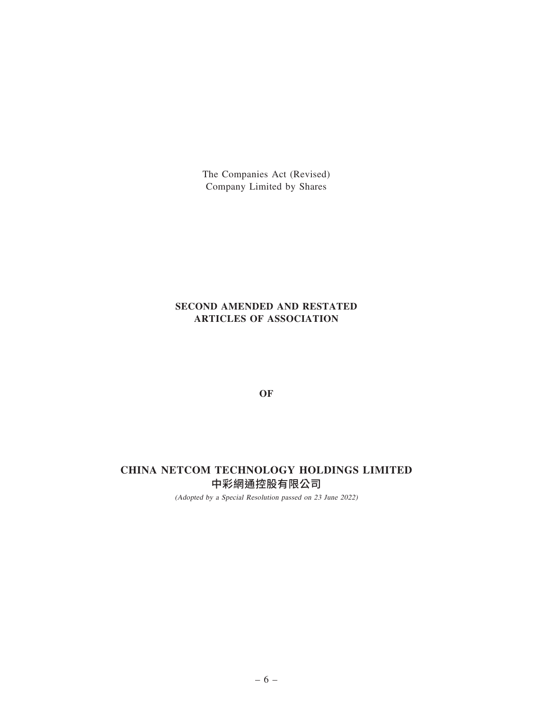The Companies Act (Revised) Company Limited by Shares

# SECOND AMENDED AND RESTATED ARTICLES OF ASSOCIATION

OF

# CHINA NETCOM TECHNOLOGY HOLDINGS LIMITED 中彩網通控股有限公司

(Adopted by <sup>a</sup> Special Resolution passed on 23 June 2022)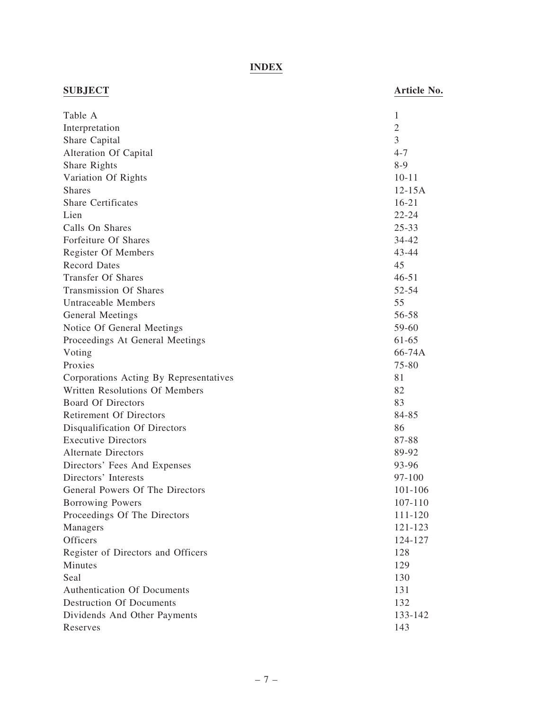# INDEX

| <b>SUBJECT</b>                         | Article No.    |
|----------------------------------------|----------------|
| Table A                                | 1              |
| Interpretation                         | $\mathfrak{2}$ |
| Share Capital                          | 3              |
| Alteration Of Capital                  | $4 - 7$        |
| Share Rights                           | $8-9$          |
| Variation Of Rights                    | $10 - 11$      |
| <b>Shares</b>                          | $12 - 15A$     |
| <b>Share Certificates</b>              | $16 - 21$      |
| Lien                                   | $22 - 24$      |
| Calls On Shares                        | $25 - 33$      |
| Forfeiture Of Shares                   | 34-42          |
| Register Of Members                    | 43-44          |
| <b>Record Dates</b>                    | 45             |
| <b>Transfer Of Shares</b>              | $46 - 51$      |
| <b>Transmission Of Shares</b>          | 52-54          |
| Untraceable Members                    | 55             |
| General Meetings                       | 56-58          |
| Notice Of General Meetings             | 59-60          |
| Proceedings At General Meetings        | 61-65          |
| Voting                                 | 66-74A         |
| Proxies                                | $75 - 80$      |
| Corporations Acting By Representatives | 81             |
| Written Resolutions Of Members         | 82             |
| <b>Board Of Directors</b>              | 83             |
| <b>Retirement Of Directors</b>         | 84-85          |
| Disqualification Of Directors          | 86             |
| <b>Executive Directors</b>             | 87-88          |
| <b>Alternate Directors</b>             | 89-92          |
| Directors' Fees And Expenses           | 93-96          |
| Directors' Interests                   | $97 - 100$     |
| General Powers Of The Directors        | 101-106        |
| Borrowing Powers                       | 107-110        |
| Proceedings Of The Directors           | 111-120        |
| Managers                               | 121-123        |
| Officers                               | 124-127        |
| Register of Directors and Officers     | 128            |
| Minutes                                | 129            |
| Seal                                   | 130            |
| Authentication Of Documents            | 131            |
| <b>Destruction Of Documents</b>        | 132            |
| Dividends And Other Payments           | 133-142        |
| Reserves                               | 143            |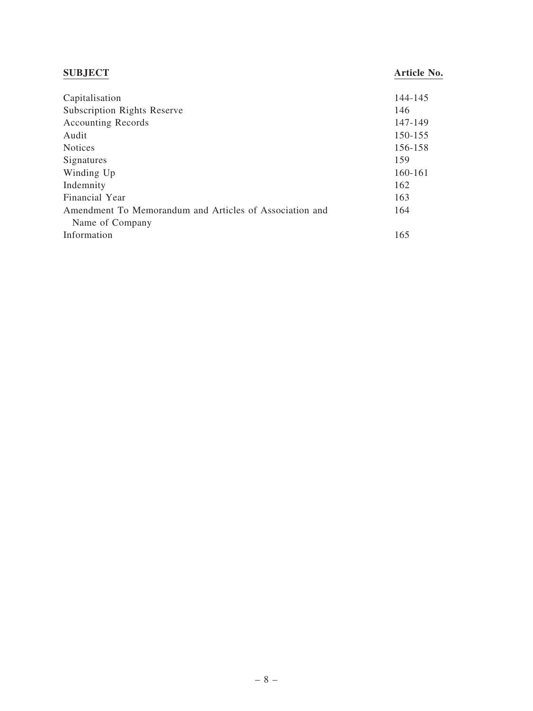| <b>SUBJECT</b>                                          | Article No. |
|---------------------------------------------------------|-------------|
| Capitalisation                                          | 144-145     |
| <b>Subscription Rights Reserve</b>                      | 146         |
| <b>Accounting Records</b>                               | 147-149     |
| Audit                                                   | 150-155     |
| <b>Notices</b>                                          | 156-158     |
| Signatures                                              | 159         |
| Winding Up                                              | 160-161     |
| Indemnity                                               | 162         |
| Financial Year                                          | 163         |
| Amendment To Memorandum and Articles of Association and | 164         |
| Name of Company                                         |             |
| Information                                             | 165         |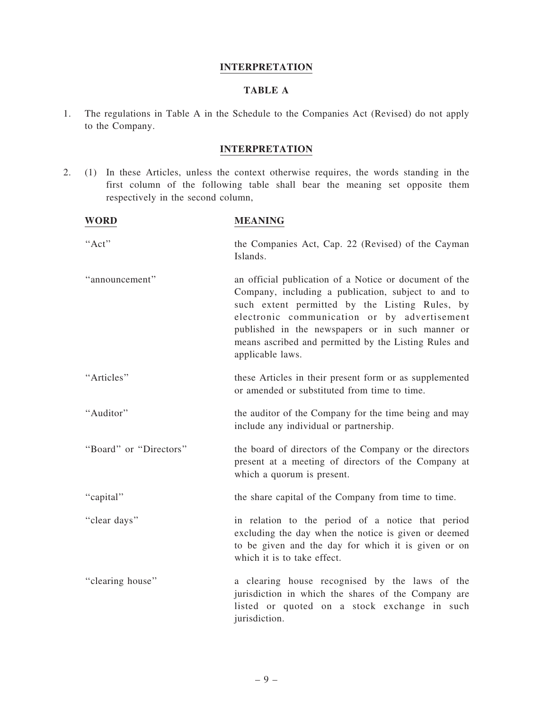#### INTERPRETATION

# TABLE A

1. The regulations in Table A in the Schedule to the Companies Act (Revised) do not apply to the Company.

# INTERPRETATION

2. (1) In these Articles, unless the context otherwise requires, the words standing in the first column of the following table shall bear the meaning set opposite them respectively in the second column,

| <b>WORD</b>            | <b>MEANING</b>                                                                                                                                                                                                                                                                                                                                   |
|------------------------|--------------------------------------------------------------------------------------------------------------------------------------------------------------------------------------------------------------------------------------------------------------------------------------------------------------------------------------------------|
| "Act"                  | the Companies Act, Cap. 22 (Revised) of the Cayman<br>Islands.                                                                                                                                                                                                                                                                                   |
| "announcement"         | an official publication of a Notice or document of the<br>Company, including a publication, subject to and to<br>such extent permitted by the Listing Rules, by<br>electronic communication or by advertisement<br>published in the newspapers or in such manner or<br>means ascribed and permitted by the Listing Rules and<br>applicable laws. |
| "Articles"             | these Articles in their present form or as supplemented<br>or amended or substituted from time to time.                                                                                                                                                                                                                                          |
| "Auditor"              | the auditor of the Company for the time being and may<br>include any individual or partnership.                                                                                                                                                                                                                                                  |
| "Board" or "Directors" | the board of directors of the Company or the directors<br>present at a meeting of directors of the Company at<br>which a quorum is present.                                                                                                                                                                                                      |
| "capital"              | the share capital of the Company from time to time.                                                                                                                                                                                                                                                                                              |
| "clear days"           | in relation to the period of a notice that period<br>excluding the day when the notice is given or deemed<br>to be given and the day for which it is given or on<br>which it is to take effect.                                                                                                                                                  |
| "clearing house"       | a clearing house recognised by the laws of the<br>jurisdiction in which the shares of the Company are<br>listed or quoted on a stock exchange in such<br>jurisdiction.                                                                                                                                                                           |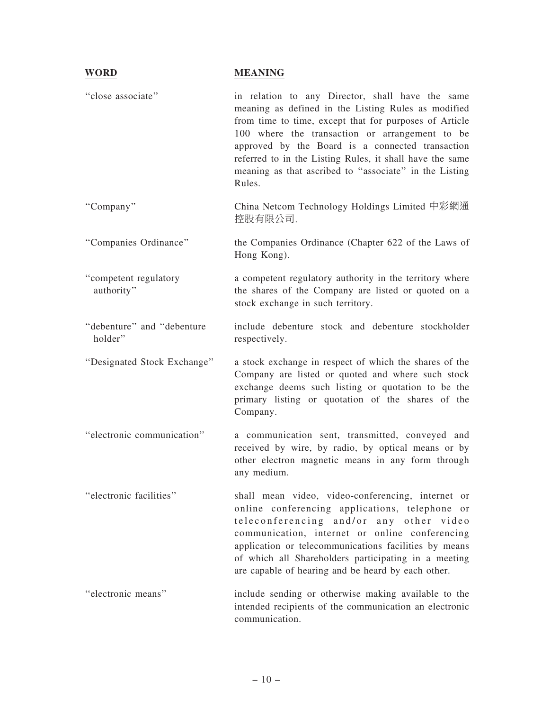#### WORD MEANING

"close associate" in relation to any Director, shall have the same meaning as defined in the Listing Rules as modified from time to time, except that for purposes of Article 100 where the transaction or arrangement to be approved by the Board is a connected transaction referred to in the Listing Rules, it shall have the same meaning as that ascribed to ''associate'' in the Listing Rules. ''Company'' China Netcom Technology Holdings Limited 中彩網通 控股有限公司. ''Companies Ordinance'' the Companies Ordinance (Chapter 622 of the Laws of Hong Kong). ''competent regulatory authority'' a competent regulatory authority in the territory where the shares of the Company are listed or quoted on a stock exchange in such territory. ''debenture'' and ''debenture holder'' include debenture stock and debenture stockholder respectively. ''Designated Stock Exchange'' a stock exchange in respect of which the shares of the Company are listed or quoted and where such stock exchange deems such listing or quotation to be the primary listing or quotation of the shares of the Company. ''electronic communication'' a communication sent, transmitted, conveyed and received by wire, by radio, by optical means or by other electron magnetic means in any form through any medium. ''electronic facilities'' shall mean video, video-conferencing, internet or online conferencing applications, telephone or teleconferencing and/or any other video communication, internet or online conferencing application or telecommunications facilities by means of which all Shareholders participating in a meeting are capable of hearing and be heard by each other. ''electronic means'' include sending or otherwise making available to the intended recipients of the communication an electronic communication.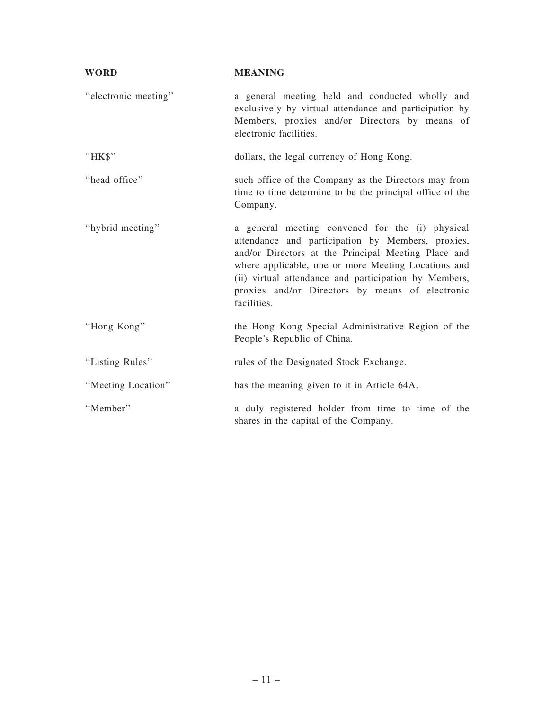| <b>WORD</b>          | <b>MEANING</b>                                                                                                                                                                                                                                                                                                                                |
|----------------------|-----------------------------------------------------------------------------------------------------------------------------------------------------------------------------------------------------------------------------------------------------------------------------------------------------------------------------------------------|
| "electronic meeting" | a general meeting held and conducted wholly and<br>exclusively by virtual attendance and participation by<br>Members, proxies and/or Directors by means of<br>electronic facilities.                                                                                                                                                          |
| "HK\$"               | dollars, the legal currency of Hong Kong.                                                                                                                                                                                                                                                                                                     |
| "head office"        | such office of the Company as the Directors may from<br>time to time determine to be the principal office of the<br>Company.                                                                                                                                                                                                                  |
| "hybrid meeting"     | a general meeting convened for the (i) physical<br>attendance and participation by Members, proxies,<br>and/or Directors at the Principal Meeting Place and<br>where applicable, one or more Meeting Locations and<br>(ii) virtual attendance and participation by Members,<br>proxies and/or Directors by means of electronic<br>facilities. |
| "Hong Kong"          | the Hong Kong Special Administrative Region of the<br>People's Republic of China.                                                                                                                                                                                                                                                             |
| "Listing Rules"      | rules of the Designated Stock Exchange.                                                                                                                                                                                                                                                                                                       |
| "Meeting Location"   | has the meaning given to it in Article 64A.                                                                                                                                                                                                                                                                                                   |
| "Member"             | a duly registered holder from time to time of the<br>shares in the capital of the Company.                                                                                                                                                                                                                                                    |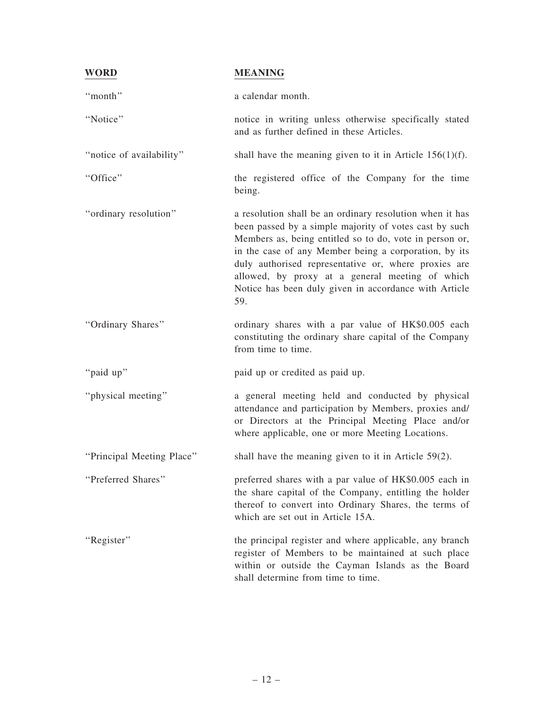| <b>WORD</b>               | <b>MEANING</b>                                                                                                                                                                                                                                                                                                                                                                                                    |
|---------------------------|-------------------------------------------------------------------------------------------------------------------------------------------------------------------------------------------------------------------------------------------------------------------------------------------------------------------------------------------------------------------------------------------------------------------|
| "month"                   | a calendar month.                                                                                                                                                                                                                                                                                                                                                                                                 |
| "Notice"                  | notice in writing unless otherwise specifically stated<br>and as further defined in these Articles.                                                                                                                                                                                                                                                                                                               |
| "notice of availability"  | shall have the meaning given to it in Article $156(1)(f)$ .                                                                                                                                                                                                                                                                                                                                                       |
| "Office"                  | the registered office of the Company for the time<br>being.                                                                                                                                                                                                                                                                                                                                                       |
| "ordinary resolution"     | a resolution shall be an ordinary resolution when it has<br>been passed by a simple majority of votes cast by such<br>Members as, being entitled so to do, vote in person or,<br>in the case of any Member being a corporation, by its<br>duly authorised representative or, where proxies are<br>allowed, by proxy at a general meeting of which<br>Notice has been duly given in accordance with Article<br>59. |
| "Ordinary Shares"         | ordinary shares with a par value of HK\$0.005 each<br>constituting the ordinary share capital of the Company<br>from time to time.                                                                                                                                                                                                                                                                                |
| "paid up"                 | paid up or credited as paid up.                                                                                                                                                                                                                                                                                                                                                                                   |
| "physical meeting"        | a general meeting held and conducted by physical<br>attendance and participation by Members, proxies and/<br>or Directors at the Principal Meeting Place and/or<br>where applicable, one or more Meeting Locations.                                                                                                                                                                                               |
| "Principal Meeting Place" | shall have the meaning given to it in Article $59(2)$ .                                                                                                                                                                                                                                                                                                                                                           |
| "Preferred Shares"        | preferred shares with a par value of HK\$0.005 each in<br>the share capital of the Company, entitling the holder<br>thereof to convert into Ordinary Shares, the terms of<br>which are set out in Article 15A.                                                                                                                                                                                                    |
| "Register"                | the principal register and where applicable, any branch<br>register of Members to be maintained at such place<br>within or outside the Cayman Islands as the Board<br>shall determine from time to time.                                                                                                                                                                                                          |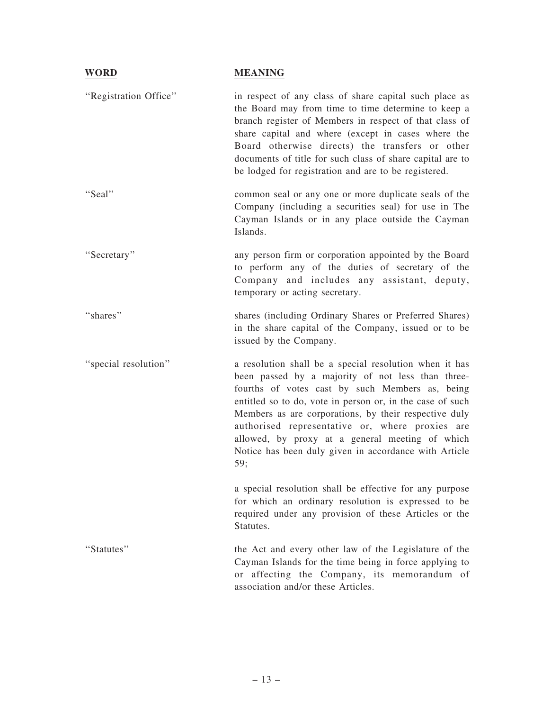| <b>WORD</b>           | <b>MEANING</b>                                                                                                                                                                                                                                                                                                                                                                                                                                             |
|-----------------------|------------------------------------------------------------------------------------------------------------------------------------------------------------------------------------------------------------------------------------------------------------------------------------------------------------------------------------------------------------------------------------------------------------------------------------------------------------|
| "Registration Office" | in respect of any class of share capital such place as<br>the Board may from time to time determine to keep a<br>branch register of Members in respect of that class of<br>share capital and where (except in cases where the<br>Board otherwise directs) the transfers or other<br>documents of title for such class of share capital are to<br>be lodged for registration and are to be registered.                                                      |
| "Seal"                | common seal or any one or more duplicate seals of the<br>Company (including a securities seal) for use in The<br>Cayman Islands or in any place outside the Cayman<br>Islands.                                                                                                                                                                                                                                                                             |
| "Secretary"           | any person firm or corporation appointed by the Board<br>to perform any of the duties of secretary of the<br>Company and includes any assistant, deputy,<br>temporary or acting secretary.                                                                                                                                                                                                                                                                 |
| "shares"              | shares (including Ordinary Shares or Preferred Shares)<br>in the share capital of the Company, issued or to be<br>issued by the Company.                                                                                                                                                                                                                                                                                                                   |
| "special resolution"  | a resolution shall be a special resolution when it has<br>been passed by a majority of not less than three-<br>fourths of votes cast by such Members as, being<br>entitled so to do, vote in person or, in the case of such<br>Members as are corporations, by their respective duly<br>authorised representative or, where proxies are<br>allowed, by proxy at a general meeting of which<br>Notice has been duly given in accordance with Article<br>59; |
|                       | a special resolution shall be effective for any purpose<br>for which an ordinary resolution is expressed to be<br>required under any provision of these Articles or the<br>Statutes.                                                                                                                                                                                                                                                                       |
| "Statutes"            | the Act and every other law of the Legislature of the<br>Cayman Islands for the time being in force applying to<br>or affecting the Company, its memorandum of<br>association and/or these Articles.                                                                                                                                                                                                                                                       |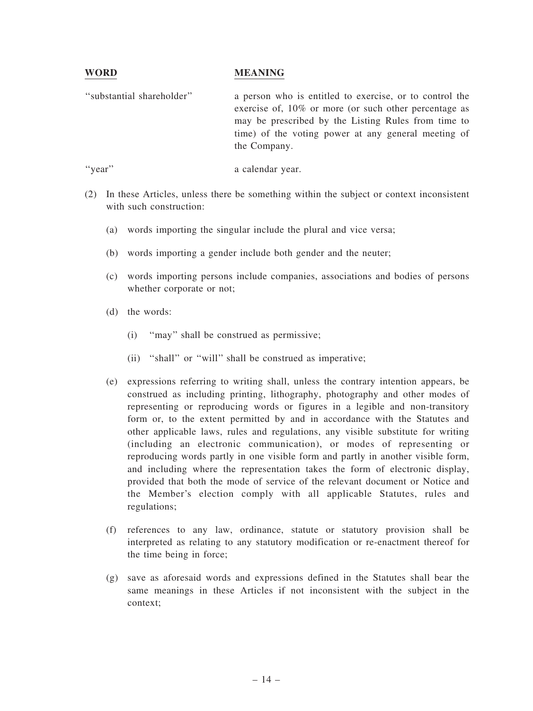#### WORD MEANING

''substantial shareholder'' a person who is entitled to exercise, or to control the exercise of, 10% or more (or such other percentage as may be prescribed by the Listing Rules from time to time) of the voting power at any general meeting of the Company.

"year" a calendar year.

- (2) In these Articles, unless there be something within the subject or context inconsistent with such construction:
	- (a) words importing the singular include the plural and vice versa;
	- (b) words importing a gender include both gender and the neuter;
	- (c) words importing persons include companies, associations and bodies of persons whether corporate or not;
	- (d) the words:
		- (i) ''may'' shall be construed as permissive;
		- (ii) "shall" or "will" shall be construed as imperative;
	- (e) expressions referring to writing shall, unless the contrary intention appears, be construed as including printing, lithography, photography and other modes of representing or reproducing words or figures in a legible and non-transitory form or, to the extent permitted by and in accordance with the Statutes and other applicable laws, rules and regulations, any visible substitute for writing (including an electronic communication), or modes of representing or reproducing words partly in one visible form and partly in another visible form, and including where the representation takes the form of electronic display, provided that both the mode of service of the relevant document or Notice and the Member's election comply with all applicable Statutes, rules and regulations;
	- (f) references to any law, ordinance, statute or statutory provision shall be interpreted as relating to any statutory modification or re-enactment thereof for the time being in force;
	- (g) save as aforesaid words and expressions defined in the Statutes shall bear the same meanings in these Articles if not inconsistent with the subject in the context;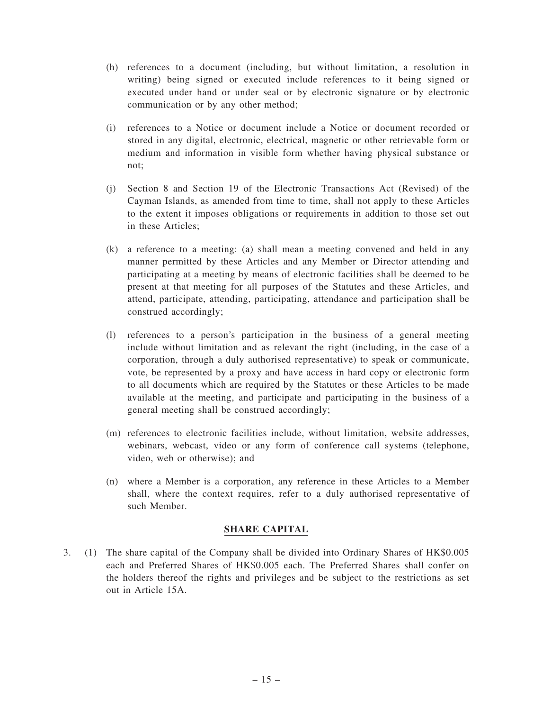- (h) references to a document (including, but without limitation, a resolution in writing) being signed or executed include references to it being signed or executed under hand or under seal or by electronic signature or by electronic communication or by any other method;
- (i) references to a Notice or document include a Notice or document recorded or stored in any digital, electronic, electrical, magnetic or other retrievable form or medium and information in visible form whether having physical substance or not;
- (j) Section 8 and Section 19 of the Electronic Transactions Act (Revised) of the Cayman Islands, as amended from time to time, shall not apply to these Articles to the extent it imposes obligations or requirements in addition to those set out in these Articles;
- (k) a reference to a meeting: (a) shall mean a meeting convened and held in any manner permitted by these Articles and any Member or Director attending and participating at a meeting by means of electronic facilities shall be deemed to be present at that meeting for all purposes of the Statutes and these Articles, and attend, participate, attending, participating, attendance and participation shall be construed accordingly;
- (l) references to a person's participation in the business of a general meeting include without limitation and as relevant the right (including, in the case of a corporation, through a duly authorised representative) to speak or communicate, vote, be represented by a proxy and have access in hard copy or electronic form to all documents which are required by the Statutes or these Articles to be made available at the meeting, and participate and participating in the business of a general meeting shall be construed accordingly;
- (m) references to electronic facilities include, without limitation, website addresses, webinars, webcast, video or any form of conference call systems (telephone, video, web or otherwise); and
- (n) where a Member is a corporation, any reference in these Articles to a Member shall, where the context requires, refer to a duly authorised representative of such Member.

#### SHARE CAPITAL

3. (1) The share capital of the Company shall be divided into Ordinary Shares of HK\$0.005 each and Preferred Shares of HK\$0.005 each. The Preferred Shares shall confer on the holders thereof the rights and privileges and be subject to the restrictions as set out in Article 15A.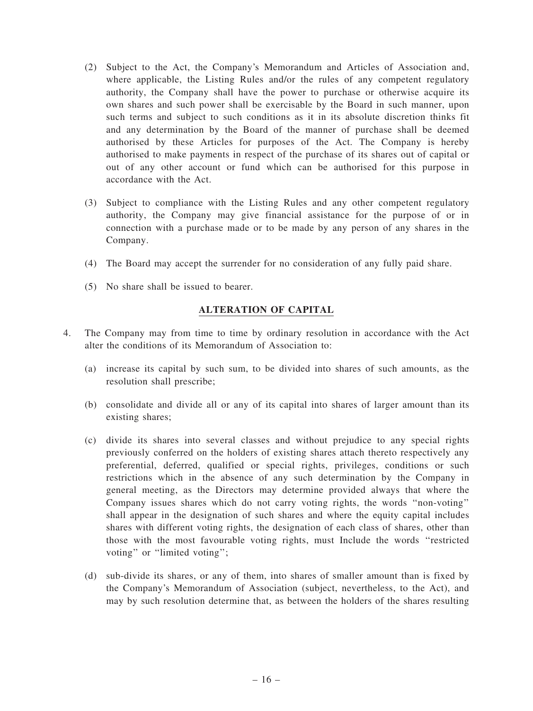- (2) Subject to the Act, the Company's Memorandum and Articles of Association and, where applicable, the Listing Rules and/or the rules of any competent regulatory authority, the Company shall have the power to purchase or otherwise acquire its own shares and such power shall be exercisable by the Board in such manner, upon such terms and subject to such conditions as it in its absolute discretion thinks fit and any determination by the Board of the manner of purchase shall be deemed authorised by these Articles for purposes of the Act. The Company is hereby authorised to make payments in respect of the purchase of its shares out of capital or out of any other account or fund which can be authorised for this purpose in accordance with the Act.
- (3) Subject to compliance with the Listing Rules and any other competent regulatory authority, the Company may give financial assistance for the purpose of or in connection with a purchase made or to be made by any person of any shares in the Company.
- (4) The Board may accept the surrender for no consideration of any fully paid share.
- (5) No share shall be issued to bearer.

### ALTERATION OF CAPITAL

- 4. The Company may from time to time by ordinary resolution in accordance with the Act alter the conditions of its Memorandum of Association to:
	- (a) increase its capital by such sum, to be divided into shares of such amounts, as the resolution shall prescribe;
	- (b) consolidate and divide all or any of its capital into shares of larger amount than its existing shares;
	- (c) divide its shares into several classes and without prejudice to any special rights previously conferred on the holders of existing shares attach thereto respectively any preferential, deferred, qualified or special rights, privileges, conditions or such restrictions which in the absence of any such determination by the Company in general meeting, as the Directors may determine provided always that where the Company issues shares which do not carry voting rights, the words ''non-voting'' shall appear in the designation of such shares and where the equity capital includes shares with different voting rights, the designation of each class of shares, other than those with the most favourable voting rights, must Include the words ''restricted voting" or "limited voting";
	- (d) sub-divide its shares, or any of them, into shares of smaller amount than is fixed by the Company's Memorandum of Association (subject, nevertheless, to the Act), and may by such resolution determine that, as between the holders of the shares resulting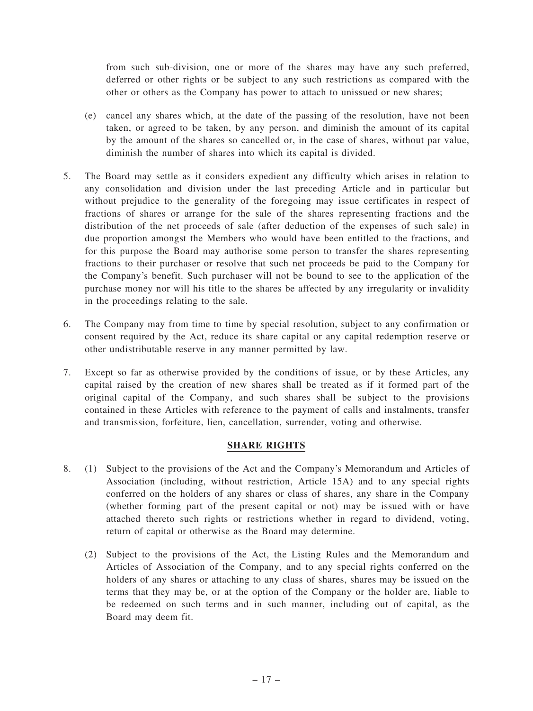from such sub-division, one or more of the shares may have any such preferred, deferred or other rights or be subject to any such restrictions as compared with the other or others as the Company has power to attach to unissued or new shares;

- (e) cancel any shares which, at the date of the passing of the resolution, have not been taken, or agreed to be taken, by any person, and diminish the amount of its capital by the amount of the shares so cancelled or, in the case of shares, without par value, diminish the number of shares into which its capital is divided.
- 5. The Board may settle as it considers expedient any difficulty which arises in relation to any consolidation and division under the last preceding Article and in particular but without prejudice to the generality of the foregoing may issue certificates in respect of fractions of shares or arrange for the sale of the shares representing fractions and the distribution of the net proceeds of sale (after deduction of the expenses of such sale) in due proportion amongst the Members who would have been entitled to the fractions, and for this purpose the Board may authorise some person to transfer the shares representing fractions to their purchaser or resolve that such net proceeds be paid to the Company for the Company's benefit. Such purchaser will not be bound to see to the application of the purchase money nor will his title to the shares be affected by any irregularity or invalidity in the proceedings relating to the sale.
- 6. The Company may from time to time by special resolution, subject to any confirmation or consent required by the Act, reduce its share capital or any capital redemption reserve or other undistributable reserve in any manner permitted by law.
- 7. Except so far as otherwise provided by the conditions of issue, or by these Articles, any capital raised by the creation of new shares shall be treated as if it formed part of the original capital of the Company, and such shares shall be subject to the provisions contained in these Articles with reference to the payment of calls and instalments, transfer and transmission, forfeiture, lien, cancellation, surrender, voting and otherwise.

# SHARE RIGHTS

- 8. (1) Subject to the provisions of the Act and the Company's Memorandum and Articles of Association (including, without restriction, Article 15A) and to any special rights conferred on the holders of any shares or class of shares, any share in the Company (whether forming part of the present capital or not) may be issued with or have attached thereto such rights or restrictions whether in regard to dividend, voting, return of capital or otherwise as the Board may determine.
	- (2) Subject to the provisions of the Act, the Listing Rules and the Memorandum and Articles of Association of the Company, and to any special rights conferred on the holders of any shares or attaching to any class of shares, shares may be issued on the terms that they may be, or at the option of the Company or the holder are, liable to be redeemed on such terms and in such manner, including out of capital, as the Board may deem fit.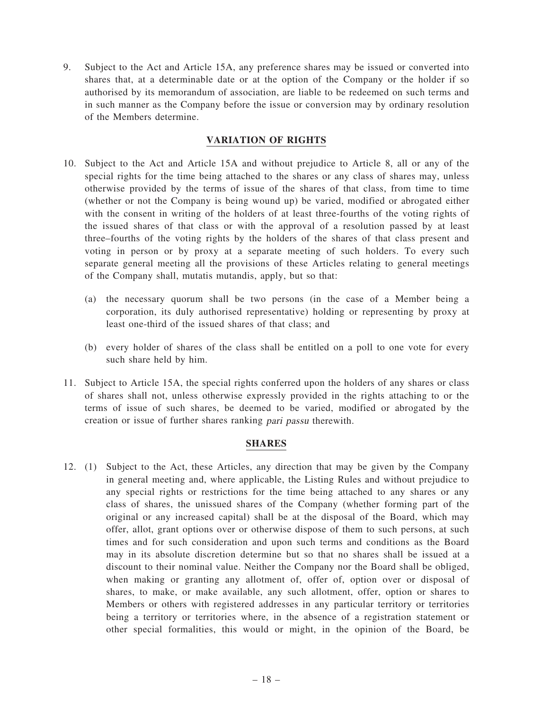9. Subject to the Act and Article 15A, any preference shares may be issued or converted into shares that, at a determinable date or at the option of the Company or the holder if so authorised by its memorandum of association, are liable to be redeemed on such terms and in such manner as the Company before the issue or conversion may by ordinary resolution of the Members determine.

### VARIATION OF RIGHTS

- 10. Subject to the Act and Article 15A and without prejudice to Article 8, all or any of the special rights for the time being attached to the shares or any class of shares may, unless otherwise provided by the terms of issue of the shares of that class, from time to time (whether or not the Company is being wound up) be varied, modified or abrogated either with the consent in writing of the holders of at least three-fourths of the voting rights of the issued shares of that class or with the approval of a resolution passed by at least three–fourths of the voting rights by the holders of the shares of that class present and voting in person or by proxy at a separate meeting of such holders. To every such separate general meeting all the provisions of these Articles relating to general meetings of the Company shall, mutatis mutandis, apply, but so that:
	- (a) the necessary quorum shall be two persons (in the case of a Member being a corporation, its duly authorised representative) holding or representing by proxy at least one-third of the issued shares of that class; and
	- (b) every holder of shares of the class shall be entitled on a poll to one vote for every such share held by him.
- 11. Subject to Article 15A, the special rights conferred upon the holders of any shares or class of shares shall not, unless otherwise expressly provided in the rights attaching to or the terms of issue of such shares, be deemed to be varied, modified or abrogated by the creation or issue of further shares ranking pari passu therewith.

#### SHARES

12. (1) Subject to the Act, these Articles, any direction that may be given by the Company in general meeting and, where applicable, the Listing Rules and without prejudice to any special rights or restrictions for the time being attached to any shares or any class of shares, the unissued shares of the Company (whether forming part of the original or any increased capital) shall be at the disposal of the Board, which may offer, allot, grant options over or otherwise dispose of them to such persons, at such times and for such consideration and upon such terms and conditions as the Board may in its absolute discretion determine but so that no shares shall be issued at a discount to their nominal value. Neither the Company nor the Board shall be obliged, when making or granting any allotment of, offer of, option over or disposal of shares, to make, or make available, any such allotment, offer, option or shares to Members or others with registered addresses in any particular territory or territories being a territory or territories where, in the absence of a registration statement or other special formalities, this would or might, in the opinion of the Board, be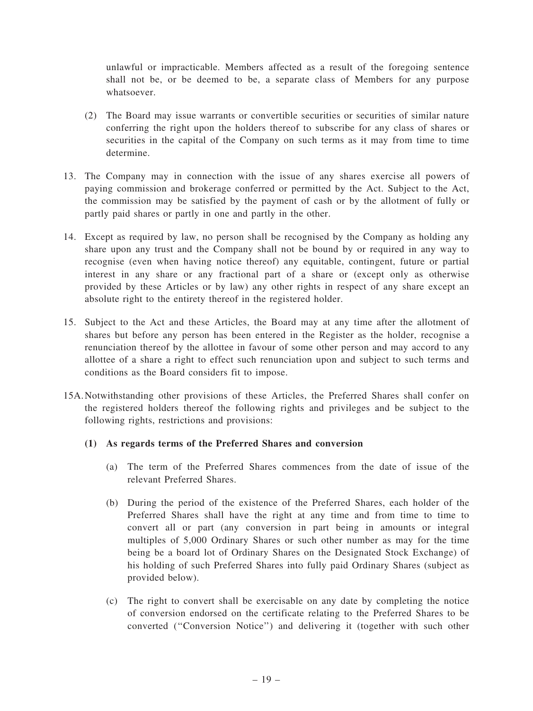unlawful or impracticable. Members affected as a result of the foregoing sentence shall not be, or be deemed to be, a separate class of Members for any purpose whatsoever.

- (2) The Board may issue warrants or convertible securities or securities of similar nature conferring the right upon the holders thereof to subscribe for any class of shares or securities in the capital of the Company on such terms as it may from time to time determine.
- 13. The Company may in connection with the issue of any shares exercise all powers of paying commission and brokerage conferred or permitted by the Act. Subject to the Act, the commission may be satisfied by the payment of cash or by the allotment of fully or partly paid shares or partly in one and partly in the other.
- 14. Except as required by law, no person shall be recognised by the Company as holding any share upon any trust and the Company shall not be bound by or required in any way to recognise (even when having notice thereof) any equitable, contingent, future or partial interest in any share or any fractional part of a share or (except only as otherwise provided by these Articles or by law) any other rights in respect of any share except an absolute right to the entirety thereof in the registered holder.
- 15. Subject to the Act and these Articles, the Board may at any time after the allotment of shares but before any person has been entered in the Register as the holder, recognise a renunciation thereof by the allottee in favour of some other person and may accord to any allottee of a share a right to effect such renunciation upon and subject to such terms and conditions as the Board considers fit to impose.
- 15A.Notwithstanding other provisions of these Articles, the Preferred Shares shall confer on the registered holders thereof the following rights and privileges and be subject to the following rights, restrictions and provisions:

#### (1) As regards terms of the Preferred Shares and conversion

- (a) The term of the Preferred Shares commences from the date of issue of the relevant Preferred Shares.
- (b) During the period of the existence of the Preferred Shares, each holder of the Preferred Shares shall have the right at any time and from time to time to convert all or part (any conversion in part being in amounts or integral multiples of 5,000 Ordinary Shares or such other number as may for the time being be a board lot of Ordinary Shares on the Designated Stock Exchange) of his holding of such Preferred Shares into fully paid Ordinary Shares (subject as provided below).
- (c) The right to convert shall be exercisable on any date by completing the notice of conversion endorsed on the certificate relating to the Preferred Shares to be converted (''Conversion Notice'') and delivering it (together with such other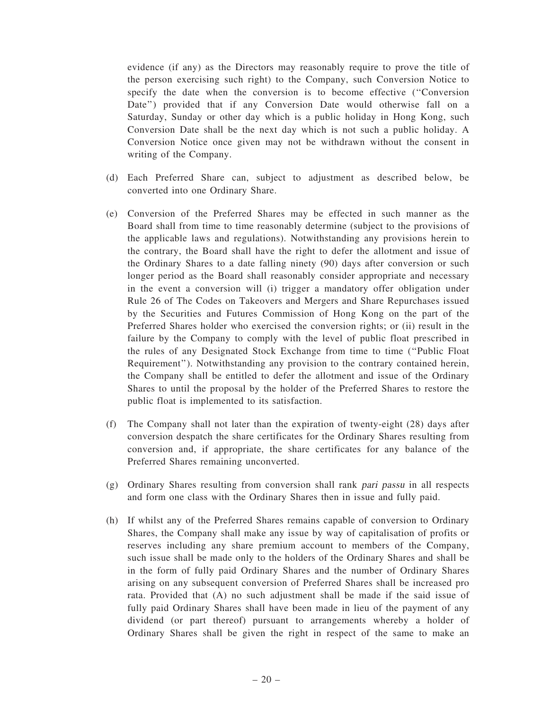evidence (if any) as the Directors may reasonably require to prove the title of the person exercising such right) to the Company, such Conversion Notice to specify the date when the conversion is to become effective (''Conversion Date'') provided that if any Conversion Date would otherwise fall on a Saturday, Sunday or other day which is a public holiday in Hong Kong, such Conversion Date shall be the next day which is not such a public holiday. A Conversion Notice once given may not be withdrawn without the consent in writing of the Company.

- (d) Each Preferred Share can, subject to adjustment as described below, be converted into one Ordinary Share.
- (e) Conversion of the Preferred Shares may be effected in such manner as the Board shall from time to time reasonably determine (subject to the provisions of the applicable laws and regulations). Notwithstanding any provisions herein to the contrary, the Board shall have the right to defer the allotment and issue of the Ordinary Shares to a date falling ninety (90) days after conversion or such longer period as the Board shall reasonably consider appropriate and necessary in the event a conversion will (i) trigger a mandatory offer obligation under Rule 26 of The Codes on Takeovers and Mergers and Share Repurchases issued by the Securities and Futures Commission of Hong Kong on the part of the Preferred Shares holder who exercised the conversion rights; or (ii) result in the failure by the Company to comply with the level of public float prescribed in the rules of any Designated Stock Exchange from time to time (''Public Float Requirement''). Notwithstanding any provision to the contrary contained herein, the Company shall be entitled to defer the allotment and issue of the Ordinary Shares to until the proposal by the holder of the Preferred Shares to restore the public float is implemented to its satisfaction.
- (f) The Company shall not later than the expiration of twenty-eight (28) days after conversion despatch the share certificates for the Ordinary Shares resulting from conversion and, if appropriate, the share certificates for any balance of the Preferred Shares remaining unconverted.
- (g) Ordinary Shares resulting from conversion shall rank pari passu in all respects and form one class with the Ordinary Shares then in issue and fully paid.
- (h) If whilst any of the Preferred Shares remains capable of conversion to Ordinary Shares, the Company shall make any issue by way of capitalisation of profits or reserves including any share premium account to members of the Company, such issue shall be made only to the holders of the Ordinary Shares and shall be in the form of fully paid Ordinary Shares and the number of Ordinary Shares arising on any subsequent conversion of Preferred Shares shall be increased pro rata. Provided that (A) no such adjustment shall be made if the said issue of fully paid Ordinary Shares shall have been made in lieu of the payment of any dividend (or part thereof) pursuant to arrangements whereby a holder of Ordinary Shares shall be given the right in respect of the same to make an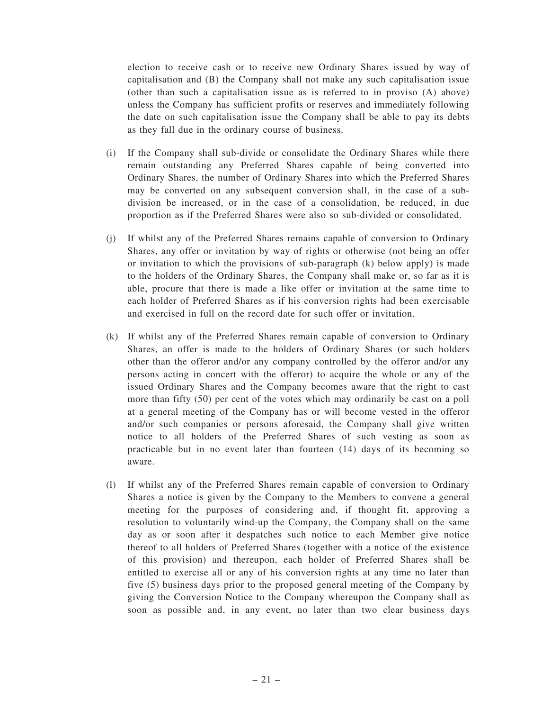election to receive cash or to receive new Ordinary Shares issued by way of capitalisation and (B) the Company shall not make any such capitalisation issue (other than such a capitalisation issue as is referred to in proviso (A) above) unless the Company has sufficient profits or reserves and immediately following the date on such capitalisation issue the Company shall be able to pay its debts as they fall due in the ordinary course of business.

- (i) If the Company shall sub-divide or consolidate the Ordinary Shares while there remain outstanding any Preferred Shares capable of being converted into Ordinary Shares, the number of Ordinary Shares into which the Preferred Shares may be converted on any subsequent conversion shall, in the case of a subdivision be increased, or in the case of a consolidation, be reduced, in due proportion as if the Preferred Shares were also so sub-divided or consolidated.
- (j) If whilst any of the Preferred Shares remains capable of conversion to Ordinary Shares, any offer or invitation by way of rights or otherwise (not being an offer or invitation to which the provisions of sub-paragraph  $(k)$  below apply) is made to the holders of the Ordinary Shares, the Company shall make or, so far as it is able, procure that there is made a like offer or invitation at the same time to each holder of Preferred Shares as if his conversion rights had been exercisable and exercised in full on the record date for such offer or invitation.
- (k) If whilst any of the Preferred Shares remain capable of conversion to Ordinary Shares, an offer is made to the holders of Ordinary Shares (or such holders other than the offeror and/or any company controlled by the offeror and/or any persons acting in concert with the offeror) to acquire the whole or any of the issued Ordinary Shares and the Company becomes aware that the right to cast more than fifty (50) per cent of the votes which may ordinarily be cast on a poll at a general meeting of the Company has or will become vested in the offeror and/or such companies or persons aforesaid, the Company shall give written notice to all holders of the Preferred Shares of such vesting as soon as practicable but in no event later than fourteen (14) days of its becoming so aware.
- (l) If whilst any of the Preferred Shares remain capable of conversion to Ordinary Shares a notice is given by the Company to the Members to convene a general meeting for the purposes of considering and, if thought fit, approving a resolution to voluntarily wind-up the Company, the Company shall on the same day as or soon after it despatches such notice to each Member give notice thereof to all holders of Preferred Shares (together with a notice of the existence of this provision) and thereupon, each holder of Preferred Shares shall be entitled to exercise all or any of his conversion rights at any time no later than five (5) business days prior to the proposed general meeting of the Company by giving the Conversion Notice to the Company whereupon the Company shall as soon as possible and, in any event, no later than two clear business days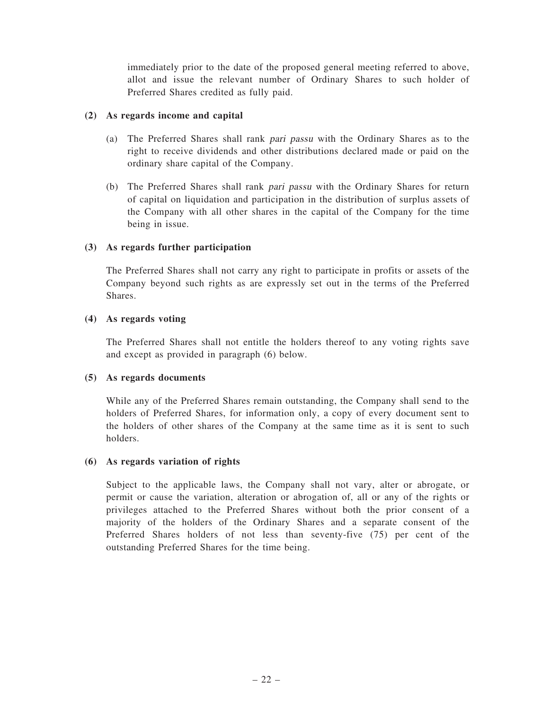immediately prior to the date of the proposed general meeting referred to above, allot and issue the relevant number of Ordinary Shares to such holder of Preferred Shares credited as fully paid.

#### (2) As regards income and capital

- (a) The Preferred Shares shall rank pari passu with the Ordinary Shares as to the right to receive dividends and other distributions declared made or paid on the ordinary share capital of the Company.
- (b) The Preferred Shares shall rank pari passu with the Ordinary Shares for return of capital on liquidation and participation in the distribution of surplus assets of the Company with all other shares in the capital of the Company for the time being in issue.

### (3) As regards further participation

The Preferred Shares shall not carry any right to participate in profits or assets of the Company beyond such rights as are expressly set out in the terms of the Preferred **Shares**.

### (4) As regards voting

The Preferred Shares shall not entitle the holders thereof to any voting rights save and except as provided in paragraph (6) below.

#### (5) As regards documents

While any of the Preferred Shares remain outstanding, the Company shall send to the holders of Preferred Shares, for information only, a copy of every document sent to the holders of other shares of the Company at the same time as it is sent to such holders.

#### (6) As regards variation of rights

Subject to the applicable laws, the Company shall not vary, alter or abrogate, or permit or cause the variation, alteration or abrogation of, all or any of the rights or privileges attached to the Preferred Shares without both the prior consent of a majority of the holders of the Ordinary Shares and a separate consent of the Preferred Shares holders of not less than seventy-five (75) per cent of the outstanding Preferred Shares for the time being.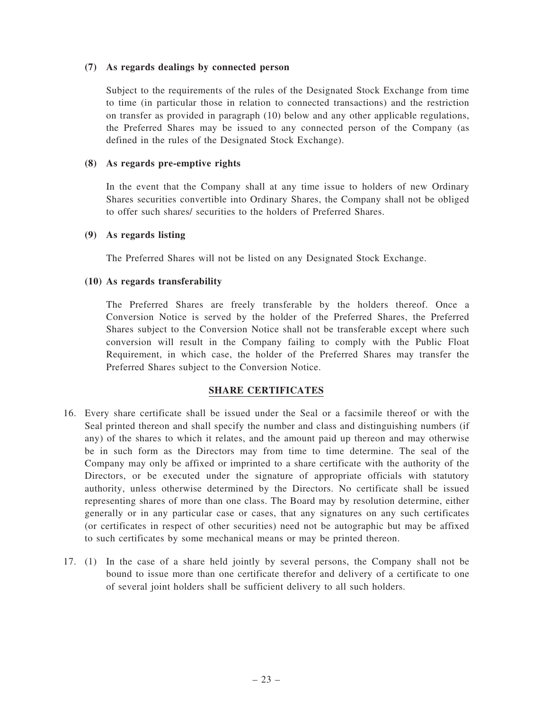#### (7) As regards dealings by connected person

Subject to the requirements of the rules of the Designated Stock Exchange from time to time (in particular those in relation to connected transactions) and the restriction on transfer as provided in paragraph (10) below and any other applicable regulations, the Preferred Shares may be issued to any connected person of the Company (as defined in the rules of the Designated Stock Exchange).

#### (8) As regards pre-emptive rights

In the event that the Company shall at any time issue to holders of new Ordinary Shares securities convertible into Ordinary Shares, the Company shall not be obliged to offer such shares/ securities to the holders of Preferred Shares.

### (9) As regards listing

The Preferred Shares will not be listed on any Designated Stock Exchange.

### (10) As regards transferability

The Preferred Shares are freely transferable by the holders thereof. Once a Conversion Notice is served by the holder of the Preferred Shares, the Preferred Shares subject to the Conversion Notice shall not be transferable except where such conversion will result in the Company failing to comply with the Public Float Requirement, in which case, the holder of the Preferred Shares may transfer the Preferred Shares subject to the Conversion Notice.

# SHARE CERTIFICATES

- 16. Every share certificate shall be issued under the Seal or a facsimile thereof or with the Seal printed thereon and shall specify the number and class and distinguishing numbers (if any) of the shares to which it relates, and the amount paid up thereon and may otherwise be in such form as the Directors may from time to time determine. The seal of the Company may only be affixed or imprinted to a share certificate with the authority of the Directors, or be executed under the signature of appropriate officials with statutory authority, unless otherwise determined by the Directors. No certificate shall be issued representing shares of more than one class. The Board may by resolution determine, either generally or in any particular case or cases, that any signatures on any such certificates (or certificates in respect of other securities) need not be autographic but may be affixed to such certificates by some mechanical means or may be printed thereon.
- 17. (1) In the case of a share held jointly by several persons, the Company shall not be bound to issue more than one certificate therefor and delivery of a certificate to one of several joint holders shall be sufficient delivery to all such holders.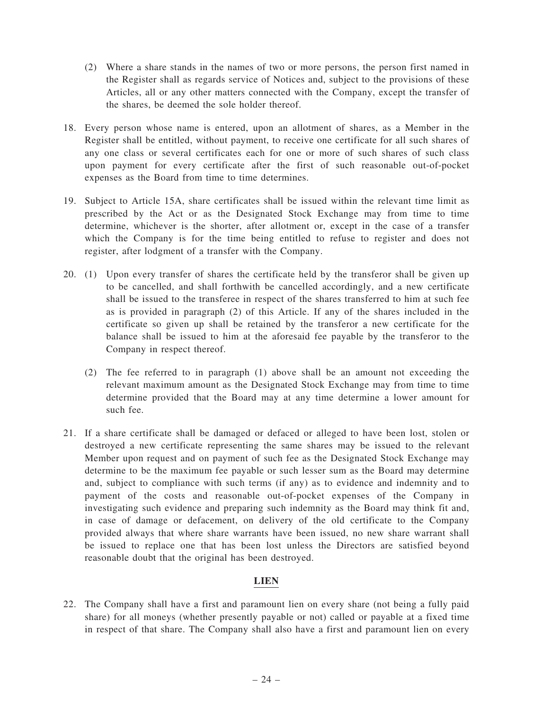- (2) Where a share stands in the names of two or more persons, the person first named in the Register shall as regards service of Notices and, subject to the provisions of these Articles, all or any other matters connected with the Company, except the transfer of the shares, be deemed the sole holder thereof.
- 18. Every person whose name is entered, upon an allotment of shares, as a Member in the Register shall be entitled, without payment, to receive one certificate for all such shares of any one class or several certificates each for one or more of such shares of such class upon payment for every certificate after the first of such reasonable out-of-pocket expenses as the Board from time to time determines.
- 19. Subject to Article 15A, share certificates shall be issued within the relevant time limit as prescribed by the Act or as the Designated Stock Exchange may from time to time determine, whichever is the shorter, after allotment or, except in the case of a transfer which the Company is for the time being entitled to refuse to register and does not register, after lodgment of a transfer with the Company.
- 20. (1) Upon every transfer of shares the certificate held by the transferor shall be given up to be cancelled, and shall forthwith be cancelled accordingly, and a new certificate shall be issued to the transferee in respect of the shares transferred to him at such fee as is provided in paragraph (2) of this Article. If any of the shares included in the certificate so given up shall be retained by the transferor a new certificate for the balance shall be issued to him at the aforesaid fee payable by the transferor to the Company in respect thereof.
	- (2) The fee referred to in paragraph (1) above shall be an amount not exceeding the relevant maximum amount as the Designated Stock Exchange may from time to time determine provided that the Board may at any time determine a lower amount for such fee.
- 21. If a share certificate shall be damaged or defaced or alleged to have been lost, stolen or destroyed a new certificate representing the same shares may be issued to the relevant Member upon request and on payment of such fee as the Designated Stock Exchange may determine to be the maximum fee payable or such lesser sum as the Board may determine and, subject to compliance with such terms (if any) as to evidence and indemnity and to payment of the costs and reasonable out-of-pocket expenses of the Company in investigating such evidence and preparing such indemnity as the Board may think fit and, in case of damage or defacement, on delivery of the old certificate to the Company provided always that where share warrants have been issued, no new share warrant shall be issued to replace one that has been lost unless the Directors are satisfied beyond reasonable doubt that the original has been destroyed.

# LIEN

22. The Company shall have a first and paramount lien on every share (not being a fully paid share) for all moneys (whether presently payable or not) called or payable at a fixed time in respect of that share. The Company shall also have a first and paramount lien on every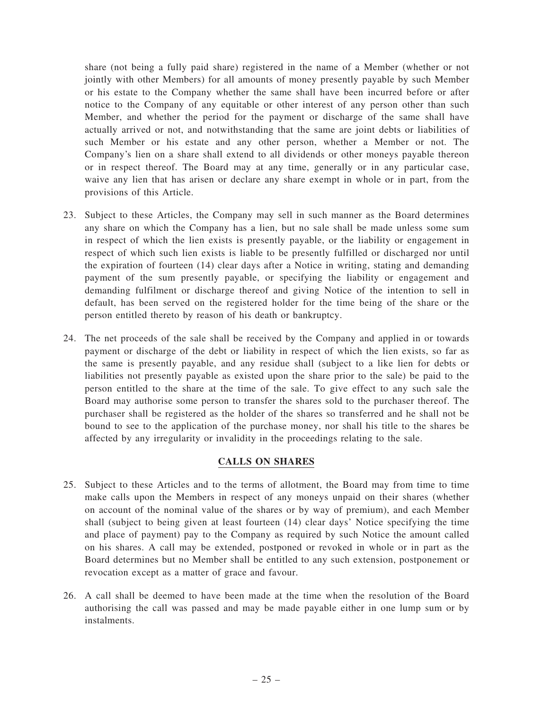share (not being a fully paid share) registered in the name of a Member (whether or not jointly with other Members) for all amounts of money presently payable by such Member or his estate to the Company whether the same shall have been incurred before or after notice to the Company of any equitable or other interest of any person other than such Member, and whether the period for the payment or discharge of the same shall have actually arrived or not, and notwithstanding that the same are joint debts or liabilities of such Member or his estate and any other person, whether a Member or not. The Company's lien on a share shall extend to all dividends or other moneys payable thereon or in respect thereof. The Board may at any time, generally or in any particular case, waive any lien that has arisen or declare any share exempt in whole or in part, from the provisions of this Article.

- 23. Subject to these Articles, the Company may sell in such manner as the Board determines any share on which the Company has a lien, but no sale shall be made unless some sum in respect of which the lien exists is presently payable, or the liability or engagement in respect of which such lien exists is liable to be presently fulfilled or discharged nor until the expiration of fourteen (14) clear days after a Notice in writing, stating and demanding payment of the sum presently payable, or specifying the liability or engagement and demanding fulfilment or discharge thereof and giving Notice of the intention to sell in default, has been served on the registered holder for the time being of the share or the person entitled thereto by reason of his death or bankruptcy.
- 24. The net proceeds of the sale shall be received by the Company and applied in or towards payment or discharge of the debt or liability in respect of which the lien exists, so far as the same is presently payable, and any residue shall (subject to a like lien for debts or liabilities not presently payable as existed upon the share prior to the sale) be paid to the person entitled to the share at the time of the sale. To give effect to any such sale the Board may authorise some person to transfer the shares sold to the purchaser thereof. The purchaser shall be registered as the holder of the shares so transferred and he shall not be bound to see to the application of the purchase money, nor shall his title to the shares be affected by any irregularity or invalidity in the proceedings relating to the sale.

#### CALLS ON SHARES

- 25. Subject to these Articles and to the terms of allotment, the Board may from time to time make calls upon the Members in respect of any moneys unpaid on their shares (whether on account of the nominal value of the shares or by way of premium), and each Member shall (subject to being given at least fourteen (14) clear days' Notice specifying the time and place of payment) pay to the Company as required by such Notice the amount called on his shares. A call may be extended, postponed or revoked in whole or in part as the Board determines but no Member shall be entitled to any such extension, postponement or revocation except as a matter of grace and favour.
- 26. A call shall be deemed to have been made at the time when the resolution of the Board authorising the call was passed and may be made payable either in one lump sum or by instalments.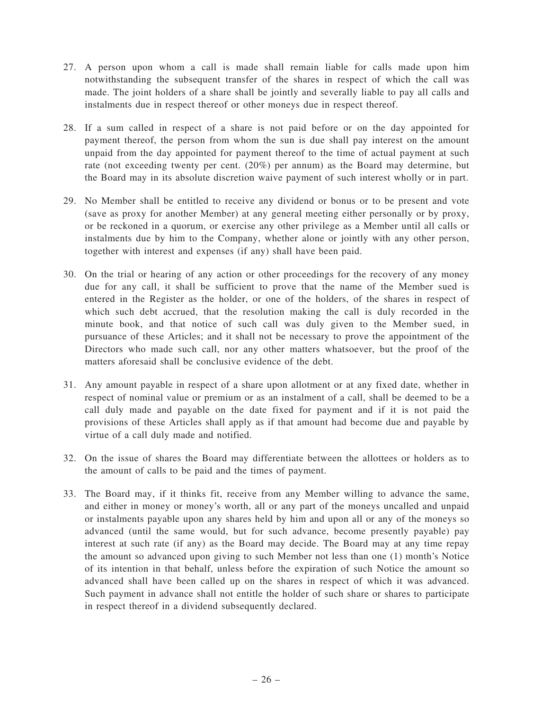- 27. A person upon whom a call is made shall remain liable for calls made upon him notwithstanding the subsequent transfer of the shares in respect of which the call was made. The joint holders of a share shall be jointly and severally liable to pay all calls and instalments due in respect thereof or other moneys due in respect thereof.
- 28. If a sum called in respect of a share is not paid before or on the day appointed for payment thereof, the person from whom the sun is due shall pay interest on the amount unpaid from the day appointed for payment thereof to the time of actual payment at such rate (not exceeding twenty per cent. (20%) per annum) as the Board may determine, but the Board may in its absolute discretion waive payment of such interest wholly or in part.
- 29. No Member shall be entitled to receive any dividend or bonus or to be present and vote (save as proxy for another Member) at any general meeting either personally or by proxy, or be reckoned in a quorum, or exercise any other privilege as a Member until all calls or instalments due by him to the Company, whether alone or jointly with any other person, together with interest and expenses (if any) shall have been paid.
- 30. On the trial or hearing of any action or other proceedings for the recovery of any money due for any call, it shall be sufficient to prove that the name of the Member sued is entered in the Register as the holder, or one of the holders, of the shares in respect of which such debt accrued, that the resolution making the call is duly recorded in the minute book, and that notice of such call was duly given to the Member sued, in pursuance of these Articles; and it shall not be necessary to prove the appointment of the Directors who made such call, nor any other matters whatsoever, but the proof of the matters aforesaid shall be conclusive evidence of the debt.
- 31. Any amount payable in respect of a share upon allotment or at any fixed date, whether in respect of nominal value or premium or as an instalment of a call, shall be deemed to be a call duly made and payable on the date fixed for payment and if it is not paid the provisions of these Articles shall apply as if that amount had become due and payable by virtue of a call duly made and notified.
- 32. On the issue of shares the Board may differentiate between the allottees or holders as to the amount of calls to be paid and the times of payment.
- 33. The Board may, if it thinks fit, receive from any Member willing to advance the same, and either in money or money's worth, all or any part of the moneys uncalled and unpaid or instalments payable upon any shares held by him and upon all or any of the moneys so advanced (until the same would, but for such advance, become presently payable) pay interest at such rate (if any) as the Board may decide. The Board may at any time repay the amount so advanced upon giving to such Member not less than one (1) month's Notice of its intention in that behalf, unless before the expiration of such Notice the amount so advanced shall have been called up on the shares in respect of which it was advanced. Such payment in advance shall not entitle the holder of such share or shares to participate in respect thereof in a dividend subsequently declared.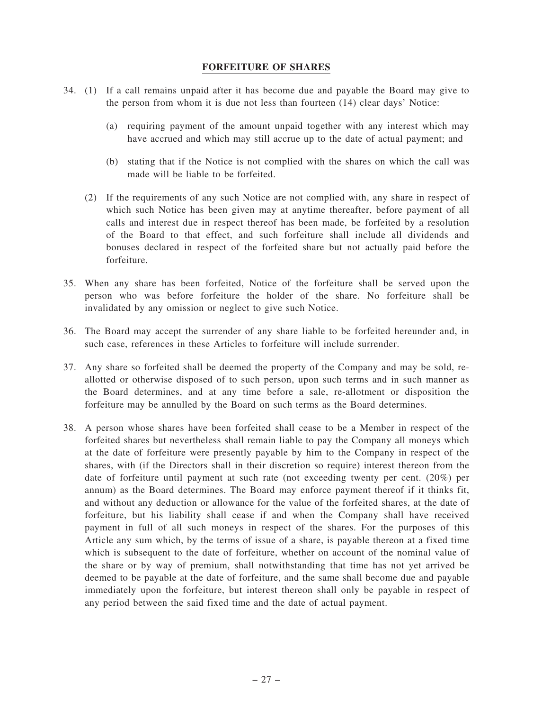#### FORFEITURE OF SHARES

- 34. (1) If a call remains unpaid after it has become due and payable the Board may give to the person from whom it is due not less than fourteen (14) clear days' Notice:
	- (a) requiring payment of the amount unpaid together with any interest which may have accrued and which may still accrue up to the date of actual payment; and
	- (b) stating that if the Notice is not complied with the shares on which the call was made will be liable to be forfeited.
	- (2) If the requirements of any such Notice are not complied with, any share in respect of which such Notice has been given may at anytime thereafter, before payment of all calls and interest due in respect thereof has been made, be forfeited by a resolution of the Board to that effect, and such forfeiture shall include all dividends and bonuses declared in respect of the forfeited share but not actually paid before the forfeiture.
- 35. When any share has been forfeited, Notice of the forfeiture shall be served upon the person who was before forfeiture the holder of the share. No forfeiture shall be invalidated by any omission or neglect to give such Notice.
- 36. The Board may accept the surrender of any share liable to be forfeited hereunder and, in such case, references in these Articles to forfeiture will include surrender.
- 37. Any share so forfeited shall be deemed the property of the Company and may be sold, reallotted or otherwise disposed of to such person, upon such terms and in such manner as the Board determines, and at any time before a sale, re-allotment or disposition the forfeiture may be annulled by the Board on such terms as the Board determines.
- 38. A person whose shares have been forfeited shall cease to be a Member in respect of the forfeited shares but nevertheless shall remain liable to pay the Company all moneys which at the date of forfeiture were presently payable by him to the Company in respect of the shares, with (if the Directors shall in their discretion so require) interest thereon from the date of forfeiture until payment at such rate (not exceeding twenty per cent. (20%) per annum) as the Board determines. The Board may enforce payment thereof if it thinks fit, and without any deduction or allowance for the value of the forfeited shares, at the date of forfeiture, but his liability shall cease if and when the Company shall have received payment in full of all such moneys in respect of the shares. For the purposes of this Article any sum which, by the terms of issue of a share, is payable thereon at a fixed time which is subsequent to the date of forfeiture, whether on account of the nominal value of the share or by way of premium, shall notwithstanding that time has not yet arrived be deemed to be payable at the date of forfeiture, and the same shall become due and payable immediately upon the forfeiture, but interest thereon shall only be payable in respect of any period between the said fixed time and the date of actual payment.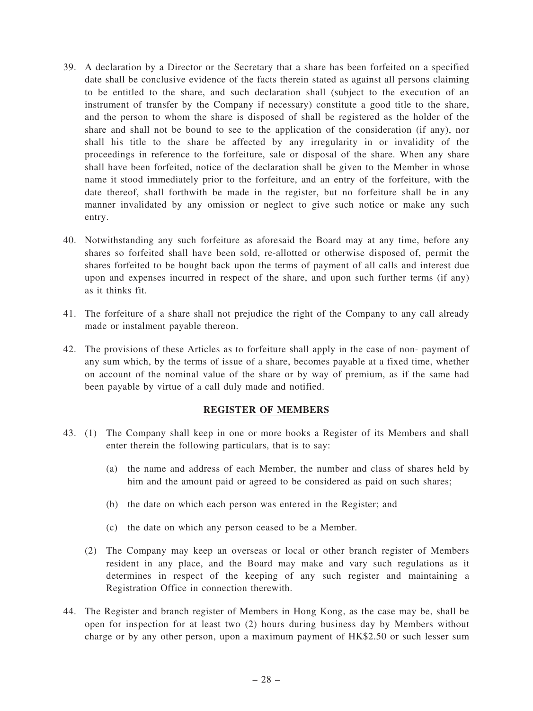- 39. A declaration by a Director or the Secretary that a share has been forfeited on a specified date shall be conclusive evidence of the facts therein stated as against all persons claiming to be entitled to the share, and such declaration shall (subject to the execution of an instrument of transfer by the Company if necessary) constitute a good title to the share, and the person to whom the share is disposed of shall be registered as the holder of the share and shall not be bound to see to the application of the consideration (if any), nor shall his title to the share be affected by any irregularity in or invalidity of the proceedings in reference to the forfeiture, sale or disposal of the share. When any share shall have been forfeited, notice of the declaration shall be given to the Member in whose name it stood immediately prior to the forfeiture, and an entry of the forfeiture, with the date thereof, shall forthwith be made in the register, but no forfeiture shall be in any manner invalidated by any omission or neglect to give such notice or make any such entry.
- 40. Notwithstanding any such forfeiture as aforesaid the Board may at any time, before any shares so forfeited shall have been sold, re-allotted or otherwise disposed of, permit the shares forfeited to be bought back upon the terms of payment of all calls and interest due upon and expenses incurred in respect of the share, and upon such further terms (if any) as it thinks fit.
- 41. The forfeiture of a share shall not prejudice the right of the Company to any call already made or instalment payable thereon.
- 42. The provisions of these Articles as to forfeiture shall apply in the case of non- payment of any sum which, by the terms of issue of a share, becomes payable at a fixed time, whether on account of the nominal value of the share or by way of premium, as if the same had been payable by virtue of a call duly made and notified.

#### REGISTER OF MEMBERS

- 43. (1) The Company shall keep in one or more books a Register of its Members and shall enter therein the following particulars, that is to say:
	- (a) the name and address of each Member, the number and class of shares held by him and the amount paid or agreed to be considered as paid on such shares;
	- (b) the date on which each person was entered in the Register; and
	- (c) the date on which any person ceased to be a Member.
	- (2) The Company may keep an overseas or local or other branch register of Members resident in any place, and the Board may make and vary such regulations as it determines in respect of the keeping of any such register and maintaining a Registration Office in connection therewith.
- 44. The Register and branch register of Members in Hong Kong, as the case may be, shall be open for inspection for at least two (2) hours during business day by Members without charge or by any other person, upon a maximum payment of HK\$2.50 or such lesser sum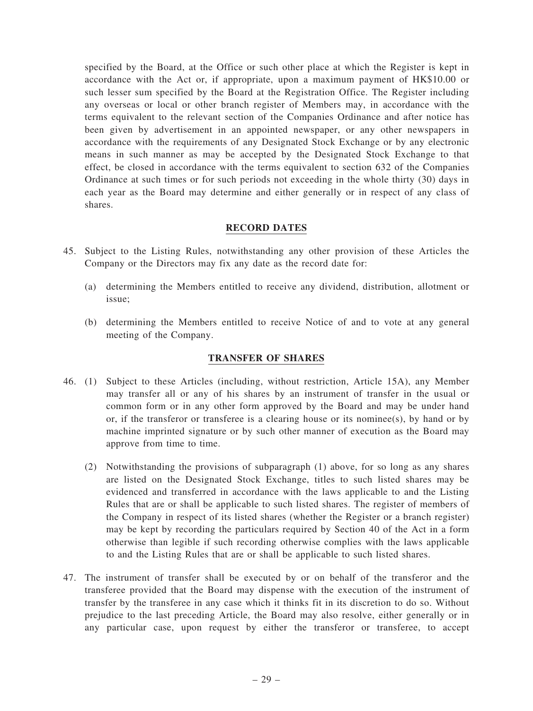specified by the Board, at the Office or such other place at which the Register is kept in accordance with the Act or, if appropriate, upon a maximum payment of HK\$10.00 or such lesser sum specified by the Board at the Registration Office. The Register including any overseas or local or other branch register of Members may, in accordance with the terms equivalent to the relevant section of the Companies Ordinance and after notice has been given by advertisement in an appointed newspaper, or any other newspapers in accordance with the requirements of any Designated Stock Exchange or by any electronic means in such manner as may be accepted by the Designated Stock Exchange to that effect, be closed in accordance with the terms equivalent to section 632 of the Companies Ordinance at such times or for such periods not exceeding in the whole thirty (30) days in each year as the Board may determine and either generally or in respect of any class of shares.

### RECORD DATES

- 45. Subject to the Listing Rules, notwithstanding any other provision of these Articles the Company or the Directors may fix any date as the record date for:
	- (a) determining the Members entitled to receive any dividend, distribution, allotment or issue;
	- (b) determining the Members entitled to receive Notice of and to vote at any general meeting of the Company.

#### TRANSFER OF SHARES

- 46. (1) Subject to these Articles (including, without restriction, Article 15A), any Member may transfer all or any of his shares by an instrument of transfer in the usual or common form or in any other form approved by the Board and may be under hand or, if the transferor or transferee is a clearing house or its nominee(s), by hand or by machine imprinted signature or by such other manner of execution as the Board may approve from time to time.
	- (2) Notwithstanding the provisions of subparagraph (1) above, for so long as any shares are listed on the Designated Stock Exchange, titles to such listed shares may be evidenced and transferred in accordance with the laws applicable to and the Listing Rules that are or shall be applicable to such listed shares. The register of members of the Company in respect of its listed shares (whether the Register or a branch register) may be kept by recording the particulars required by Section 40 of the Act in a form otherwise than legible if such recording otherwise complies with the laws applicable to and the Listing Rules that are or shall be applicable to such listed shares.
- 47. The instrument of transfer shall be executed by or on behalf of the transferor and the transferee provided that the Board may dispense with the execution of the instrument of transfer by the transferee in any case which it thinks fit in its discretion to do so. Without prejudice to the last preceding Article, the Board may also resolve, either generally or in any particular case, upon request by either the transferor or transferee, to accept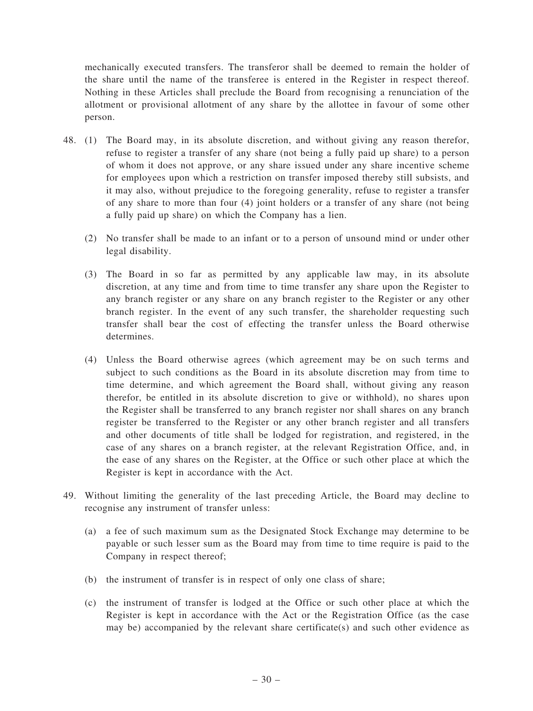mechanically executed transfers. The transferor shall be deemed to remain the holder of the share until the name of the transferee is entered in the Register in respect thereof. Nothing in these Articles shall preclude the Board from recognising a renunciation of the allotment or provisional allotment of any share by the allottee in favour of some other person.

- 48. (1) The Board may, in its absolute discretion, and without giving any reason therefor, refuse to register a transfer of any share (not being a fully paid up share) to a person of whom it does not approve, or any share issued under any share incentive scheme for employees upon which a restriction on transfer imposed thereby still subsists, and it may also, without prejudice to the foregoing generality, refuse to register a transfer of any share to more than four (4) joint holders or a transfer of any share (not being a fully paid up share) on which the Company has a lien.
	- (2) No transfer shall be made to an infant or to a person of unsound mind or under other legal disability.
	- (3) The Board in so far as permitted by any applicable law may, in its absolute discretion, at any time and from time to time transfer any share upon the Register to any branch register or any share on any branch register to the Register or any other branch register. In the event of any such transfer, the shareholder requesting such transfer shall bear the cost of effecting the transfer unless the Board otherwise determines.
	- (4) Unless the Board otherwise agrees (which agreement may be on such terms and subject to such conditions as the Board in its absolute discretion may from time to time determine, and which agreement the Board shall, without giving any reason therefor, be entitled in its absolute discretion to give or withhold), no shares upon the Register shall be transferred to any branch register nor shall shares on any branch register be transferred to the Register or any other branch register and all transfers and other documents of title shall be lodged for registration, and registered, in the case of any shares on a branch register, at the relevant Registration Office, and, in the ease of any shares on the Register, at the Office or such other place at which the Register is kept in accordance with the Act.
- 49. Without limiting the generality of the last preceding Article, the Board may decline to recognise any instrument of transfer unless:
	- (a) a fee of such maximum sum as the Designated Stock Exchange may determine to be payable or such lesser sum as the Board may from time to time require is paid to the Company in respect thereof;
	- (b) the instrument of transfer is in respect of only one class of share;
	- (c) the instrument of transfer is lodged at the Office or such other place at which the Register is kept in accordance with the Act or the Registration Office (as the case may be) accompanied by the relevant share certificate(s) and such other evidence as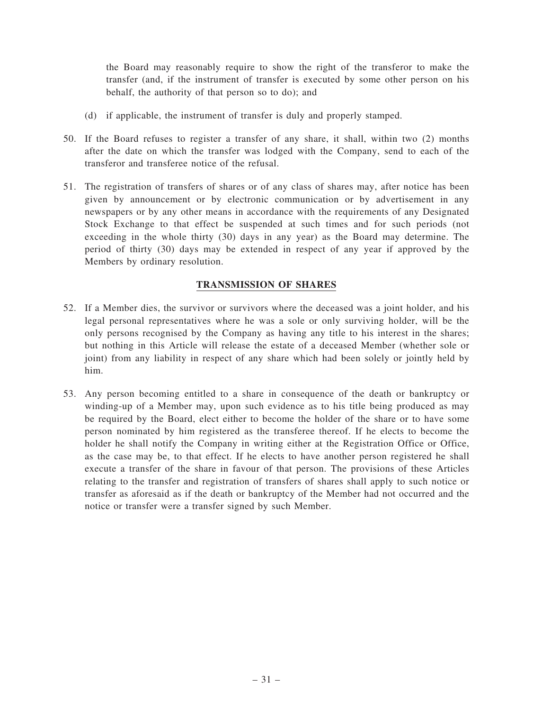the Board may reasonably require to show the right of the transferor to make the transfer (and, if the instrument of transfer is executed by some other person on his behalf, the authority of that person so to do); and

- (d) if applicable, the instrument of transfer is duly and properly stamped.
- 50. If the Board refuses to register a transfer of any share, it shall, within two (2) months after the date on which the transfer was lodged with the Company, send to each of the transferor and transferee notice of the refusal.
- 51. The registration of transfers of shares or of any class of shares may, after notice has been given by announcement or by electronic communication or by advertisement in any newspapers or by any other means in accordance with the requirements of any Designated Stock Exchange to that effect be suspended at such times and for such periods (not exceeding in the whole thirty (30) days in any year) as the Board may determine. The period of thirty (30) days may be extended in respect of any year if approved by the Members by ordinary resolution.

# TRANSMISSION OF SHARES

- 52. If a Member dies, the survivor or survivors where the deceased was a joint holder, and his legal personal representatives where he was a sole or only surviving holder, will be the only persons recognised by the Company as having any title to his interest in the shares; but nothing in this Article will release the estate of a deceased Member (whether sole or joint) from any liability in respect of any share which had been solely or jointly held by him.
- 53. Any person becoming entitled to a share in consequence of the death or bankruptcy or winding-up of a Member may, upon such evidence as to his title being produced as may be required by the Board, elect either to become the holder of the share or to have some person nominated by him registered as the transferee thereof. If he elects to become the holder he shall notify the Company in writing either at the Registration Office or Office, as the case may be, to that effect. If he elects to have another person registered he shall execute a transfer of the share in favour of that person. The provisions of these Articles relating to the transfer and registration of transfers of shares shall apply to such notice or transfer as aforesaid as if the death or bankruptcy of the Member had not occurred and the notice or transfer were a transfer signed by such Member.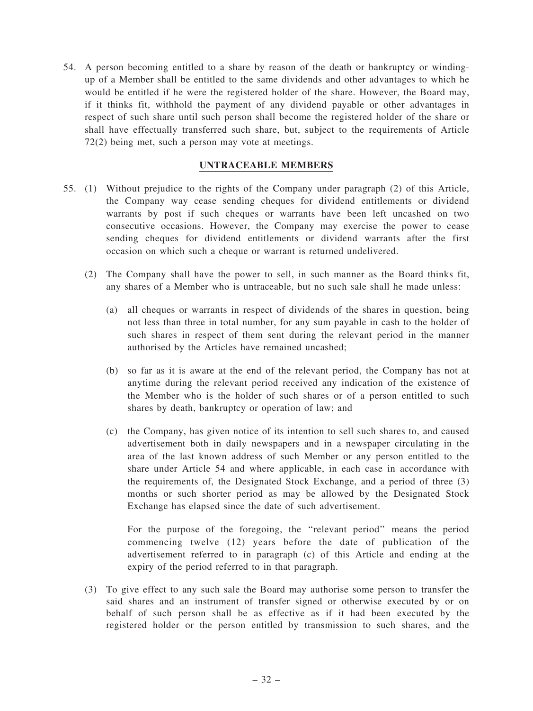54. A person becoming entitled to a share by reason of the death or bankruptcy or windingup of a Member shall be entitled to the same dividends and other advantages to which he would be entitled if he were the registered holder of the share. However, the Board may, if it thinks fit, withhold the payment of any dividend payable or other advantages in respect of such share until such person shall become the registered holder of the share or shall have effectually transferred such share, but, subject to the requirements of Article 72(2) being met, such a person may vote at meetings.

#### UNTRACEABLE MEMBERS

- 55. (1) Without prejudice to the rights of the Company under paragraph (2) of this Article, the Company way cease sending cheques for dividend entitlements or dividend warrants by post if such cheques or warrants have been left uncashed on two consecutive occasions. However, the Company may exercise the power to cease sending cheques for dividend entitlements or dividend warrants after the first occasion on which such a cheque or warrant is returned undelivered.
	- (2) The Company shall have the power to sell, in such manner as the Board thinks fit, any shares of a Member who is untraceable, but no such sale shall he made unless:
		- (a) all cheques or warrants in respect of dividends of the shares in question, being not less than three in total number, for any sum payable in cash to the holder of such shares in respect of them sent during the relevant period in the manner authorised by the Articles have remained uncashed;
		- (b) so far as it is aware at the end of the relevant period, the Company has not at anytime during the relevant period received any indication of the existence of the Member who is the holder of such shares or of a person entitled to such shares by death, bankruptcy or operation of law; and
		- (c) the Company, has given notice of its intention to sell such shares to, and caused advertisement both in daily newspapers and in a newspaper circulating in the area of the last known address of such Member or any person entitled to the share under Article 54 and where applicable, in each case in accordance with the requirements of, the Designated Stock Exchange, and a period of three (3) months or such shorter period as may be allowed by the Designated Stock Exchange has elapsed since the date of such advertisement.

For the purpose of the foregoing, the ''relevant period'' means the period commencing twelve (12) years before the date of publication of the advertisement referred to in paragraph (c) of this Article and ending at the expiry of the period referred to in that paragraph.

(3) To give effect to any such sale the Board may authorise some person to transfer the said shares and an instrument of transfer signed or otherwise executed by or on behalf of such person shall be as effective as if it had been executed by the registered holder or the person entitled by transmission to such shares, and the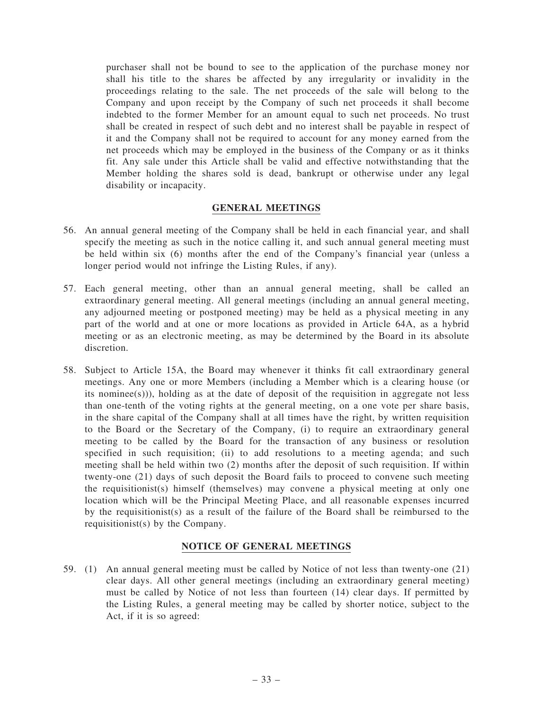purchaser shall not be bound to see to the application of the purchase money nor shall his title to the shares be affected by any irregularity or invalidity in the proceedings relating to the sale. The net proceeds of the sale will belong to the Company and upon receipt by the Company of such net proceeds it shall become indebted to the former Member for an amount equal to such net proceeds. No trust shall be created in respect of such debt and no interest shall be payable in respect of it and the Company shall not be required to account for any money earned from the net proceeds which may be employed in the business of the Company or as it thinks fit. Any sale under this Article shall be valid and effective notwithstanding that the Member holding the shares sold is dead, bankrupt or otherwise under any legal disability or incapacity.

#### GENERAL MEETINGS

- 56. An annual general meeting of the Company shall be held in each financial year, and shall specify the meeting as such in the notice calling it, and such annual general meeting must be held within six (6) months after the end of the Company's financial year (unless a longer period would not infringe the Listing Rules, if any).
- 57. Each general meeting, other than an annual general meeting, shall be called an extraordinary general meeting. All general meetings (including an annual general meeting, any adjourned meeting or postponed meeting) may be held as a physical meeting in any part of the world and at one or more locations as provided in Article 64A, as a hybrid meeting or as an electronic meeting, as may be determined by the Board in its absolute discretion.
- 58. Subject to Article 15A, the Board may whenever it thinks fit call extraordinary general meetings. Any one or more Members (including a Member which is a clearing house (or its nominee(s))), holding as at the date of deposit of the requisition in aggregate not less than one-tenth of the voting rights at the general meeting, on a one vote per share basis, in the share capital of the Company shall at all times have the right, by written requisition to the Board or the Secretary of the Company, (i) to require an extraordinary general meeting to be called by the Board for the transaction of any business or resolution specified in such requisition; (ii) to add resolutions to a meeting agenda; and such meeting shall be held within two (2) months after the deposit of such requisition. If within twenty-one (21) days of such deposit the Board fails to proceed to convene such meeting the requisitionist(s) himself (themselves) may convene a physical meeting at only one location which will be the Principal Meeting Place, and all reasonable expenses incurred by the requisitionist(s) as a result of the failure of the Board shall be reimbursed to the requisitionist(s) by the Company.

#### NOTICE OF GENERAL MEETINGS

59. (1) An annual general meeting must be called by Notice of not less than twenty-one (21) clear days. All other general meetings (including an extraordinary general meeting) must be called by Notice of not less than fourteen (14) clear days. If permitted by the Listing Rules, a general meeting may be called by shorter notice, subject to the Act, if it is so agreed: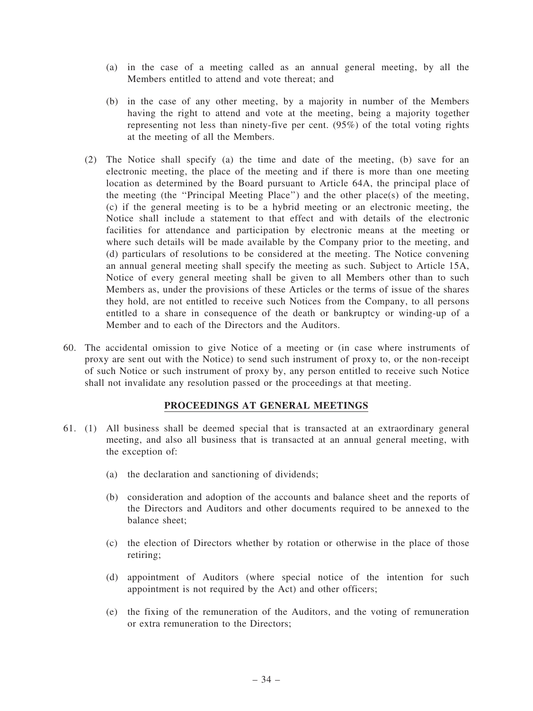- (a) in the case of a meeting called as an annual general meeting, by all the Members entitled to attend and vote thereat: and
- (b) in the case of any other meeting, by a majority in number of the Members having the right to attend and vote at the meeting, being a majority together representing not less than ninety-five per cent. (95%) of the total voting rights at the meeting of all the Members.
- (2) The Notice shall specify (a) the time and date of the meeting, (b) save for an electronic meeting, the place of the meeting and if there is more than one meeting location as determined by the Board pursuant to Article 64A, the principal place of the meeting (the ''Principal Meeting Place'') and the other place(s) of the meeting, (c) if the general meeting is to be a hybrid meeting or an electronic meeting, the Notice shall include a statement to that effect and with details of the electronic facilities for attendance and participation by electronic means at the meeting or where such details will be made available by the Company prior to the meeting, and (d) particulars of resolutions to be considered at the meeting. The Notice convening an annual general meeting shall specify the meeting as such. Subject to Article 15A, Notice of every general meeting shall be given to all Members other than to such Members as, under the provisions of these Articles or the terms of issue of the shares they hold, are not entitled to receive such Notices from the Company, to all persons entitled to a share in consequence of the death or bankruptcy or winding-up of a Member and to each of the Directors and the Auditors.
- 60. The accidental omission to give Notice of a meeting or (in case where instruments of proxy are sent out with the Notice) to send such instrument of proxy to, or the non-receipt of such Notice or such instrument of proxy by, any person entitled to receive such Notice shall not invalidate any resolution passed or the proceedings at that meeting.

#### PROCEEDINGS AT GENERAL MEETINGS

- 61. (1) All business shall be deemed special that is transacted at an extraordinary general meeting, and also all business that is transacted at an annual general meeting, with the exception of:
	- (a) the declaration and sanctioning of dividends;
	- (b) consideration and adoption of the accounts and balance sheet and the reports of the Directors and Auditors and other documents required to be annexed to the balance sheet;
	- (c) the election of Directors whether by rotation or otherwise in the place of those retiring;
	- (d) appointment of Auditors (where special notice of the intention for such appointment is not required by the Act) and other officers;
	- (e) the fixing of the remuneration of the Auditors, and the voting of remuneration or extra remuneration to the Directors;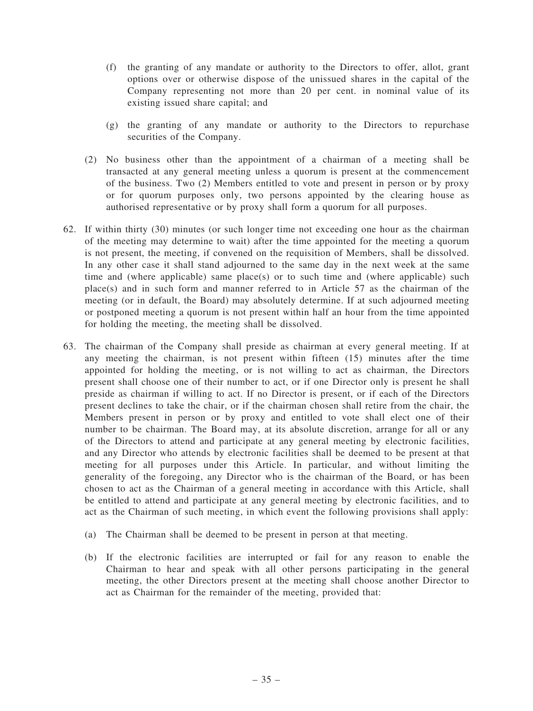- (f) the granting of any mandate or authority to the Directors to offer, allot, grant options over or otherwise dispose of the unissued shares in the capital of the Company representing not more than 20 per cent. in nominal value of its existing issued share capital; and
- (g) the granting of any mandate or authority to the Directors to repurchase securities of the Company.
- (2) No business other than the appointment of a chairman of a meeting shall be transacted at any general meeting unless a quorum is present at the commencement of the business. Two (2) Members entitled to vote and present in person or by proxy or for quorum purposes only, two persons appointed by the clearing house as authorised representative or by proxy shall form a quorum for all purposes.
- 62. If within thirty (30) minutes (or such longer time not exceeding one hour as the chairman of the meeting may determine to wait) after the time appointed for the meeting a quorum is not present, the meeting, if convened on the requisition of Members, shall be dissolved. In any other case it shall stand adjourned to the same day in the next week at the same time and (where applicable) same place(s) or to such time and (where applicable) such place(s) and in such form and manner referred to in Article 57 as the chairman of the meeting (or in default, the Board) may absolutely determine. If at such adjourned meeting or postponed meeting a quorum is not present within half an hour from the time appointed for holding the meeting, the meeting shall be dissolved.
- 63. The chairman of the Company shall preside as chairman at every general meeting. If at any meeting the chairman, is not present within fifteen (15) minutes after the time appointed for holding the meeting, or is not willing to act as chairman, the Directors present shall choose one of their number to act, or if one Director only is present he shall preside as chairman if willing to act. If no Director is present, or if each of the Directors present declines to take the chair, or if the chairman chosen shall retire from the chair, the Members present in person or by proxy and entitled to vote shall elect one of their number to be chairman. The Board may, at its absolute discretion, arrange for all or any of the Directors to attend and participate at any general meeting by electronic facilities, and any Director who attends by electronic facilities shall be deemed to be present at that meeting for all purposes under this Article. In particular, and without limiting the generality of the foregoing, any Director who is the chairman of the Board, or has been chosen to act as the Chairman of a general meeting in accordance with this Article, shall be entitled to attend and participate at any general meeting by electronic facilities, and to act as the Chairman of such meeting, in which event the following provisions shall apply:
	- (a) The Chairman shall be deemed to be present in person at that meeting.
	- (b) If the electronic facilities are interrupted or fail for any reason to enable the Chairman to hear and speak with all other persons participating in the general meeting, the other Directors present at the meeting shall choose another Director to act as Chairman for the remainder of the meeting, provided that: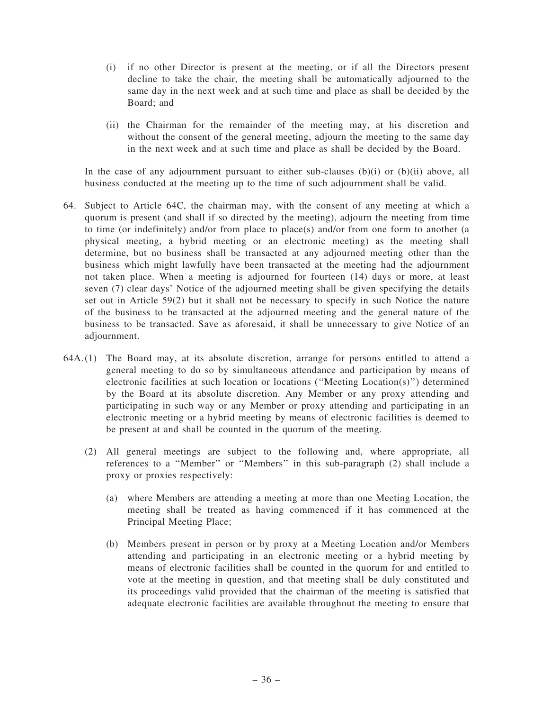- (i) if no other Director is present at the meeting, or if all the Directors present decline to take the chair, the meeting shall be automatically adjourned to the same day in the next week and at such time and place as shall be decided by the Board; and
- (ii) the Chairman for the remainder of the meeting may, at his discretion and without the consent of the general meeting, adjourn the meeting to the same day in the next week and at such time and place as shall be decided by the Board.

In the case of any adjournment pursuant to either sub-clauses (b)(i) or (b)(ii) above, all business conducted at the meeting up to the time of such adjournment shall be valid.

- 64. Subject to Article 64C, the chairman may, with the consent of any meeting at which a quorum is present (and shall if so directed by the meeting), adjourn the meeting from time to time (or indefinitely) and/or from place to place(s) and/or from one form to another (a physical meeting, a hybrid meeting or an electronic meeting) as the meeting shall determine, but no business shall be transacted at any adjourned meeting other than the business which might lawfully have been transacted at the meeting had the adjournment not taken place. When a meeting is adjourned for fourteen (14) days or more, at least seven (7) clear days' Notice of the adjourned meeting shall be given specifying the details set out in Article 59(2) but it shall not be necessary to specify in such Notice the nature of the business to be transacted at the adjourned meeting and the general nature of the business to be transacted. Save as aforesaid, it shall be unnecessary to give Notice of an adjournment.
- 64A. (1) The Board may, at its absolute discretion, arrange for persons entitled to attend a general meeting to do so by simultaneous attendance and participation by means of electronic facilities at such location or locations (''Meeting Location(s)'') determined by the Board at its absolute discretion. Any Member or any proxy attending and participating in such way or any Member or proxy attending and participating in an electronic meeting or a hybrid meeting by means of electronic facilities is deemed to be present at and shall be counted in the quorum of the meeting.
	- (2) All general meetings are subject to the following and, where appropriate, all references to a ''Member'' or ''Members'' in this sub-paragraph (2) shall include a proxy or proxies respectively:
		- (a) where Members are attending a meeting at more than one Meeting Location, the meeting shall be treated as having commenced if it has commenced at the Principal Meeting Place;
		- (b) Members present in person or by proxy at a Meeting Location and/or Members attending and participating in an electronic meeting or a hybrid meeting by means of electronic facilities shall be counted in the quorum for and entitled to vote at the meeting in question, and that meeting shall be duly constituted and its proceedings valid provided that the chairman of the meeting is satisfied that adequate electronic facilities are available throughout the meeting to ensure that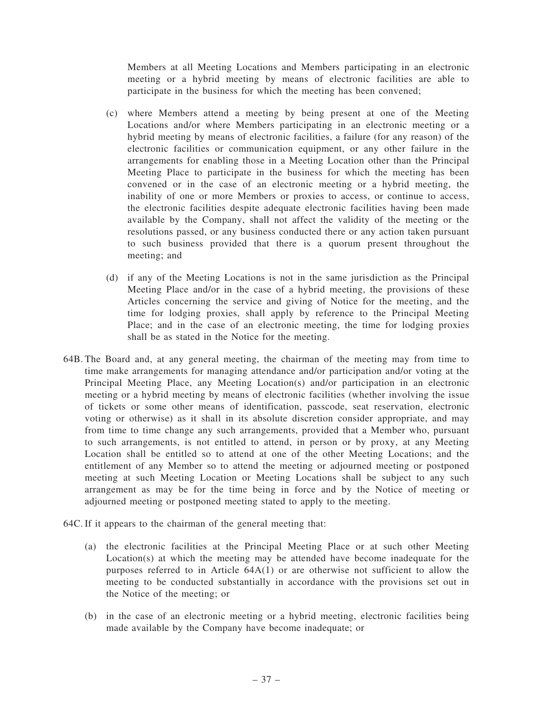Members at all Meeting Locations and Members participating in an electronic meeting or a hybrid meeting by means of electronic facilities are able to participate in the business for which the meeting has been convened;

- (c) where Members attend a meeting by being present at one of the Meeting Locations and/or where Members participating in an electronic meeting or a hybrid meeting by means of electronic facilities, a failure (for any reason) of the electronic facilities or communication equipment, or any other failure in the arrangements for enabling those in a Meeting Location other than the Principal Meeting Place to participate in the business for which the meeting has been convened or in the case of an electronic meeting or a hybrid meeting, the inability of one or more Members or proxies to access, or continue to access, the electronic facilities despite adequate electronic facilities having been made available by the Company, shall not affect the validity of the meeting or the resolutions passed, or any business conducted there or any action taken pursuant to such business provided that there is a quorum present throughout the meeting; and
- (d) if any of the Meeting Locations is not in the same jurisdiction as the Principal Meeting Place and/or in the case of a hybrid meeting, the provisions of these Articles concerning the service and giving of Notice for the meeting, and the time for lodging proxies, shall apply by reference to the Principal Meeting Place; and in the case of an electronic meeting, the time for lodging proxies shall be as stated in the Notice for the meeting.
- 64B. The Board and, at any general meeting, the chairman of the meeting may from time to time make arrangements for managing attendance and/or participation and/or voting at the Principal Meeting Place, any Meeting Location(s) and/or participation in an electronic meeting or a hybrid meeting by means of electronic facilities (whether involving the issue of tickets or some other means of identification, passcode, seat reservation, electronic voting or otherwise) as it shall in its absolute discretion consider appropriate, and may from time to time change any such arrangements, provided that a Member who, pursuant to such arrangements, is not entitled to attend, in person or by proxy, at any Meeting Location shall be entitled so to attend at one of the other Meeting Locations; and the entitlement of any Member so to attend the meeting or adjourned meeting or postponed meeting at such Meeting Location or Meeting Locations shall be subject to any such arrangement as may be for the time being in force and by the Notice of meeting or adjourned meeting or postponed meeting stated to apply to the meeting.
- 64C. If it appears to the chairman of the general meeting that:
	- (a) the electronic facilities at the Principal Meeting Place or at such other Meeting Location(s) at which the meeting may be attended have become inadequate for the purposes referred to in Article 64A(1) or are otherwise not sufficient to allow the meeting to be conducted substantially in accordance with the provisions set out in the Notice of the meeting; or
	- (b) in the case of an electronic meeting or a hybrid meeting, electronic facilities being made available by the Company have become inadequate; or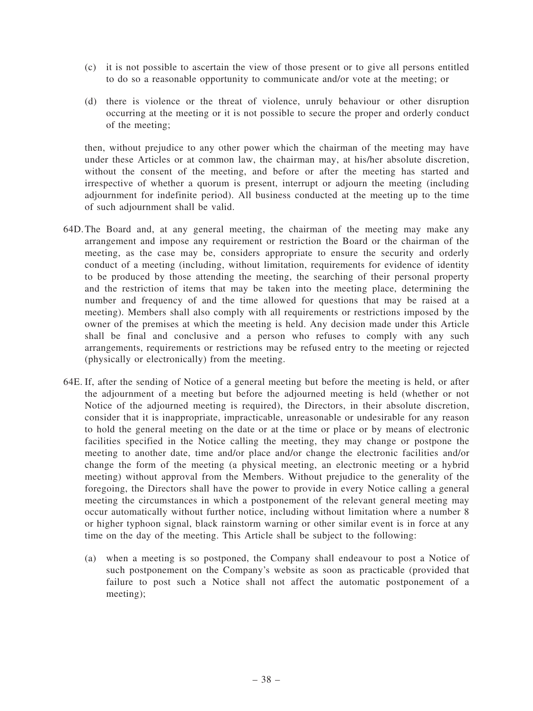- (c) it is not possible to ascertain the view of those present or to give all persons entitled to do so a reasonable opportunity to communicate and/or vote at the meeting; or
- (d) there is violence or the threat of violence, unruly behaviour or other disruption occurring at the meeting or it is not possible to secure the proper and orderly conduct of the meeting;

then, without prejudice to any other power which the chairman of the meeting may have under these Articles or at common law, the chairman may, at his/her absolute discretion, without the consent of the meeting, and before or after the meeting has started and irrespective of whether a quorum is present, interrupt or adjourn the meeting (including adjournment for indefinite period). All business conducted at the meeting up to the time of such adjournment shall be valid.

- 64D.The Board and, at any general meeting, the chairman of the meeting may make any arrangement and impose any requirement or restriction the Board or the chairman of the meeting, as the case may be, considers appropriate to ensure the security and orderly conduct of a meeting (including, without limitation, requirements for evidence of identity to be produced by those attending the meeting, the searching of their personal property and the restriction of items that may be taken into the meeting place, determining the number and frequency of and the time allowed for questions that may be raised at a meeting). Members shall also comply with all requirements or restrictions imposed by the owner of the premises at which the meeting is held. Any decision made under this Article shall be final and conclusive and a person who refuses to comply with any such arrangements, requirements or restrictions may be refused entry to the meeting or rejected (physically or electronically) from the meeting.
- 64E. If, after the sending of Notice of a general meeting but before the meeting is held, or after the adjournment of a meeting but before the adjourned meeting is held (whether or not Notice of the adjourned meeting is required), the Directors, in their absolute discretion, consider that it is inappropriate, impracticable, unreasonable or undesirable for any reason to hold the general meeting on the date or at the time or place or by means of electronic facilities specified in the Notice calling the meeting, they may change or postpone the meeting to another date, time and/or place and/or change the electronic facilities and/or change the form of the meeting (a physical meeting, an electronic meeting or a hybrid meeting) without approval from the Members. Without prejudice to the generality of the foregoing, the Directors shall have the power to provide in every Notice calling a general meeting the circumstances in which a postponement of the relevant general meeting may occur automatically without further notice, including without limitation where a number 8 or higher typhoon signal, black rainstorm warning or other similar event is in force at any time on the day of the meeting. This Article shall be subject to the following:
	- (a) when a meeting is so postponed, the Company shall endeavour to post a Notice of such postponement on the Company's website as soon as practicable (provided that failure to post such a Notice shall not affect the automatic postponement of a meeting);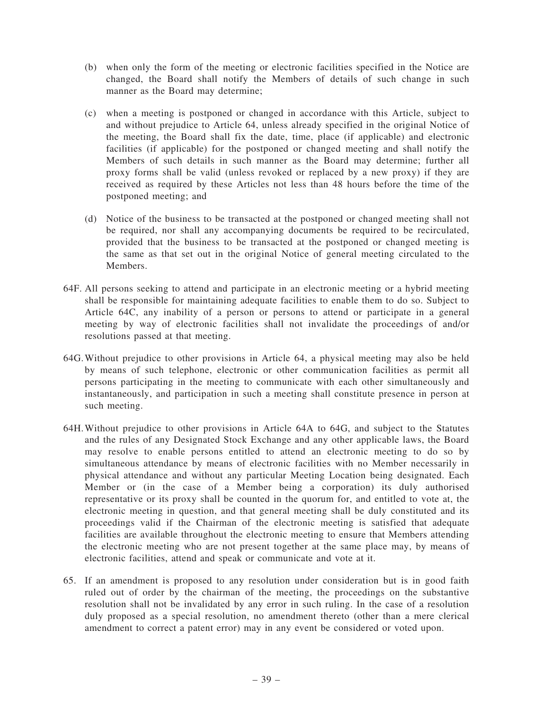- (b) when only the form of the meeting or electronic facilities specified in the Notice are changed, the Board shall notify the Members of details of such change in such manner as the Board may determine;
- (c) when a meeting is postponed or changed in accordance with this Article, subject to and without prejudice to Article 64, unless already specified in the original Notice of the meeting, the Board shall fix the date, time, place (if applicable) and electronic facilities (if applicable) for the postponed or changed meeting and shall notify the Members of such details in such manner as the Board may determine; further all proxy forms shall be valid (unless revoked or replaced by a new proxy) if they are received as required by these Articles not less than 48 hours before the time of the postponed meeting; and
- (d) Notice of the business to be transacted at the postponed or changed meeting shall not be required, nor shall any accompanying documents be required to be recirculated, provided that the business to be transacted at the postponed or changed meeting is the same as that set out in the original Notice of general meeting circulated to the Members.
- 64F. All persons seeking to attend and participate in an electronic meeting or a hybrid meeting shall be responsible for maintaining adequate facilities to enable them to do so. Subject to Article 64C, any inability of a person or persons to attend or participate in a general meeting by way of electronic facilities shall not invalidate the proceedings of and/or resolutions passed at that meeting.
- 64G.Without prejudice to other provisions in Article 64, a physical meeting may also be held by means of such telephone, electronic or other communication facilities as permit all persons participating in the meeting to communicate with each other simultaneously and instantaneously, and participation in such a meeting shall constitute presence in person at such meeting.
- 64H.Without prejudice to other provisions in Article 64A to 64G, and subject to the Statutes and the rules of any Designated Stock Exchange and any other applicable laws, the Board may resolve to enable persons entitled to attend an electronic meeting to do so by simultaneous attendance by means of electronic facilities with no Member necessarily in physical attendance and without any particular Meeting Location being designated. Each Member or (in the case of a Member being a corporation) its duly authorised representative or its proxy shall be counted in the quorum for, and entitled to vote at, the electronic meeting in question, and that general meeting shall be duly constituted and its proceedings valid if the Chairman of the electronic meeting is satisfied that adequate facilities are available throughout the electronic meeting to ensure that Members attending the electronic meeting who are not present together at the same place may, by means of electronic facilities, attend and speak or communicate and vote at it.
- 65. If an amendment is proposed to any resolution under consideration but is in good faith ruled out of order by the chairman of the meeting, the proceedings on the substantive resolution shall not be invalidated by any error in such ruling. In the case of a resolution duly proposed as a special resolution, no amendment thereto (other than a mere clerical amendment to correct a patent error) may in any event be considered or voted upon.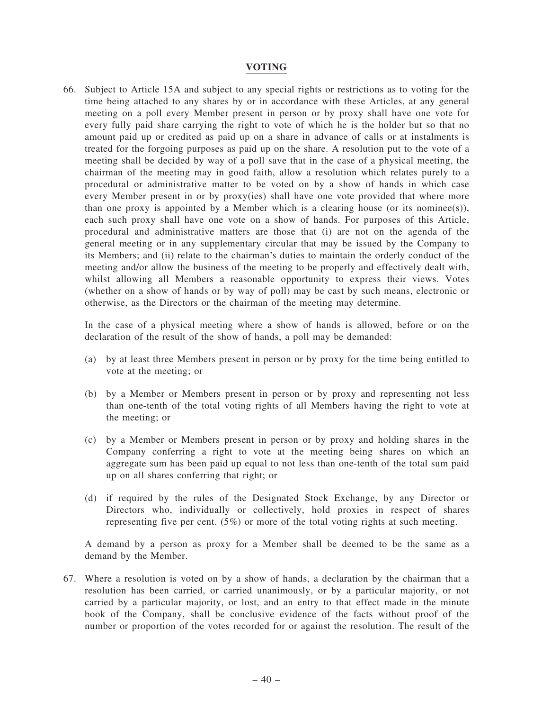## VOTING

66. Subject to Article 15A and subject to any special rights or restrictions as to voting for the time being attached to any shares by or in accordance with these Articles, at any general meeting on a poll every Member present in person or by proxy shall have one vote for every fully paid share carrying the right to vote of which he is the holder but so that no amount paid up or credited as paid up on a share in advance of calls or at instalments is treated for the forgoing purposes as paid up on the share. A resolution put to the vote of a meeting shall be decided by way of a poll save that in the case of a physical meeting, the chairman of the meeting may in good faith, allow a resolution which relates purely to a procedural or administrative matter to be voted on by a show of hands in which case every Member present in or by proxy(ies) shall have one vote provided that where more than one proxy is appointed by a Member which is a clearing house (or its nomines(s)), each such proxy shall have one vote on a show of hands. For purposes of this Article, procedural and administrative matters are those that (i) are not on the agenda of the general meeting or in any supplementary circular that may be issued by the Company to its Members; and (ii) relate to the chairman's duties to maintain the orderly conduct of the meeting and/or allow the business of the meeting to be properly and effectively dealt with, whilst allowing all Members a reasonable opportunity to express their views. Votes (whether on a show of hands or by way of poll) may be cast by such means, electronic or otherwise, as the Directors or the chairman of the meeting may determine.

In the case of a physical meeting where a show of hands is allowed, before or on the declaration of the result of the show of hands, a poll may be demanded:

- (a) by at least three Members present in person or by proxy for the time being entitled to vote at the meeting; or
- (b) by a Member or Members present in person or by proxy and representing not less than one-tenth of the total voting rights of all Members having the right to vote at the meeting; or
- (c) by a Member or Members present in person or by proxy and holding shares in the Company conferring a right to vote at the meeting being shares on which an aggregate sum has been paid up equal to not less than one-tenth of the total sum paid up on all shares conferring that right; or
- (d) if required by the rules of the Designated Stock Exchange, by any Director or Directors who, individually or collectively, hold proxies in respect of shares representing five per cent. (5%) or more of the total voting rights at such meeting.

A demand by a person as proxy for a Member shall be deemed to be the same as a demand by the Member.

67. Where a resolution is voted on by a show of hands, a declaration by the chairman that a resolution has been carried, or carried unanimously, or by a particular majority, or not carried by a particular majority, or lost, and an entry to that effect made in the minute book of the Company, shall be conclusive evidence of the facts without proof of the number or proportion of the votes recorded for or against the resolution. The result of the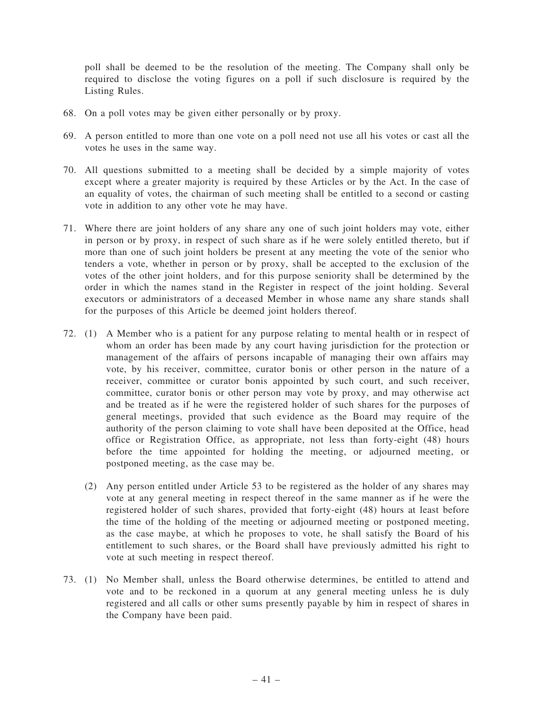poll shall be deemed to be the resolution of the meeting. The Company shall only be required to disclose the voting figures on a poll if such disclosure is required by the Listing Rules.

- 68. On a poll votes may be given either personally or by proxy.
- 69. A person entitled to more than one vote on a poll need not use all his votes or cast all the votes he uses in the same way.
- 70. All questions submitted to a meeting shall be decided by a simple majority of votes except where a greater majority is required by these Articles or by the Act. In the case of an equality of votes, the chairman of such meeting shall be entitled to a second or casting vote in addition to any other vote he may have.
- 71. Where there are joint holders of any share any one of such joint holders may vote, either in person or by proxy, in respect of such share as if he were solely entitled thereto, but if more than one of such joint holders be present at any meeting the vote of the senior who tenders a vote, whether in person or by proxy, shall be accepted to the exclusion of the votes of the other joint holders, and for this purpose seniority shall be determined by the order in which the names stand in the Register in respect of the joint holding. Several executors or administrators of a deceased Member in whose name any share stands shall for the purposes of this Article be deemed joint holders thereof.
- 72. (1) A Member who is a patient for any purpose relating to mental health or in respect of whom an order has been made by any court having jurisdiction for the protection or management of the affairs of persons incapable of managing their own affairs may vote, by his receiver, committee, curator bonis or other person in the nature of a receiver, committee or curator bonis appointed by such court, and such receiver, committee, curator bonis or other person may vote by proxy, and may otherwise act and be treated as if he were the registered holder of such shares for the purposes of general meetings, provided that such evidence as the Board may require of the authority of the person claiming to vote shall have been deposited at the Office, head office or Registration Office, as appropriate, not less than forty-eight (48) hours before the time appointed for holding the meeting, or adjourned meeting, or postponed meeting, as the case may be.
	- (2) Any person entitled under Article 53 to be registered as the holder of any shares may vote at any general meeting in respect thereof in the same manner as if he were the registered holder of such shares, provided that forty-eight (48) hours at least before the time of the holding of the meeting or adjourned meeting or postponed meeting, as the case maybe, at which he proposes to vote, he shall satisfy the Board of his entitlement to such shares, or the Board shall have previously admitted his right to vote at such meeting in respect thereof.
- 73. (1) No Member shall, unless the Board otherwise determines, be entitled to attend and vote and to be reckoned in a quorum at any general meeting unless he is duly registered and all calls or other sums presently payable by him in respect of shares in the Company have been paid.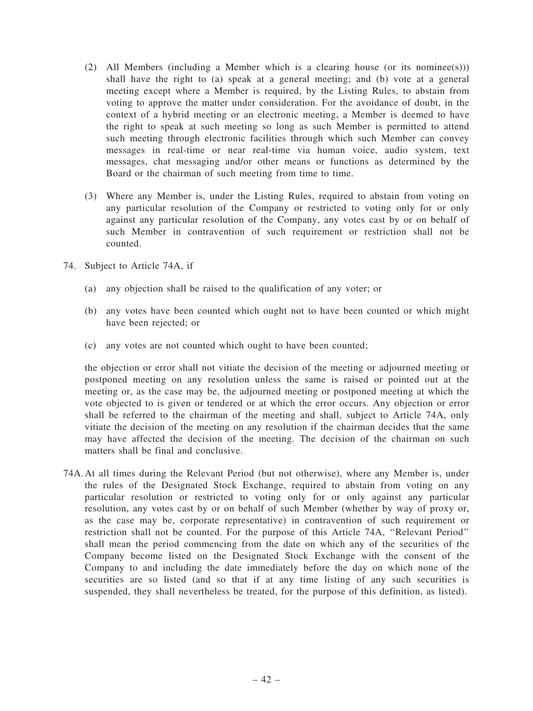- (2) All Members (including a Member which is a clearing house (or its nominee(s))) shall have the right to (a) speak at a general meeting; and (b) vote at a general meeting except where a Member is required, by the Listing Rules, to abstain from voting to approve the matter under consideration. For the avoidance of doubt, in the context of a hybrid meeting or an electronic meeting, a Member is deemed to have the right to speak at such meeting so long as such Member is permitted to attend such meeting through electronic facilities through which such Member can convey messages in real-time or near real-time via human voice, audio system, text messages, chat messaging and/or other means or functions as determined by the Board or the chairman of such meeting from time to time.
- (3) Where any Member is, under the Listing Rules, required to abstain from voting on any particular resolution of the Company or restricted to voting only for or only against any particular resolution of the Company, any votes cast by or on behalf of such Member in contravention of such requirement or restriction shall not be counted.
- 74. Subject to Article 74A, if
	- (a) any objection shall be raised to the qualification of any voter; or
	- (b) any votes have been counted which ought not to have been counted or which might have been rejected; or
	- (c) any votes are not counted which ought to have been counted;

the objection or error shall not vitiate the decision of the meeting or adjourned meeting or postponed meeting on any resolution unless the same is raised or pointed out at the meeting or, as the case may be, the adjourned meeting or postponed meeting at which the vote objected to is given or tendered or at which the error occurs. Any objection or error shall be referred to the chairman of the meeting and shall, subject to Article 74A, only vitiate the decision of the meeting on any resolution if the chairman decides that the same may have affected the decision of the meeting. The decision of the chairman on such matters shall be final and conclusive.

74A.At all times during the Relevant Period (but not otherwise), where any Member is, under the rules of the Designated Stock Exchange, required to abstain from voting on any particular resolution or restricted to voting only for or only against any particular resolution, any votes cast by or on behalf of such Member (whether by way of proxy or, as the case may be, corporate representative) in contravention of such requirement or restriction shall not be counted. For the purpose of this Article 74A, ''Relevant Period'' shall mean the period commencing from the date on which any of the securities of the Company become listed on the Designated Stock Exchange with the consent of the Company to and including the date immediately before the day on which none of the securities are so listed (and so that if at any time listing of any such securities is suspended, they shall nevertheless be treated, for the purpose of this definition, as listed).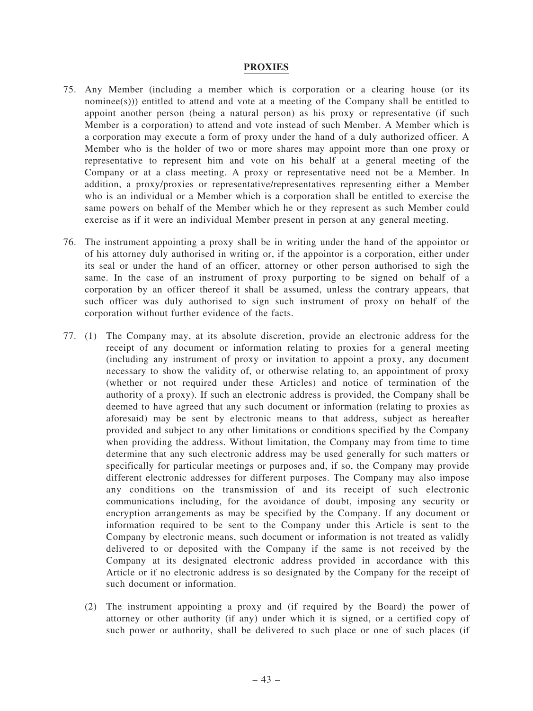## PROXIES

- 75. Any Member (including a member which is corporation or a clearing house (or its nominee(s))) entitled to attend and vote at a meeting of the Company shall be entitled to appoint another person (being a natural person) as his proxy or representative (if such Member is a corporation) to attend and vote instead of such Member. A Member which is a corporation may execute a form of proxy under the hand of a duly authorized officer. A Member who is the holder of two or more shares may appoint more than one proxy or representative to represent him and vote on his behalf at a general meeting of the Company or at a class meeting. A proxy or representative need not be a Member. In addition, a proxy/proxies or representative/representatives representing either a Member who is an individual or a Member which is a corporation shall be entitled to exercise the same powers on behalf of the Member which he or they represent as such Member could exercise as if it were an individual Member present in person at any general meeting.
- 76. The instrument appointing a proxy shall be in writing under the hand of the appointor or of his attorney duly authorised in writing or, if the appointor is a corporation, either under its seal or under the hand of an officer, attorney or other person authorised to sigh the same. In the case of an instrument of proxy purporting to be signed on behalf of a corporation by an officer thereof it shall be assumed, unless the contrary appears, that such officer was duly authorised to sign such instrument of proxy on behalf of the corporation without further evidence of the facts.
- 77. (1) The Company may, at its absolute discretion, provide an electronic address for the receipt of any document or information relating to proxies for a general meeting (including any instrument of proxy or invitation to appoint a proxy, any document necessary to show the validity of, or otherwise relating to, an appointment of proxy (whether or not required under these Articles) and notice of termination of the authority of a proxy). If such an electronic address is provided, the Company shall be deemed to have agreed that any such document or information (relating to proxies as aforesaid) may be sent by electronic means to that address, subject as hereafter provided and subject to any other limitations or conditions specified by the Company when providing the address. Without limitation, the Company may from time to time determine that any such electronic address may be used generally for such matters or specifically for particular meetings or purposes and, if so, the Company may provide different electronic addresses for different purposes. The Company may also impose any conditions on the transmission of and its receipt of such electronic communications including, for the avoidance of doubt, imposing any security or encryption arrangements as may be specified by the Company. If any document or information required to be sent to the Company under this Article is sent to the Company by electronic means, such document or information is not treated as validly delivered to or deposited with the Company if the same is not received by the Company at its designated electronic address provided in accordance with this Article or if no electronic address is so designated by the Company for the receipt of such document or information.
	- (2) The instrument appointing a proxy and (if required by the Board) the power of attorney or other authority (if any) under which it is signed, or a certified copy of such power or authority, shall be delivered to such place or one of such places (if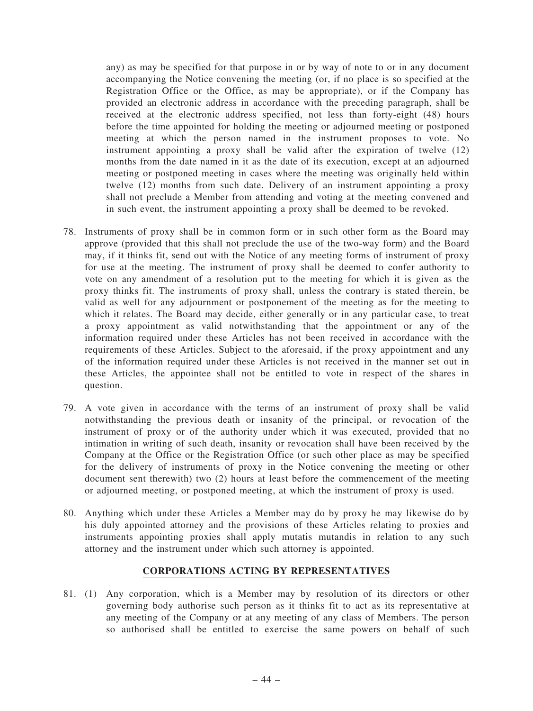any) as may be specified for that purpose in or by way of note to or in any document accompanying the Notice convening the meeting (or, if no place is so specified at the Registration Office or the Office, as may be appropriate), or if the Company has provided an electronic address in accordance with the preceding paragraph, shall be received at the electronic address specified, not less than forty-eight (48) hours before the time appointed for holding the meeting or adjourned meeting or postponed meeting at which the person named in the instrument proposes to vote. No instrument appointing a proxy shall be valid after the expiration of twelve (12) months from the date named in it as the date of its execution, except at an adjourned meeting or postponed meeting in cases where the meeting was originally held within twelve (12) months from such date. Delivery of an instrument appointing a proxy shall not preclude a Member from attending and voting at the meeting convened and in such event, the instrument appointing a proxy shall be deemed to be revoked.

- 78. Instruments of proxy shall be in common form or in such other form as the Board may approve (provided that this shall not preclude the use of the two-way form) and the Board may, if it thinks fit, send out with the Notice of any meeting forms of instrument of proxy for use at the meeting. The instrument of proxy shall be deemed to confer authority to vote on any amendment of a resolution put to the meeting for which it is given as the proxy thinks fit. The instruments of proxy shall, unless the contrary is stated therein, be valid as well for any adjournment or postponement of the meeting as for the meeting to which it relates. The Board may decide, either generally or in any particular case, to treat a proxy appointment as valid notwithstanding that the appointment or any of the information required under these Articles has not been received in accordance with the requirements of these Articles. Subject to the aforesaid, if the proxy appointment and any of the information required under these Articles is not received in the manner set out in these Articles, the appointee shall not be entitled to vote in respect of the shares in question.
- 79. A vote given in accordance with the terms of an instrument of proxy shall be valid notwithstanding the previous death or insanity of the principal, or revocation of the instrument of proxy or of the authority under which it was executed, provided that no intimation in writing of such death, insanity or revocation shall have been received by the Company at the Office or the Registration Office (or such other place as may be specified for the delivery of instruments of proxy in the Notice convening the meeting or other document sent therewith) two (2) hours at least before the commencement of the meeting or adjourned meeting, or postponed meeting, at which the instrument of proxy is used.
- 80. Anything which under these Articles a Member may do by proxy he may likewise do by his duly appointed attorney and the provisions of these Articles relating to proxies and instruments appointing proxies shall apply mutatis mutandis in relation to any such attorney and the instrument under which such attorney is appointed.

## CORPORATIONS ACTING BY REPRESENTATIVES

81. (1) Any corporation, which is a Member may by resolution of its directors or other governing body authorise such person as it thinks fit to act as its representative at any meeting of the Company or at any meeting of any class of Members. The person so authorised shall be entitled to exercise the same powers on behalf of such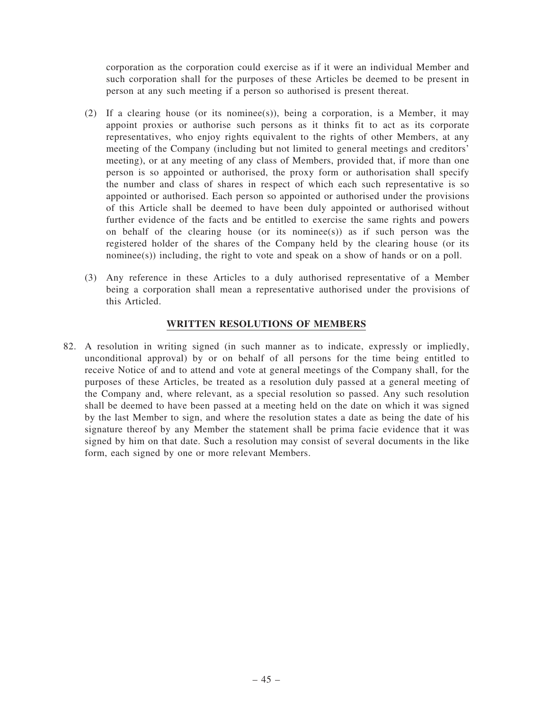corporation as the corporation could exercise as if it were an individual Member and such corporation shall for the purposes of these Articles be deemed to be present in person at any such meeting if a person so authorised is present thereat.

- (2) If a clearing house (or its nominee(s)), being a corporation, is a Member, it may appoint proxies or authorise such persons as it thinks fit to act as its corporate representatives, who enjoy rights equivalent to the rights of other Members, at any meeting of the Company (including but not limited to general meetings and creditors' meeting), or at any meeting of any class of Members, provided that, if more than one person is so appointed or authorised, the proxy form or authorisation shall specify the number and class of shares in respect of which each such representative is so appointed or authorised. Each person so appointed or authorised under the provisions of this Article shall be deemed to have been duly appointed or authorised without further evidence of the facts and be entitled to exercise the same rights and powers on behalf of the clearing house (or its nominee(s)) as if such person was the registered holder of the shares of the Company held by the clearing house (or its nominee(s)) including, the right to vote and speak on a show of hands or on a poll.
- (3) Any reference in these Articles to a duly authorised representative of a Member being a corporation shall mean a representative authorised under the provisions of this Articled.

## WRITTEN RESOLUTIONS OF MEMBERS

82. A resolution in writing signed (in such manner as to indicate, expressly or impliedly, unconditional approval) by or on behalf of all persons for the time being entitled to receive Notice of and to attend and vote at general meetings of the Company shall, for the purposes of these Articles, be treated as a resolution duly passed at a general meeting of the Company and, where relevant, as a special resolution so passed. Any such resolution shall be deemed to have been passed at a meeting held on the date on which it was signed by the last Member to sign, and where the resolution states a date as being the date of his signature thereof by any Member the statement shall be prima facie evidence that it was signed by him on that date. Such a resolution may consist of several documents in the like form, each signed by one or more relevant Members.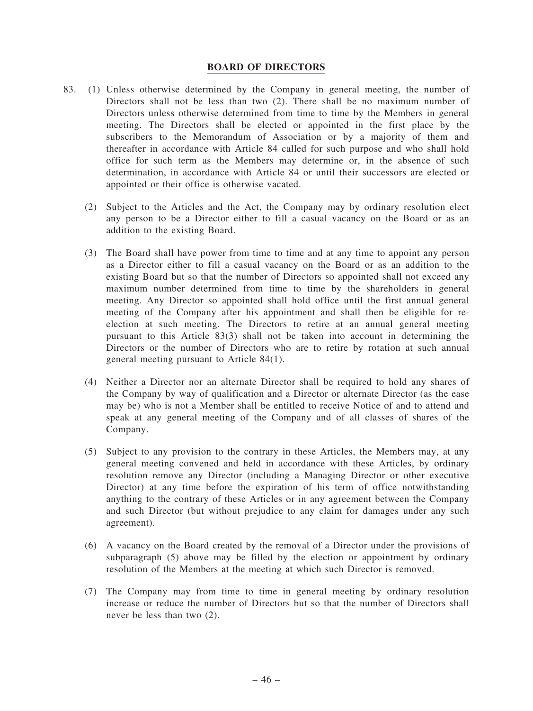### BOARD OF DIRECTORS

- 83. (1) Unless otherwise determined by the Company in general meeting, the number of Directors shall not be less than two (2). There shall be no maximum number of Directors unless otherwise determined from time to time by the Members in general meeting. The Directors shall be elected or appointed in the first place by the subscribers to the Memorandum of Association or by a majority of them and thereafter in accordance with Article 84 called for such purpose and who shall hold office for such term as the Members may determine or, in the absence of such determination, in accordance with Article 84 or until their successors are elected or appointed or their office is otherwise vacated.
	- (2) Subject to the Articles and the Act, the Company may by ordinary resolution elect any person to be a Director either to fill a casual vacancy on the Board or as an addition to the existing Board.
	- (3) The Board shall have power from time to time and at any time to appoint any person as a Director either to fill a casual vacancy on the Board or as an addition to the existing Board but so that the number of Directors so appointed shall not exceed any maximum number determined from time to time by the shareholders in general meeting. Any Director so appointed shall hold office until the first annual general meeting of the Company after his appointment and shall then be eligible for reelection at such meeting. The Directors to retire at an annual general meeting pursuant to this Article 83(3) shall not be taken into account in determining the Directors or the number of Directors who are to retire by rotation at such annual general meeting pursuant to Article 84(1).
	- (4) Neither a Director nor an alternate Director shall be required to hold any shares of the Company by way of qualification and a Director or alternate Director (as the ease may be) who is not a Member shall be entitled to receive Notice of and to attend and speak at any general meeting of the Company and of all classes of shares of the Company.
	- (5) Subject to any provision to the contrary in these Articles, the Members may, at any general meeting convened and held in accordance with these Articles, by ordinary resolution remove any Director (including a Managing Director or other executive Director) at any time before the expiration of his term of office notwithstanding anything to the contrary of these Articles or in any agreement between the Company and such Director (but without prejudice to any claim for damages under any such agreement).
	- (6) A vacancy on the Board created by the removal of a Director under the provisions of subparagraph (5) above may be filled by the election or appointment by ordinary resolution of the Members at the meeting at which such Director is removed.
	- (7) The Company may from time to time in general meeting by ordinary resolution increase or reduce the number of Directors but so that the number of Directors shall never be less than two (2).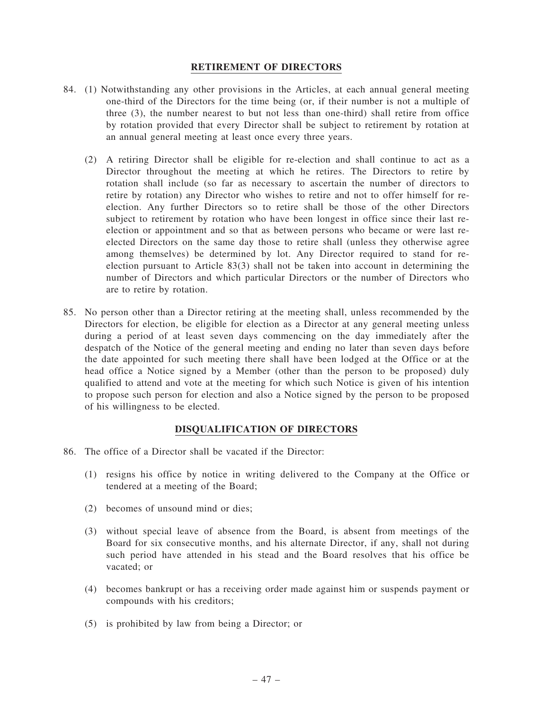## RETIREMENT OF DIRECTORS

- 84. (1) Notwithstanding any other provisions in the Articles, at each annual general meeting one-third of the Directors for the time being (or, if their number is not a multiple of three (3), the number nearest to but not less than one-third) shall retire from office by rotation provided that every Director shall be subject to retirement by rotation at an annual general meeting at least once every three years.
	- (2) A retiring Director shall be eligible for re-election and shall continue to act as a Director throughout the meeting at which he retires. The Directors to retire by rotation shall include (so far as necessary to ascertain the number of directors to retire by rotation) any Director who wishes to retire and not to offer himself for reelection. Any further Directors so to retire shall be those of the other Directors subject to retirement by rotation who have been longest in office since their last reelection or appointment and so that as between persons who became or were last reelected Directors on the same day those to retire shall (unless they otherwise agree among themselves) be determined by lot. Any Director required to stand for reelection pursuant to Article 83(3) shall not be taken into account in determining the number of Directors and which particular Directors or the number of Directors who are to retire by rotation.
- 85. No person other than a Director retiring at the meeting shall, unless recommended by the Directors for election, be eligible for election as a Director at any general meeting unless during a period of at least seven days commencing on the day immediately after the despatch of the Notice of the general meeting and ending no later than seven days before the date appointed for such meeting there shall have been lodged at the Office or at the head office a Notice signed by a Member (other than the person to be proposed) duly qualified to attend and vote at the meeting for which such Notice is given of his intention to propose such person for election and also a Notice signed by the person to be proposed of his willingness to be elected.

## DISQUALIFICATION OF DIRECTORS

- 86. The office of a Director shall be vacated if the Director:
	- (1) resigns his office by notice in writing delivered to the Company at the Office or tendered at a meeting of the Board;
	- (2) becomes of unsound mind or dies;
	- (3) without special leave of absence from the Board, is absent from meetings of the Board for six consecutive months, and his alternate Director, if any, shall not during such period have attended in his stead and the Board resolves that his office be vacated; or
	- (4) becomes bankrupt or has a receiving order made against him or suspends payment or compounds with his creditors;
	- (5) is prohibited by law from being a Director; or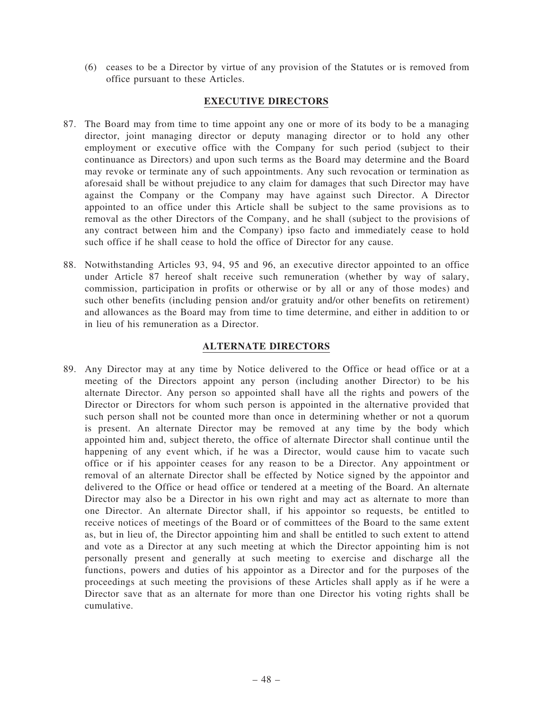(6) ceases to be a Director by virtue of any provision of the Statutes or is removed from office pursuant to these Articles.

## EXECUTIVE DIRECTORS

- 87. The Board may from time to time appoint any one or more of its body to be a managing director, joint managing director or deputy managing director or to hold any other employment or executive office with the Company for such period (subject to their continuance as Directors) and upon such terms as the Board may determine and the Board may revoke or terminate any of such appointments. Any such revocation or termination as aforesaid shall be without prejudice to any claim for damages that such Director may have against the Company or the Company may have against such Director. A Director appointed to an office under this Article shall be subject to the same provisions as to removal as the other Directors of the Company, and he shall (subject to the provisions of any contract between him and the Company) ipso facto and immediately cease to hold such office if he shall cease to hold the office of Director for any cause.
- 88. Notwithstanding Articles 93, 94, 95 and 96, an executive director appointed to an office under Article 87 hereof shalt receive such remuneration (whether by way of salary, commission, participation in profits or otherwise or by all or any of those modes) and such other benefits (including pension and/or gratuity and/or other benefits on retirement) and allowances as the Board may from time to time determine, and either in addition to or in lieu of his remuneration as a Director.

## ALTERNATE DIRECTORS

89. Any Director may at any time by Notice delivered to the Office or head office or at a meeting of the Directors appoint any person (including another Director) to be his alternate Director. Any person so appointed shall have all the rights and powers of the Director or Directors for whom such person is appointed in the alternative provided that such person shall not be counted more than once in determining whether or not a quorum is present. An alternate Director may be removed at any time by the body which appointed him and, subject thereto, the office of alternate Director shall continue until the happening of any event which, if he was a Director, would cause him to vacate such office or if his appointer ceases for any reason to be a Director. Any appointment or removal of an alternate Director shall be effected by Notice signed by the appointor and delivered to the Office or head office or tendered at a meeting of the Board. An alternate Director may also be a Director in his own right and may act as alternate to more than one Director. An alternate Director shall, if his appointor so requests, be entitled to receive notices of meetings of the Board or of committees of the Board to the same extent as, but in lieu of, the Director appointing him and shall be entitled to such extent to attend and vote as a Director at any such meeting at which the Director appointing him is not personally present and generally at such meeting to exercise and discharge all the functions, powers and duties of his appointor as a Director and for the purposes of the proceedings at such meeting the provisions of these Articles shall apply as if he were a Director save that as an alternate for more than one Director his voting rights shall be cumulative.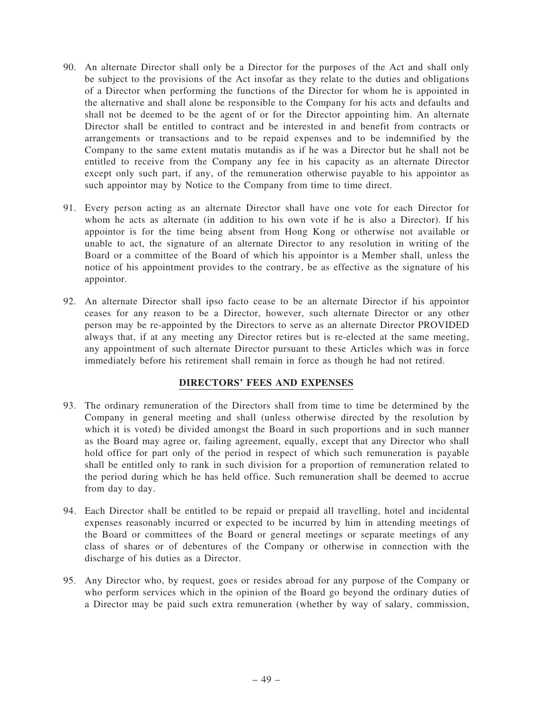- 90. An alternate Director shall only be a Director for the purposes of the Act and shall only be subject to the provisions of the Act insofar as they relate to the duties and obligations of a Director when performing the functions of the Director for whom he is appointed in the alternative and shall alone be responsible to the Company for his acts and defaults and shall not be deemed to be the agent of or for the Director appointing him. An alternate Director shall be entitled to contract and be interested in and benefit from contracts or arrangements or transactions and to be repaid expenses and to be indemnified by the Company to the same extent mutatis mutandis as if he was a Director but he shall not be entitled to receive from the Company any fee in his capacity as an alternate Director except only such part, if any, of the remuneration otherwise payable to his appointor as such appointor may by Notice to the Company from time to time direct.
- 91. Every person acting as an alternate Director shall have one vote for each Director for whom he acts as alternate (in addition to his own vote if he is also a Director). If his appointor is for the time being absent from Hong Kong or otherwise not available or unable to act, the signature of an alternate Director to any resolution in writing of the Board or a committee of the Board of which his appointor is a Member shall, unless the notice of his appointment provides to the contrary, be as effective as the signature of his appointor.
- 92. An alternate Director shall ipso facto cease to be an alternate Director if his appointor ceases for any reason to be a Director, however, such alternate Director or any other person may be re-appointed by the Directors to serve as an alternate Director PROVIDED always that, if at any meeting any Director retires but is re-elected at the same meeting, any appointment of such alternate Director pursuant to these Articles which was in force immediately before his retirement shall remain in force as though he had not retired.

## DIRECTORS' FEES AND EXPENSES

- 93. The ordinary remuneration of the Directors shall from time to time be determined by the Company in general meeting and shall (unless otherwise directed by the resolution by which it is voted) be divided amongst the Board in such proportions and in such manner as the Board may agree or, failing agreement, equally, except that any Director who shall hold office for part only of the period in respect of which such remuneration is payable shall be entitled only to rank in such division for a proportion of remuneration related to the period during which he has held office. Such remuneration shall be deemed to accrue from day to day.
- 94. Each Director shall be entitled to be repaid or prepaid all travelling, hotel and incidental expenses reasonably incurred or expected to be incurred by him in attending meetings of the Board or committees of the Board or general meetings or separate meetings of any class of shares or of debentures of the Company or otherwise in connection with the discharge of his duties as a Director.
- 95. Any Director who, by request, goes or resides abroad for any purpose of the Company or who perform services which in the opinion of the Board go beyond the ordinary duties of a Director may be paid such extra remuneration (whether by way of salary, commission,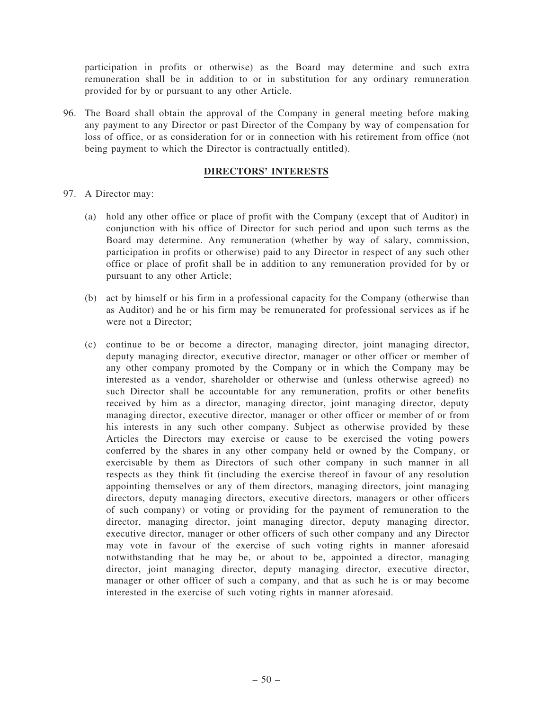participation in profits or otherwise) as the Board may determine and such extra remuneration shall be in addition to or in substitution for any ordinary remuneration provided for by or pursuant to any other Article.

96. The Board shall obtain the approval of the Company in general meeting before making any payment to any Director or past Director of the Company by way of compensation for loss of office, or as consideration for or in connection with his retirement from office (not being payment to which the Director is contractually entitled).

# DIRECTORS' INTERESTS

- 97. A Director may:
	- (a) hold any other office or place of profit with the Company (except that of Auditor) in conjunction with his office of Director for such period and upon such terms as the Board may determine. Any remuneration (whether by way of salary, commission, participation in profits or otherwise) paid to any Director in respect of any such other office or place of profit shall be in addition to any remuneration provided for by or pursuant to any other Article;
	- (b) act by himself or his firm in a professional capacity for the Company (otherwise than as Auditor) and he or his firm may be remunerated for professional services as if he were not a Director;
	- (c) continue to be or become a director, managing director, joint managing director, deputy managing director, executive director, manager or other officer or member of any other company promoted by the Company or in which the Company may be interested as a vendor, shareholder or otherwise and (unless otherwise agreed) no such Director shall be accountable for any remuneration, profits or other benefits received by him as a director, managing director, joint managing director, deputy managing director, executive director, manager or other officer or member of or from his interests in any such other company. Subject as otherwise provided by these Articles the Directors may exercise or cause to be exercised the voting powers conferred by the shares in any other company held or owned by the Company, or exercisable by them as Directors of such other company in such manner in all respects as they think fit (including the exercise thereof in favour of any resolution appointing themselves or any of them directors, managing directors, joint managing directors, deputy managing directors, executive directors, managers or other officers of such company) or voting or providing for the payment of remuneration to the director, managing director, joint managing director, deputy managing director, executive director, manager or other officers of such other company and any Director may vote in favour of the exercise of such voting rights in manner aforesaid notwithstanding that he may be, or about to be, appointed a director, managing director, joint managing director, deputy managing director, executive director, manager or other officer of such a company, and that as such he is or may become interested in the exercise of such voting rights in manner aforesaid.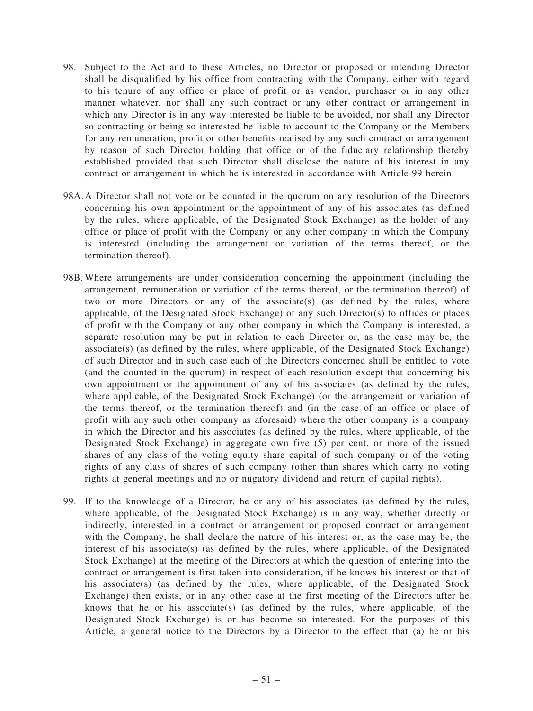- 98. Subject to the Act and to these Articles, no Director or proposed or intending Director shall be disqualified by his office from contracting with the Company, either with regard to his tenure of any office or place of profit or as vendor, purchaser or in any other manner whatever, nor shall any such contract or any other contract or arrangement in which any Director is in any way interested be liable to be avoided, nor shall any Director so contracting or being so interested be liable to account to the Company or the Members for any remuneration, profit or other benefits realised by any such contract or arrangement by reason of such Director holding that office or of the fiduciary relationship thereby established provided that such Director shall disclose the nature of his interest in any contract or arrangement in which he is interested in accordance with Article 99 herein.
- 98A.A Director shall not vote or be counted in the quorum on any resolution of the Directors concerning his own appointment or the appointment of any of his associates (as defined by the rules, where applicable, of the Designated Stock Exchange) as the holder of any office or place of profit with the Company or any other company in which the Company is interested (including the arrangement or variation of the terms thereof, or the termination thereof).
- 98B.Where arrangements are under consideration concerning the appointment (including the arrangement, remuneration or variation of the terms thereof, or the termination thereof) of two or more Directors or any of the associate(s) (as defined by the rules, where applicable, of the Designated Stock Exchange) of any such Director(s) to offices or places of profit with the Company or any other company in which the Company is interested, a separate resolution may be put in relation to each Director or, as the case may be, the associate(s) (as defined by the rules, where applicable, of the Designated Stock Exchange) of such Director and in such case each of the Directors concerned shall be entitled to vote (and the counted in the quorum) in respect of each resolution except that concerning his own appointment or the appointment of any of his associates (as defined by the rules, where applicable, of the Designated Stock Exchange) (or the arrangement or variation of the terms thereof, or the termination thereof) and (in the case of an office or place of profit with any such other company as aforesaid) where the other company is a company in which the Director and his associates (as defined by the rules, where applicable, of the Designated Stock Exchange) in aggregate own five (5) per cent. or more of the issued shares of any class of the voting equity share capital of such company or of the voting rights of any class of shares of such company (other than shares which carry no voting rights at general meetings and no or nugatory dividend and return of capital rights).
- 99. If to the knowledge of a Director, he or any of his associates (as defined by the rules, where applicable, of the Designated Stock Exchange) is in any way, whether directly or indirectly, interested in a contract or arrangement or proposed contract or arrangement with the Company, he shall declare the nature of his interest or, as the case may be, the interest of his associate(s) (as defined by the rules, where applicable, of the Designated Stock Exchange) at the meeting of the Directors at which the question of entering into the contract or arrangement is first taken into consideration, if he knows his interest or that of his associate(s) (as defined by the rules, where applicable, of the Designated Stock Exchange) then exists, or in any other case at the first meeting of the Directors after he knows that he or his associate(s) (as defined by the rules, where applicable, of the Designated Stock Exchange) is or has become so interested. For the purposes of this Article, a general notice to the Directors by a Director to the effect that (a) he or his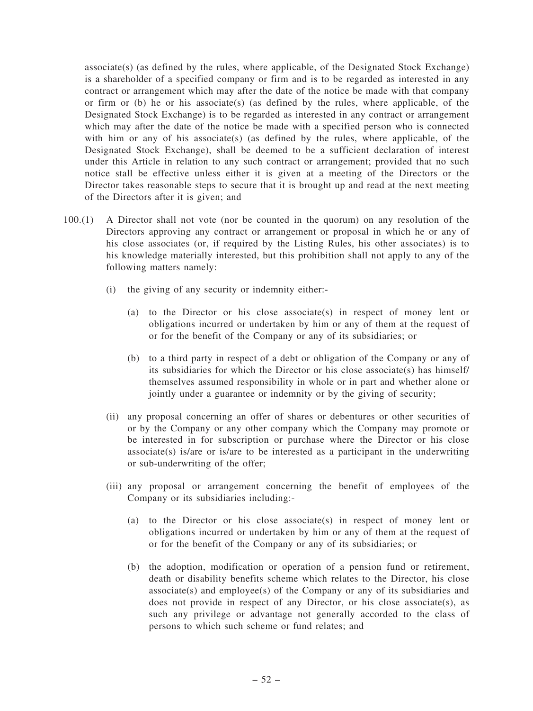$associate(s)$  (as defined by the rules, where applicable, of the Designated Stock Exchange) is a shareholder of a specified company or firm and is to be regarded as interested in any contract or arrangement which may after the date of the notice be made with that company or firm or (b) he or his associate(s) (as defined by the rules, where applicable, of the Designated Stock Exchange) is to be regarded as interested in any contract or arrangement which may after the date of the notice be made with a specified person who is connected with him or any of his associate(s) (as defined by the rules, where applicable, of the Designated Stock Exchange), shall be deemed to be a sufficient declaration of interest under this Article in relation to any such contract or arrangement; provided that no such notice stall be effective unless either it is given at a meeting of the Directors or the Director takes reasonable steps to secure that it is brought up and read at the next meeting of the Directors after it is given; and

- 100.(1) A Director shall not vote (nor be counted in the quorum) on any resolution of the Directors approving any contract or arrangement or proposal in which he or any of his close associates (or, if required by the Listing Rules, his other associates) is to his knowledge materially interested, but this prohibition shall not apply to any of the following matters namely:
	- (i) the giving of any security or indemnity either:-
		- (a) to the Director or his close associate(s) in respect of money lent or obligations incurred or undertaken by him or any of them at the request of or for the benefit of the Company or any of its subsidiaries; or
		- (b) to a third party in respect of a debt or obligation of the Company or any of its subsidiaries for which the Director or his close associate(s) has himself/ themselves assumed responsibility in whole or in part and whether alone or jointly under a guarantee or indemnity or by the giving of security;
	- (ii) any proposal concerning an offer of shares or debentures or other securities of or by the Company or any other company which the Company may promote or be interested in for subscription or purchase where the Director or his close  $associate(s)$  is/are or is/are to be interested as a participant in the underwriting or sub-underwriting of the offer;
	- (iii) any proposal or arrangement concerning the benefit of employees of the Company or its subsidiaries including:-
		- (a) to the Director or his close associate(s) in respect of money lent or obligations incurred or undertaken by him or any of them at the request of or for the benefit of the Company or any of its subsidiaries; or
		- (b) the adoption, modification or operation of a pension fund or retirement, death or disability benefits scheme which relates to the Director, his close associate(s) and employee(s) of the Company or any of its subsidiaries and does not provide in respect of any Director, or his close associate(s), as such any privilege or advantage not generally accorded to the class of persons to which such scheme or fund relates; and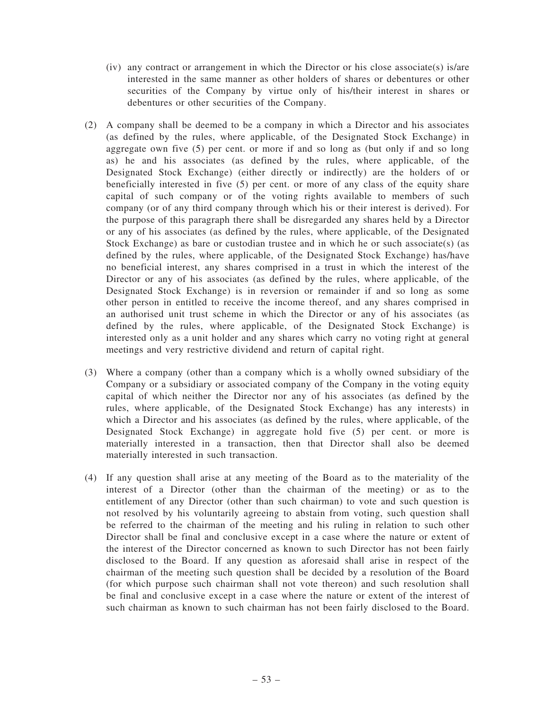- (iv) any contract or arrangement in which the Director or his close associate(s) is/are interested in the same manner as other holders of shares or debentures or other securities of the Company by virtue only of his/their interest in shares or debentures or other securities of the Company.
- (2) A company shall be deemed to be a company in which a Director and his associates (as defined by the rules, where applicable, of the Designated Stock Exchange) in aggregate own five (5) per cent. or more if and so long as (but only if and so long as) he and his associates (as defined by the rules, where applicable, of the Designated Stock Exchange) (either directly or indirectly) are the holders of or beneficially interested in five (5) per cent. or more of any class of the equity share capital of such company or of the voting rights available to members of such company (or of any third company through which his or their interest is derived). For the purpose of this paragraph there shall be disregarded any shares held by a Director or any of his associates (as defined by the rules, where applicable, of the Designated Stock Exchange) as bare or custodian trustee and in which he or such associate(s) (as defined by the rules, where applicable, of the Designated Stock Exchange) has/have no beneficial interest, any shares comprised in a trust in which the interest of the Director or any of his associates (as defined by the rules, where applicable, of the Designated Stock Exchange) is in reversion or remainder if and so long as some other person in entitled to receive the income thereof, and any shares comprised in an authorised unit trust scheme in which the Director or any of his associates (as defined by the rules, where applicable, of the Designated Stock Exchange) is interested only as a unit holder and any shares which carry no voting right at general meetings and very restrictive dividend and return of capital right.
- (3) Where a company (other than a company which is a wholly owned subsidiary of the Company or a subsidiary or associated company of the Company in the voting equity capital of which neither the Director nor any of his associates (as defined by the rules, where applicable, of the Designated Stock Exchange) has any interests) in which a Director and his associates (as defined by the rules, where applicable, of the Designated Stock Exchange) in aggregate hold five (5) per cent. or more is materially interested in a transaction, then that Director shall also be deemed materially interested in such transaction.
- (4) If any question shall arise at any meeting of the Board as to the materiality of the interest of a Director (other than the chairman of the meeting) or as to the entitlement of any Director (other than such chairman) to vote and such question is not resolved by his voluntarily agreeing to abstain from voting, such question shall be referred to the chairman of the meeting and his ruling in relation to such other Director shall be final and conclusive except in a case where the nature or extent of the interest of the Director concerned as known to such Director has not been fairly disclosed to the Board. If any question as aforesaid shall arise in respect of the chairman of the meeting such question shall be decided by a resolution of the Board (for which purpose such chairman shall not vote thereon) and such resolution shall be final and conclusive except in a case where the nature or extent of the interest of such chairman as known to such chairman has not been fairly disclosed to the Board.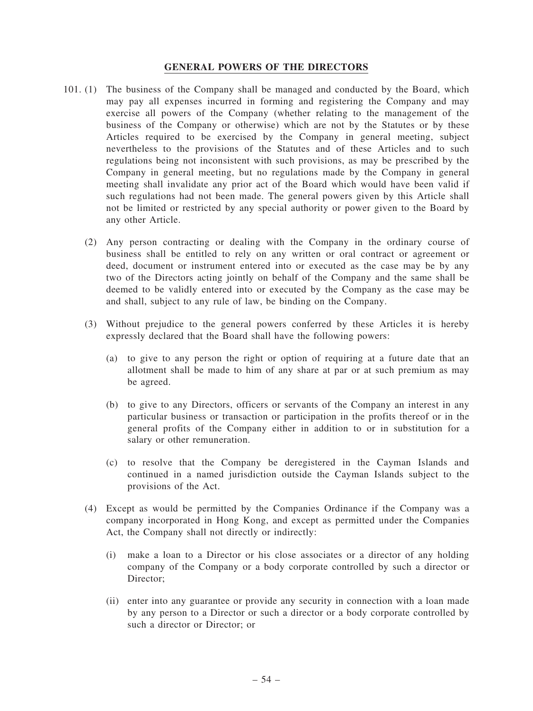### GENERAL POWERS OF THE DIRECTORS

- 101. (1) The business of the Company shall be managed and conducted by the Board, which may pay all expenses incurred in forming and registering the Company and may exercise all powers of the Company (whether relating to the management of the business of the Company or otherwise) which are not by the Statutes or by these Articles required to be exercised by the Company in general meeting, subject nevertheless to the provisions of the Statutes and of these Articles and to such regulations being not inconsistent with such provisions, as may be prescribed by the Company in general meeting, but no regulations made by the Company in general meeting shall invalidate any prior act of the Board which would have been valid if such regulations had not been made. The general powers given by this Article shall not be limited or restricted by any special authority or power given to the Board by any other Article.
	- (2) Any person contracting or dealing with the Company in the ordinary course of business shall be entitled to rely on any written or oral contract or agreement or deed, document or instrument entered into or executed as the case may be by any two of the Directors acting jointly on behalf of the Company and the same shall be deemed to be validly entered into or executed by the Company as the case may be and shall, subject to any rule of law, be binding on the Company.
	- (3) Without prejudice to the general powers conferred by these Articles it is hereby expressly declared that the Board shall have the following powers:
		- (a) to give to any person the right or option of requiring at a future date that an allotment shall be made to him of any share at par or at such premium as may be agreed.
		- (b) to give to any Directors, officers or servants of the Company an interest in any particular business or transaction or participation in the profits thereof or in the general profits of the Company either in addition to or in substitution for a salary or other remuneration.
		- (c) to resolve that the Company be deregistered in the Cayman Islands and continued in a named jurisdiction outside the Cayman Islands subject to the provisions of the Act.
	- (4) Except as would be permitted by the Companies Ordinance if the Company was a company incorporated in Hong Kong, and except as permitted under the Companies Act, the Company shall not directly or indirectly:
		- (i) make a loan to a Director or his close associates or a director of any holding company of the Company or a body corporate controlled by such a director or Director:
		- (ii) enter into any guarantee or provide any security in connection with a loan made by any person to a Director or such a director or a body corporate controlled by such a director or Director; or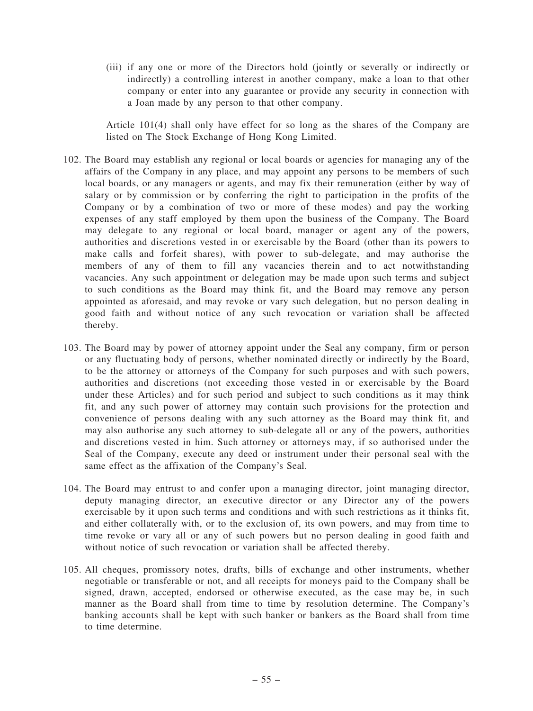(iii) if any one or more of the Directors hold (jointly or severally or indirectly or indirectly) a controlling interest in another company, make a loan to that other company or enter into any guarantee or provide any security in connection with a Joan made by any person to that other company.

Article 101(4) shall only have effect for so long as the shares of the Company are listed on The Stock Exchange of Hong Kong Limited.

- 102. The Board may establish any regional or local boards or agencies for managing any of the affairs of the Company in any place, and may appoint any persons to be members of such local boards, or any managers or agents, and may fix their remuneration (either by way of salary or by commission or by conferring the right to participation in the profits of the Company or by a combination of two or more of these modes) and pay the working expenses of any staff employed by them upon the business of the Company. The Board may delegate to any regional or local board, manager or agent any of the powers, authorities and discretions vested in or exercisable by the Board (other than its powers to make calls and forfeit shares), with power to sub-delegate, and may authorise the members of any of them to fill any vacancies therein and to act notwithstanding vacancies. Any such appointment or delegation may be made upon such terms and subject to such conditions as the Board may think fit, and the Board may remove any person appointed as aforesaid, and may revoke or vary such delegation, but no person dealing in good faith and without notice of any such revocation or variation shall be affected thereby.
- 103. The Board may by power of attorney appoint under the Seal any company, firm or person or any fluctuating body of persons, whether nominated directly or indirectly by the Board, to be the attorney or attorneys of the Company for such purposes and with such powers, authorities and discretions (not exceeding those vested in or exercisable by the Board under these Articles) and for such period and subject to such conditions as it may think fit, and any such power of attorney may contain such provisions for the protection and convenience of persons dealing with any such attorney as the Board may think fit, and may also authorise any such attorney to sub-delegate all or any of the powers, authorities and discretions vested in him. Such attorney or attorneys may, if so authorised under the Seal of the Company, execute any deed or instrument under their personal seal with the same effect as the affixation of the Company's Seal.
- 104. The Board may entrust to and confer upon a managing director, joint managing director, deputy managing director, an executive director or any Director any of the powers exercisable by it upon such terms and conditions and with such restrictions as it thinks fit, and either collaterally with, or to the exclusion of, its own powers, and may from time to time revoke or vary all or any of such powers but no person dealing in good faith and without notice of such revocation or variation shall be affected thereby.
- 105. All cheques, promissory notes, drafts, bills of exchange and other instruments, whether negotiable or transferable or not, and all receipts for moneys paid to the Company shall be signed, drawn, accepted, endorsed or otherwise executed, as the case may be, in such manner as the Board shall from time to time by resolution determine. The Company's banking accounts shall be kept with such banker or bankers as the Board shall from time to time determine.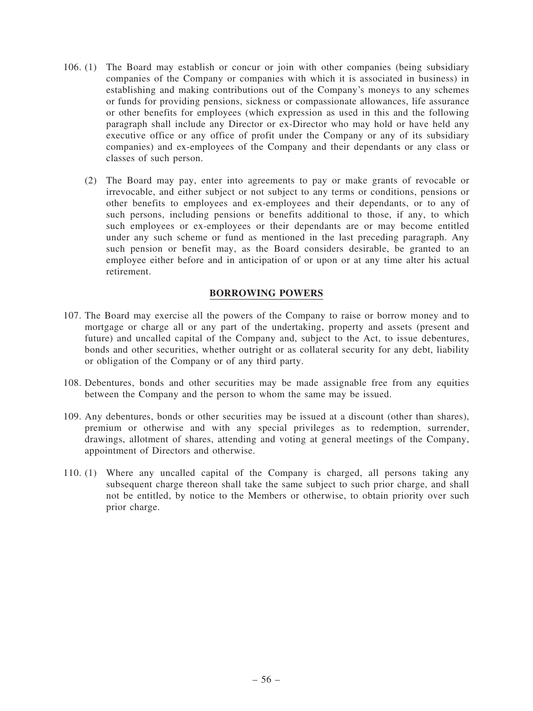- 106. (1) The Board may establish or concur or join with other companies (being subsidiary companies of the Company or companies with which it is associated in business) in establishing and making contributions out of the Company's moneys to any schemes or funds for providing pensions, sickness or compassionate allowances, life assurance or other benefits for employees (which expression as used in this and the following paragraph shall include any Director or ex-Director who may hold or have held any executive office or any office of profit under the Company or any of its subsidiary companies) and ex-employees of the Company and their dependants or any class or classes of such person.
	- (2) The Board may pay, enter into agreements to pay or make grants of revocable or irrevocable, and either subject or not subject to any terms or conditions, pensions or other benefits to employees and ex-employees and their dependants, or to any of such persons, including pensions or benefits additional to those, if any, to which such employees or ex-employees or their dependants are or may become entitled under any such scheme or fund as mentioned in the last preceding paragraph. Any such pension or benefit may, as the Board considers desirable, be granted to an employee either before and in anticipation of or upon or at any time alter his actual retirement.

## BORROWING POWERS

- 107. The Board may exercise all the powers of the Company to raise or borrow money and to mortgage or charge all or any part of the undertaking, property and assets (present and future) and uncalled capital of the Company and, subject to the Act, to issue debentures, bonds and other securities, whether outright or as collateral security for any debt, liability or obligation of the Company or of any third party.
- 108. Debentures, bonds and other securities may be made assignable free from any equities between the Company and the person to whom the same may be issued.
- 109. Any debentures, bonds or other securities may be issued at a discount (other than shares), premium or otherwise and with any special privileges as to redemption, surrender, drawings, allotment of shares, attending and voting at general meetings of the Company, appointment of Directors and otherwise.
- 110. (1) Where any uncalled capital of the Company is charged, all persons taking any subsequent charge thereon shall take the same subject to such prior charge, and shall not be entitled, by notice to the Members or otherwise, to obtain priority over such prior charge.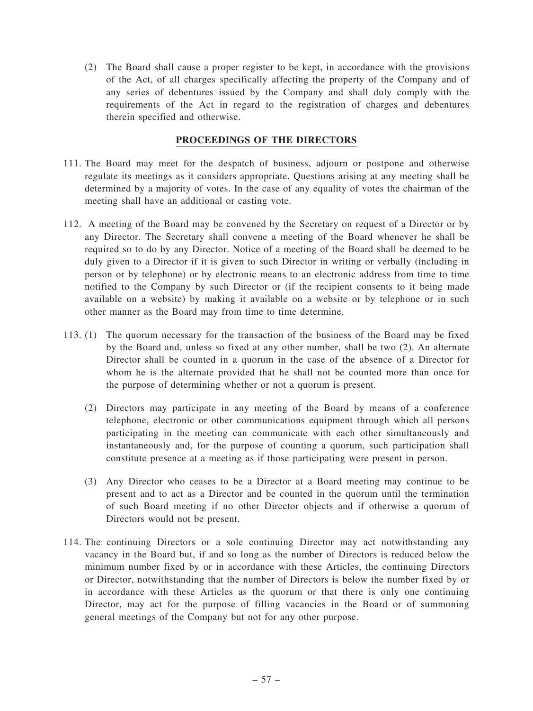(2) The Board shall cause a proper register to be kept, in accordance with the provisions of the Act, of all charges specifically affecting the property of the Company and of any series of debentures issued by the Company and shall duly comply with the requirements of the Act in regard to the registration of charges and debentures therein specified and otherwise.

# PROCEEDINGS OF THE DIRECTORS

- 111. The Board may meet for the despatch of business, adjourn or postpone and otherwise regulate its meetings as it considers appropriate. Questions arising at any meeting shall be determined by a majority of votes. In the case of any equality of votes the chairman of the meeting shall have an additional or casting vote.
- 112. A meeting of the Board may be convened by the Secretary on request of a Director or by any Director. The Secretary shall convene a meeting of the Board whenever he shall be required so to do by any Director. Notice of a meeting of the Board shall be deemed to be duly given to a Director if it is given to such Director in writing or verbally (including in person or by telephone) or by electronic means to an electronic address from time to time notified to the Company by such Director or (if the recipient consents to it being made available on a website) by making it available on a website or by telephone or in such other manner as the Board may from time to time determine.
- 113. (1) The quorum necessary for the transaction of the business of the Board may be fixed by the Board and, unless so fixed at any other number, shall be two (2). An alternate Director shall be counted in a quorum in the case of the absence of a Director for whom he is the alternate provided that he shall not be counted more than once for the purpose of determining whether or not a quorum is present.
	- (2) Directors may participate in any meeting of the Board by means of a conference telephone, electronic or other communications equipment through which all persons participating in the meeting can communicate with each other simultaneously and instantaneously and, for the purpose of counting a quorum, such participation shall constitute presence at a meeting as if those participating were present in person.
	- (3) Any Director who ceases to be a Director at a Board meeting may continue to be present and to act as a Director and be counted in the quorum until the termination of such Board meeting if no other Director objects and if otherwise a quorum of Directors would not be present.
- 114. The continuing Directors or a sole continuing Director may act notwithstanding any vacancy in the Board but, if and so long as the number of Directors is reduced below the minimum number fixed by or in accordance with these Articles, the continuing Directors or Director, notwithstanding that the number of Directors is below the number fixed by or in accordance with these Articles as the quorum or that there is only one continuing Director, may act for the purpose of filling vacancies in the Board or of summoning general meetings of the Company but not for any other purpose.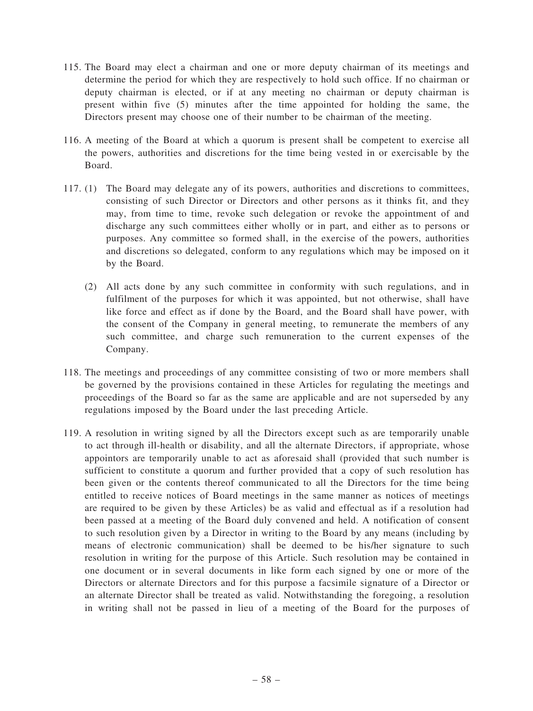- 115. The Board may elect a chairman and one or more deputy chairman of its meetings and determine the period for which they are respectively to hold such office. If no chairman or deputy chairman is elected, or if at any meeting no chairman or deputy chairman is present within five (5) minutes after the time appointed for holding the same, the Directors present may choose one of their number to be chairman of the meeting.
- 116. A meeting of the Board at which a quorum is present shall be competent to exercise all the powers, authorities and discretions for the time being vested in or exercisable by the Board.
- 117. (1) The Board may delegate any of its powers, authorities and discretions to committees, consisting of such Director or Directors and other persons as it thinks fit, and they may, from time to time, revoke such delegation or revoke the appointment of and discharge any such committees either wholly or in part, and either as to persons or purposes. Any committee so formed shall, in the exercise of the powers, authorities and discretions so delegated, conform to any regulations which may be imposed on it by the Board.
	- (2) All acts done by any such committee in conformity with such regulations, and in fulfilment of the purposes for which it was appointed, but not otherwise, shall have like force and effect as if done by the Board, and the Board shall have power, with the consent of the Company in general meeting, to remunerate the members of any such committee, and charge such remuneration to the current expenses of the Company.
- 118. The meetings and proceedings of any committee consisting of two or more members shall be governed by the provisions contained in these Articles for regulating the meetings and proceedings of the Board so far as the same are applicable and are not superseded by any regulations imposed by the Board under the last preceding Article.
- 119. A resolution in writing signed by all the Directors except such as are temporarily unable to act through ill-health or disability, and all the alternate Directors, if appropriate, whose appointors are temporarily unable to act as aforesaid shall (provided that such number is sufficient to constitute a quorum and further provided that a copy of such resolution has been given or the contents thereof communicated to all the Directors for the time being entitled to receive notices of Board meetings in the same manner as notices of meetings are required to be given by these Articles) be as valid and effectual as if a resolution had been passed at a meeting of the Board duly convened and held. A notification of consent to such resolution given by a Director in writing to the Board by any means (including by means of electronic communication) shall be deemed to be his/her signature to such resolution in writing for the purpose of this Article. Such resolution may be contained in one document or in several documents in like form each signed by one or more of the Directors or alternate Directors and for this purpose a facsimile signature of a Director or an alternate Director shall be treated as valid. Notwithstanding the foregoing, a resolution in writing shall not be passed in lieu of a meeting of the Board for the purposes of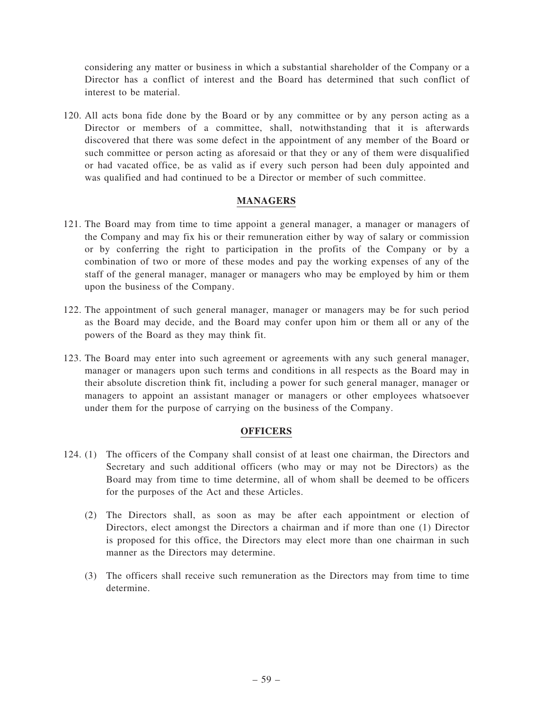considering any matter or business in which a substantial shareholder of the Company or a Director has a conflict of interest and the Board has determined that such conflict of interest to be material.

120. All acts bona fide done by the Board or by any committee or by any person acting as a Director or members of a committee, shall, notwithstanding that it is afterwards discovered that there was some defect in the appointment of any member of the Board or such committee or person acting as aforesaid or that they or any of them were disqualified or had vacated office, be as valid as if every such person had been duly appointed and was qualified and had continued to be a Director or member of such committee.

# MANAGERS

- 121. The Board may from time to time appoint a general manager, a manager or managers of the Company and may fix his or their remuneration either by way of salary or commission or by conferring the right to participation in the profits of the Company or by a combination of two or more of these modes and pay the working expenses of any of the staff of the general manager, manager or managers who may be employed by him or them upon the business of the Company.
- 122. The appointment of such general manager, manager or managers may be for such period as the Board may decide, and the Board may confer upon him or them all or any of the powers of the Board as they may think fit.
- 123. The Board may enter into such agreement or agreements with any such general manager, manager or managers upon such terms and conditions in all respects as the Board may in their absolute discretion think fit, including a power for such general manager, manager or managers to appoint an assistant manager or managers or other employees whatsoever under them for the purpose of carrying on the business of the Company.

## **OFFICERS**

- 124. (1) The officers of the Company shall consist of at least one chairman, the Directors and Secretary and such additional officers (who may or may not be Directors) as the Board may from time to time determine, all of whom shall be deemed to be officers for the purposes of the Act and these Articles.
	- (2) The Directors shall, as soon as may be after each appointment or election of Directors, elect amongst the Directors a chairman and if more than one (1) Director is proposed for this office, the Directors may elect more than one chairman in such manner as the Directors may determine.
	- (3) The officers shall receive such remuneration as the Directors may from time to time determine.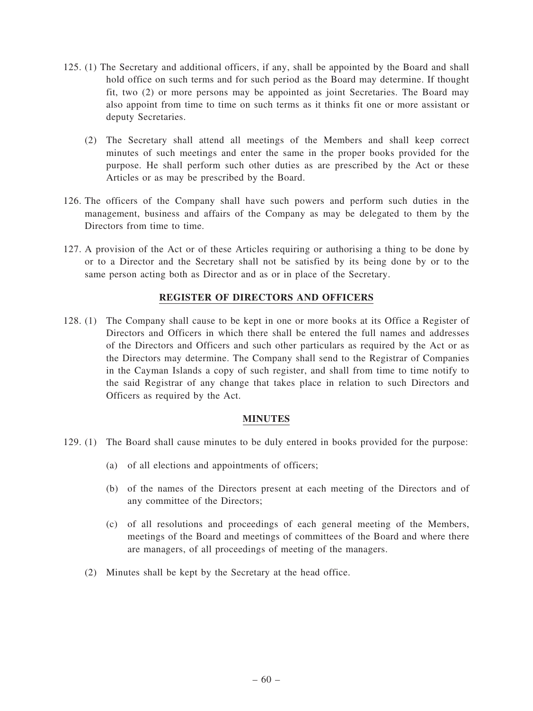- 125. (1) The Secretary and additional officers, if any, shall be appointed by the Board and shall hold office on such terms and for such period as the Board may determine. If thought fit, two (2) or more persons may be appointed as joint Secretaries. The Board may also appoint from time to time on such terms as it thinks fit one or more assistant or deputy Secretaries.
	- (2) The Secretary shall attend all meetings of the Members and shall keep correct minutes of such meetings and enter the same in the proper books provided for the purpose. He shall perform such other duties as are prescribed by the Act or these Articles or as may be prescribed by the Board.
- 126. The officers of the Company shall have such powers and perform such duties in the management, business and affairs of the Company as may be delegated to them by the Directors from time to time.
- 127. A provision of the Act or of these Articles requiring or authorising a thing to be done by or to a Director and the Secretary shall not be satisfied by its being done by or to the same person acting both as Director and as or in place of the Secretary.

## REGISTER OF DIRECTORS AND OFFICERS

128. (1) The Company shall cause to be kept in one or more books at its Office a Register of Directors and Officers in which there shall be entered the full names and addresses of the Directors and Officers and such other particulars as required by the Act or as the Directors may determine. The Company shall send to the Registrar of Companies in the Cayman Islands a copy of such register, and shall from time to time notify to the said Registrar of any change that takes place in relation to such Directors and Officers as required by the Act.

### MINUTES

- 129. (1) The Board shall cause minutes to be duly entered in books provided for the purpose:
	- (a) of all elections and appointments of officers;
	- (b) of the names of the Directors present at each meeting of the Directors and of any committee of the Directors;
	- (c) of all resolutions and proceedings of each general meeting of the Members, meetings of the Board and meetings of committees of the Board and where there are managers, of all proceedings of meeting of the managers.
	- (2) Minutes shall be kept by the Secretary at the head office.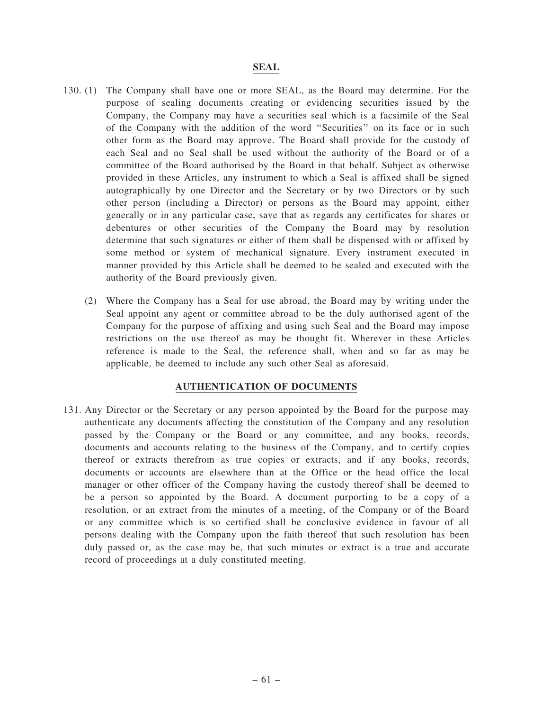## SEAL

- 130. (1) The Company shall have one or more SEAL, as the Board may determine. For the purpose of sealing documents creating or evidencing securities issued by the Company, the Company may have a securities seal which is a facsimile of the Seal of the Company with the addition of the word ''Securities'' on its face or in such other form as the Board may approve. The Board shall provide for the custody of each Seal and no Seal shall be used without the authority of the Board or of a committee of the Board authorised by the Board in that behalf. Subject as otherwise provided in these Articles, any instrument to which a Seal is affixed shall be signed autographically by one Director and the Secretary or by two Directors or by such other person (including a Director) or persons as the Board may appoint, either generally or in any particular case, save that as regards any certificates for shares or debentures or other securities of the Company the Board may by resolution determine that such signatures or either of them shall be dispensed with or affixed by some method or system of mechanical signature. Every instrument executed in manner provided by this Article shall be deemed to be sealed and executed with the authority of the Board previously given.
	- (2) Where the Company has a Seal for use abroad, the Board may by writing under the Seal appoint any agent or committee abroad to be the duly authorised agent of the Company for the purpose of affixing and using such Seal and the Board may impose restrictions on the use thereof as may be thought fit. Wherever in these Articles reference is made to the Seal, the reference shall, when and so far as may be applicable, be deemed to include any such other Seal as aforesaid.

## AUTHENTICATION OF DOCUMENTS

131. Any Director or the Secretary or any person appointed by the Board for the purpose may authenticate any documents affecting the constitution of the Company and any resolution passed by the Company or the Board or any committee, and any books, records, documents and accounts relating to the business of the Company, and to certify copies thereof or extracts therefrom as true copies or extracts, and if any books, records, documents or accounts are elsewhere than at the Office or the head office the local manager or other officer of the Company having the custody thereof shall be deemed to be a person so appointed by the Board. A document purporting to be a copy of a resolution, or an extract from the minutes of a meeting, of the Company or of the Board or any committee which is so certified shall be conclusive evidence in favour of all persons dealing with the Company upon the faith thereof that such resolution has been duly passed or, as the case may be, that such minutes or extract is a true and accurate record of proceedings at a duly constituted meeting.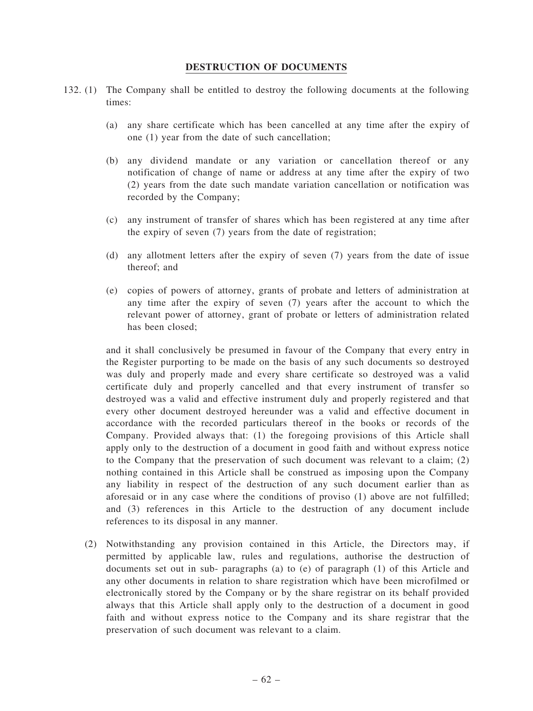### DESTRUCTION OF DOCUMENTS

- 132. (1) The Company shall be entitled to destroy the following documents at the following times:
	- (a) any share certificate which has been cancelled at any time after the expiry of one (1) year from the date of such cancellation;
	- (b) any dividend mandate or any variation or cancellation thereof or any notification of change of name or address at any time after the expiry of two (2) years from the date such mandate variation cancellation or notification was recorded by the Company;
	- (c) any instrument of transfer of shares which has been registered at any time after the expiry of seven (7) years from the date of registration;
	- (d) any allotment letters after the expiry of seven (7) years from the date of issue thereof; and
	- (e) copies of powers of attorney, grants of probate and letters of administration at any time after the expiry of seven (7) years after the account to which the relevant power of attorney, grant of probate or letters of administration related has been closed;

and it shall conclusively be presumed in favour of the Company that every entry in the Register purporting to be made on the basis of any such documents so destroyed was duly and properly made and every share certificate so destroyed was a valid certificate duly and properly cancelled and that every instrument of transfer so destroyed was a valid and effective instrument duly and properly registered and that every other document destroyed hereunder was a valid and effective document in accordance with the recorded particulars thereof in the books or records of the Company. Provided always that: (1) the foregoing provisions of this Article shall apply only to the destruction of a document in good faith and without express notice to the Company that the preservation of such document was relevant to a claim; (2) nothing contained in this Article shall be construed as imposing upon the Company any liability in respect of the destruction of any such document earlier than as aforesaid or in any case where the conditions of proviso (1) above are not fulfilled; and (3) references in this Article to the destruction of any document include references to its disposal in any manner.

(2) Notwithstanding any provision contained in this Article, the Directors may, if permitted by applicable law, rules and regulations, authorise the destruction of documents set out in sub- paragraphs (a) to (e) of paragraph (1) of this Article and any other documents in relation to share registration which have been microfilmed or electronically stored by the Company or by the share registrar on its behalf provided always that this Article shall apply only to the destruction of a document in good faith and without express notice to the Company and its share registrar that the preservation of such document was relevant to a claim.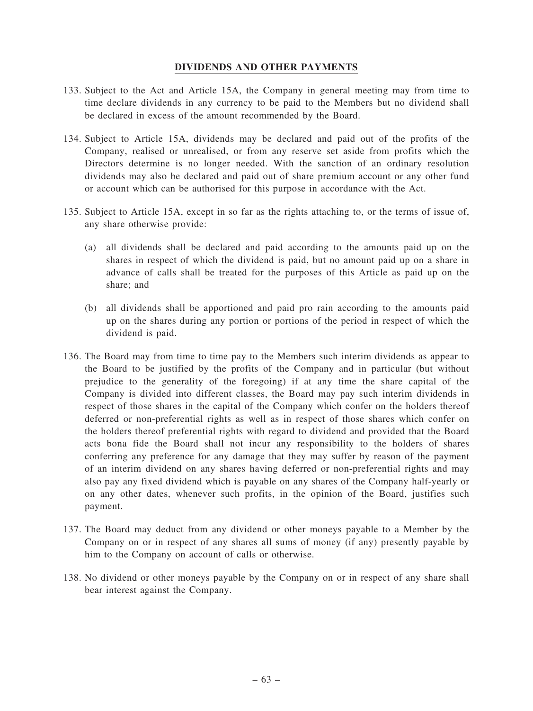# DIVIDENDS AND OTHER PAYMENTS

- 133. Subject to the Act and Article 15A, the Company in general meeting may from time to time declare dividends in any currency to be paid to the Members but no dividend shall be declared in excess of the amount recommended by the Board.
- 134. Subject to Article 15A, dividends may be declared and paid out of the profits of the Company, realised or unrealised, or from any reserve set aside from profits which the Directors determine is no longer needed. With the sanction of an ordinary resolution dividends may also be declared and paid out of share premium account or any other fund or account which can be authorised for this purpose in accordance with the Act.
- 135. Subject to Article 15A, except in so far as the rights attaching to, or the terms of issue of, any share otherwise provide:
	- (a) all dividends shall be declared and paid according to the amounts paid up on the shares in respect of which the dividend is paid, but no amount paid up on a share in advance of calls shall be treated for the purposes of this Article as paid up on the share; and
	- (b) all dividends shall be apportioned and paid pro rain according to the amounts paid up on the shares during any portion or portions of the period in respect of which the dividend is paid.
- 136. The Board may from time to time pay to the Members such interim dividends as appear to the Board to be justified by the profits of the Company and in particular (but without prejudice to the generality of the foregoing) if at any time the share capital of the Company is divided into different classes, the Board may pay such interim dividends in respect of those shares in the capital of the Company which confer on the holders thereof deferred or non-preferential rights as well as in respect of those shares which confer on the holders thereof preferential rights with regard to dividend and provided that the Board acts bona fide the Board shall not incur any responsibility to the holders of shares conferring any preference for any damage that they may suffer by reason of the payment of an interim dividend on any shares having deferred or non-preferential rights and may also pay any fixed dividend which is payable on any shares of the Company half-yearly or on any other dates, whenever such profits, in the opinion of the Board, justifies such payment.
- 137. The Board may deduct from any dividend or other moneys payable to a Member by the Company on or in respect of any shares all sums of money (if any) presently payable by him to the Company on account of calls or otherwise.
- 138. No dividend or other moneys payable by the Company on or in respect of any share shall bear interest against the Company.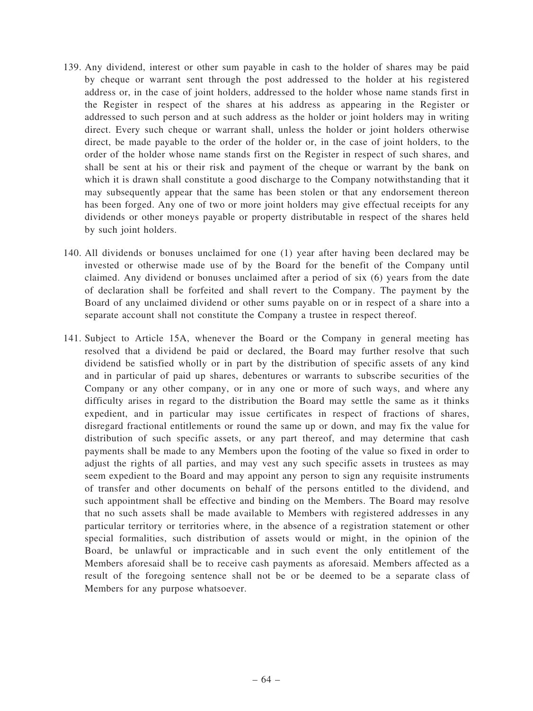- 139. Any dividend, interest or other sum payable in cash to the holder of shares may be paid by cheque or warrant sent through the post addressed to the holder at his registered address or, in the case of joint holders, addressed to the holder whose name stands first in the Register in respect of the shares at his address as appearing in the Register or addressed to such person and at such address as the holder or joint holders may in writing direct. Every such cheque or warrant shall, unless the holder or joint holders otherwise direct, be made payable to the order of the holder or, in the case of joint holders, to the order of the holder whose name stands first on the Register in respect of such shares, and shall be sent at his or their risk and payment of the cheque or warrant by the bank on which it is drawn shall constitute a good discharge to the Company notwithstanding that it may subsequently appear that the same has been stolen or that any endorsement thereon has been forged. Any one of two or more joint holders may give effectual receipts for any dividends or other moneys payable or property distributable in respect of the shares held by such joint holders.
- 140. All dividends or bonuses unclaimed for one (1) year after having been declared may be invested or otherwise made use of by the Board for the benefit of the Company until claimed. Any dividend or bonuses unclaimed after a period of six (6) years from the date of declaration shall be forfeited and shall revert to the Company. The payment by the Board of any unclaimed dividend or other sums payable on or in respect of a share into a separate account shall not constitute the Company a trustee in respect thereof.
- 141. Subject to Article 15A, whenever the Board or the Company in general meeting has resolved that a dividend be paid or declared, the Board may further resolve that such dividend be satisfied wholly or in part by the distribution of specific assets of any kind and in particular of paid up shares, debentures or warrants to subscribe securities of the Company or any other company, or in any one or more of such ways, and where any difficulty arises in regard to the distribution the Board may settle the same as it thinks expedient, and in particular may issue certificates in respect of fractions of shares, disregard fractional entitlements or round the same up or down, and may fix the value for distribution of such specific assets, or any part thereof, and may determine that cash payments shall be made to any Members upon the footing of the value so fixed in order to adjust the rights of all parties, and may vest any such specific assets in trustees as may seem expedient to the Board and may appoint any person to sign any requisite instruments of transfer and other documents on behalf of the persons entitled to the dividend, and such appointment shall be effective and binding on the Members. The Board may resolve that no such assets shall be made available to Members with registered addresses in any particular territory or territories where, in the absence of a registration statement or other special formalities, such distribution of assets would or might, in the opinion of the Board, be unlawful or impracticable and in such event the only entitlement of the Members aforesaid shall be to receive cash payments as aforesaid. Members affected as a result of the foregoing sentence shall not be or be deemed to be a separate class of Members for any purpose whatsoever.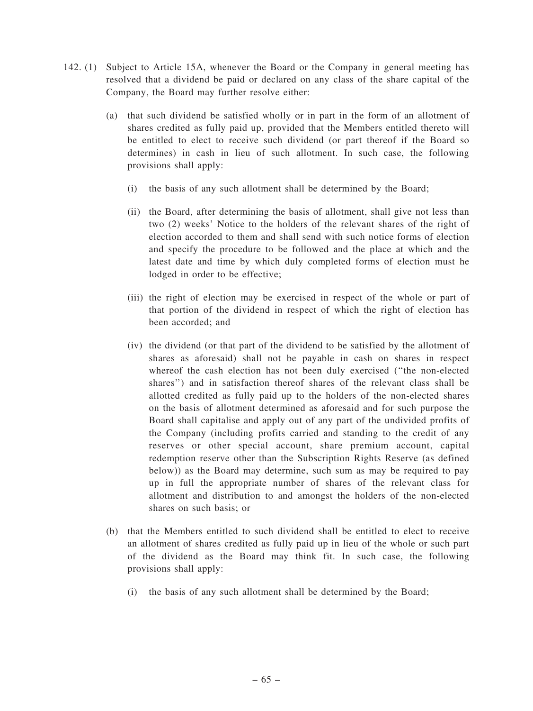- 142. (1) Subject to Article 15A, whenever the Board or the Company in general meeting has resolved that a dividend be paid or declared on any class of the share capital of the Company, the Board may further resolve either:
	- (a) that such dividend be satisfied wholly or in part in the form of an allotment of shares credited as fully paid up, provided that the Members entitled thereto will be entitled to elect to receive such dividend (or part thereof if the Board so determines) in cash in lieu of such allotment. In such case, the following provisions shall apply:
		- (i) the basis of any such allotment shall be determined by the Board;
		- (ii) the Board, after determining the basis of allotment, shall give not less than two (2) weeks' Notice to the holders of the relevant shares of the right of election accorded to them and shall send with such notice forms of election and specify the procedure to be followed and the place at which and the latest date and time by which duly completed forms of election must he lodged in order to be effective;
		- (iii) the right of election may be exercised in respect of the whole or part of that portion of the dividend in respect of which the right of election has been accorded; and
		- (iv) the dividend (or that part of the dividend to be satisfied by the allotment of shares as aforesaid) shall not be payable in cash on shares in respect whereof the cash election has not been duly exercised (''the non-elected shares'') and in satisfaction thereof shares of the relevant class shall be allotted credited as fully paid up to the holders of the non-elected shares on the basis of allotment determined as aforesaid and for such purpose the Board shall capitalise and apply out of any part of the undivided profits of the Company (including profits carried and standing to the credit of any reserves or other special account, share premium account, capital redemption reserve other than the Subscription Rights Reserve (as defined below)) as the Board may determine, such sum as may be required to pay up in full the appropriate number of shares of the relevant class for allotment and distribution to and amongst the holders of the non-elected shares on such basis; or
	- (b) that the Members entitled to such dividend shall be entitled to elect to receive an allotment of shares credited as fully paid up in lieu of the whole or such part of the dividend as the Board may think fit. In such case, the following provisions shall apply:
		- (i) the basis of any such allotment shall be determined by the Board;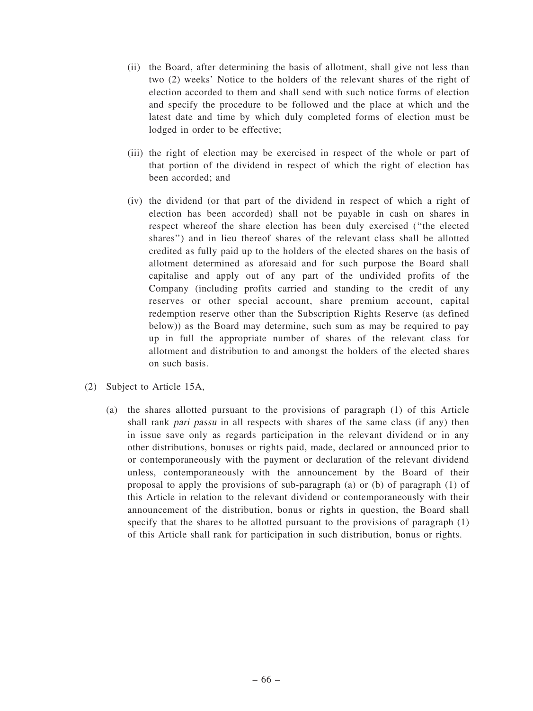- (ii) the Board, after determining the basis of allotment, shall give not less than two (2) weeks' Notice to the holders of the relevant shares of the right of election accorded to them and shall send with such notice forms of election and specify the procedure to be followed and the place at which and the latest date and time by which duly completed forms of election must be lodged in order to be effective;
- (iii) the right of election may be exercised in respect of the whole or part of that portion of the dividend in respect of which the right of election has been accorded; and
- (iv) the dividend (or that part of the dividend in respect of which a right of election has been accorded) shall not be payable in cash on shares in respect whereof the share election has been duly exercised (''the elected shares'') and in lieu thereof shares of the relevant class shall be allotted credited as fully paid up to the holders of the elected shares on the basis of allotment determined as aforesaid and for such purpose the Board shall capitalise and apply out of any part of the undivided profits of the Company (including profits carried and standing to the credit of any reserves or other special account, share premium account, capital redemption reserve other than the Subscription Rights Reserve (as defined below)) as the Board may determine, such sum as may be required to pay up in full the appropriate number of shares of the relevant class for allotment and distribution to and amongst the holders of the elected shares on such basis.
- (2) Subject to Article 15A,
	- (a) the shares allotted pursuant to the provisions of paragraph (1) of this Article shall rank pari passu in all respects with shares of the same class (if any) then in issue save only as regards participation in the relevant dividend or in any other distributions, bonuses or rights paid, made, declared or announced prior to or contemporaneously with the payment or declaration of the relevant dividend unless, contemporaneously with the announcement by the Board of their proposal to apply the provisions of sub-paragraph (a) or (b) of paragraph (1) of this Article in relation to the relevant dividend or contemporaneously with their announcement of the distribution, bonus or rights in question, the Board shall specify that the shares to be allotted pursuant to the provisions of paragraph (1) of this Article shall rank for participation in such distribution, bonus or rights.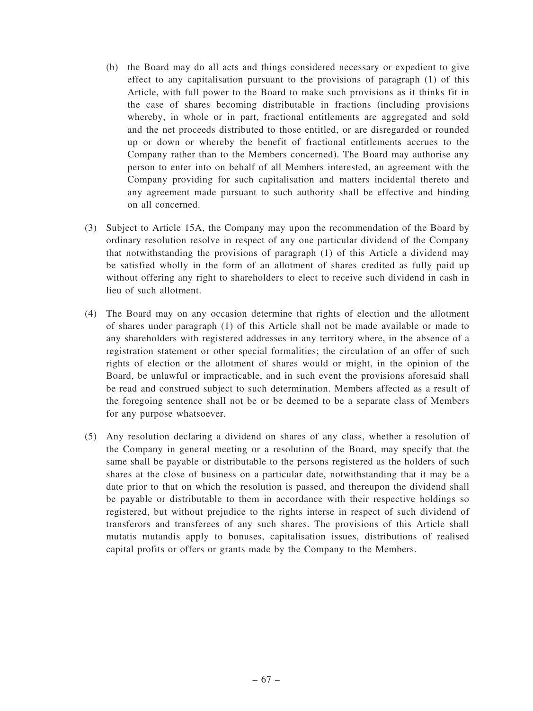- (b) the Board may do all acts and things considered necessary or expedient to give effect to any capitalisation pursuant to the provisions of paragraph (1) of this Article, with full power to the Board to make such provisions as it thinks fit in the case of shares becoming distributable in fractions (including provisions whereby, in whole or in part, fractional entitlements are aggregated and sold and the net proceeds distributed to those entitled, or are disregarded or rounded up or down or whereby the benefit of fractional entitlements accrues to the Company rather than to the Members concerned). The Board may authorise any person to enter into on behalf of all Members interested, an agreement with the Company providing for such capitalisation and matters incidental thereto and any agreement made pursuant to such authority shall be effective and binding on all concerned.
- (3) Subject to Article 15A, the Company may upon the recommendation of the Board by ordinary resolution resolve in respect of any one particular dividend of the Company that notwithstanding the provisions of paragraph (1) of this Article a dividend may be satisfied wholly in the form of an allotment of shares credited as fully paid up without offering any right to shareholders to elect to receive such dividend in cash in lieu of such allotment.
- (4) The Board may on any occasion determine that rights of election and the allotment of shares under paragraph (1) of this Article shall not be made available or made to any shareholders with registered addresses in any territory where, in the absence of a registration statement or other special formalities; the circulation of an offer of such rights of election or the allotment of shares would or might, in the opinion of the Board, be unlawful or impracticable, and in such event the provisions aforesaid shall be read and construed subject to such determination. Members affected as a result of the foregoing sentence shall not be or be deemed to be a separate class of Members for any purpose whatsoever.
- (5) Any resolution declaring a dividend on shares of any class, whether a resolution of the Company in general meeting or a resolution of the Board, may specify that the same shall be payable or distributable to the persons registered as the holders of such shares at the close of business on a particular date, notwithstanding that it may be a date prior to that on which the resolution is passed, and thereupon the dividend shall be payable or distributable to them in accordance with their respective holdings so registered, but without prejudice to the rights interse in respect of such dividend of transferors and transferees of any such shares. The provisions of this Article shall mutatis mutandis apply to bonuses, capitalisation issues, distributions of realised capital profits or offers or grants made by the Company to the Members.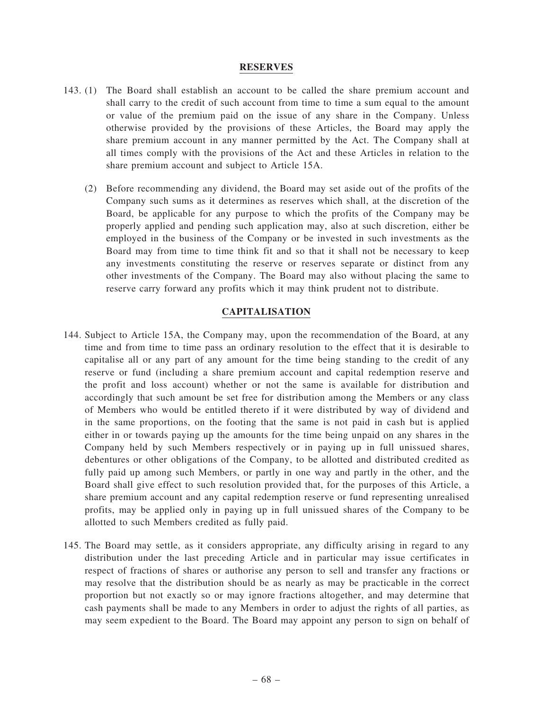#### RESERVES

- 143. (1) The Board shall establish an account to be called the share premium account and shall carry to the credit of such account from time to time a sum equal to the amount or value of the premium paid on the issue of any share in the Company. Unless otherwise provided by the provisions of these Articles, the Board may apply the share premium account in any manner permitted by the Act. The Company shall at all times comply with the provisions of the Act and these Articles in relation to the share premium account and subject to Article 15A.
	- (2) Before recommending any dividend, the Board may set aside out of the profits of the Company such sums as it determines as reserves which shall, at the discretion of the Board, be applicable for any purpose to which the profits of the Company may be properly applied and pending such application may, also at such discretion, either be employed in the business of the Company or be invested in such investments as the Board may from time to time think fit and so that it shall not be necessary to keep any investments constituting the reserve or reserves separate or distinct from any other investments of the Company. The Board may also without placing the same to reserve carry forward any profits which it may think prudent not to distribute.

## CAPITALISATION

- 144. Subject to Article 15A, the Company may, upon the recommendation of the Board, at any time and from time to time pass an ordinary resolution to the effect that it is desirable to capitalise all or any part of any amount for the time being standing to the credit of any reserve or fund (including a share premium account and capital redemption reserve and the profit and loss account) whether or not the same is available for distribution and accordingly that such amount be set free for distribution among the Members or any class of Members who would be entitled thereto if it were distributed by way of dividend and in the same proportions, on the footing that the same is not paid in cash but is applied either in or towards paying up the amounts for the time being unpaid on any shares in the Company held by such Members respectively or in paying up in full unissued shares, debentures or other obligations of the Company, to be allotted and distributed credited as fully paid up among such Members, or partly in one way and partly in the other, and the Board shall give effect to such resolution provided that, for the purposes of this Article, a share premium account and any capital redemption reserve or fund representing unrealised profits, may be applied only in paying up in full unissued shares of the Company to be allotted to such Members credited as fully paid.
- 145. The Board may settle, as it considers appropriate, any difficulty arising in regard to any distribution under the last preceding Article and in particular may issue certificates in respect of fractions of shares or authorise any person to sell and transfer any fractions or may resolve that the distribution should be as nearly as may be practicable in the correct proportion but not exactly so or may ignore fractions altogether, and may determine that cash payments shall be made to any Members in order to adjust the rights of all parties, as may seem expedient to the Board. The Board may appoint any person to sign on behalf of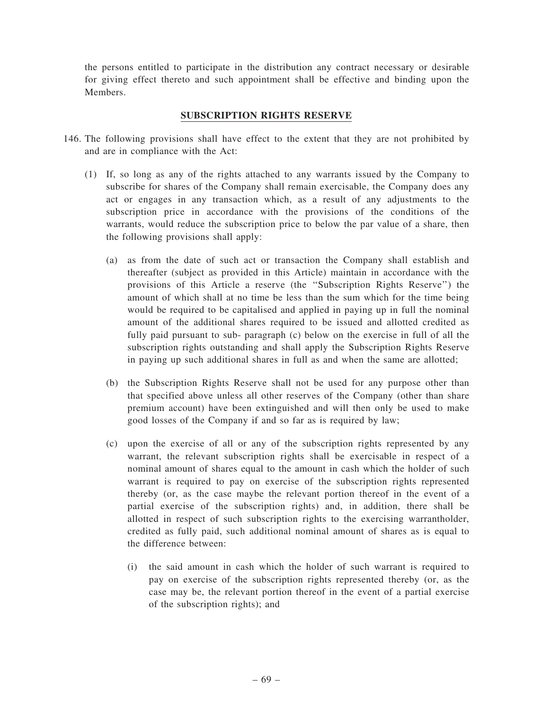the persons entitled to participate in the distribution any contract necessary or desirable for giving effect thereto and such appointment shall be effective and binding upon the Members.

# SUBSCRIPTION RIGHTS RESERVE

- 146. The following provisions shall have effect to the extent that they are not prohibited by and are in compliance with the Act:
	- (1) If, so long as any of the rights attached to any warrants issued by the Company to subscribe for shares of the Company shall remain exercisable, the Company does any act or engages in any transaction which, as a result of any adjustments to the subscription price in accordance with the provisions of the conditions of the warrants, would reduce the subscription price to below the par value of a share, then the following provisions shall apply:
		- (a) as from the date of such act or transaction the Company shall establish and thereafter (subject as provided in this Article) maintain in accordance with the provisions of this Article a reserve (the ''Subscription Rights Reserve'') the amount of which shall at no time be less than the sum which for the time being would be required to be capitalised and applied in paying up in full the nominal amount of the additional shares required to be issued and allotted credited as fully paid pursuant to sub- paragraph (c) below on the exercise in full of all the subscription rights outstanding and shall apply the Subscription Rights Reserve in paying up such additional shares in full as and when the same are allotted;
		- (b) the Subscription Rights Reserve shall not be used for any purpose other than that specified above unless all other reserves of the Company (other than share premium account) have been extinguished and will then only be used to make good losses of the Company if and so far as is required by law;
		- (c) upon the exercise of all or any of the subscription rights represented by any warrant, the relevant subscription rights shall be exercisable in respect of a nominal amount of shares equal to the amount in cash which the holder of such warrant is required to pay on exercise of the subscription rights represented thereby (or, as the case maybe the relevant portion thereof in the event of a partial exercise of the subscription rights) and, in addition, there shall be allotted in respect of such subscription rights to the exercising warrantholder, credited as fully paid, such additional nominal amount of shares as is equal to the difference between:
			- (i) the said amount in cash which the holder of such warrant is required to pay on exercise of the subscription rights represented thereby (or, as the case may be, the relevant portion thereof in the event of a partial exercise of the subscription rights); and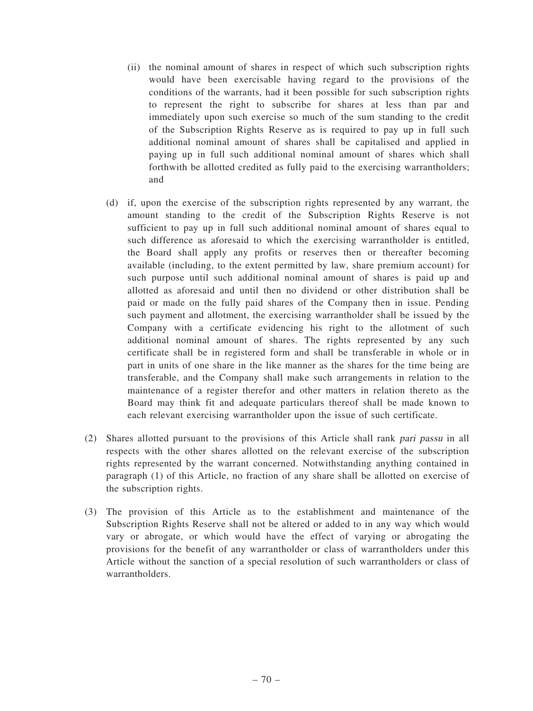- (ii) the nominal amount of shares in respect of which such subscription rights would have been exercisable having regard to the provisions of the conditions of the warrants, had it been possible for such subscription rights to represent the right to subscribe for shares at less than par and immediately upon such exercise so much of the sum standing to the credit of the Subscription Rights Reserve as is required to pay up in full such additional nominal amount of shares shall be capitalised and applied in paying up in full such additional nominal amount of shares which shall forthwith be allotted credited as fully paid to the exercising warrantholders; and
- (d) if, upon the exercise of the subscription rights represented by any warrant, the amount standing to the credit of the Subscription Rights Reserve is not sufficient to pay up in full such additional nominal amount of shares equal to such difference as aforesaid to which the exercising warrantholder is entitled, the Board shall apply any profits or reserves then or thereafter becoming available (including, to the extent permitted by law, share premium account) for such purpose until such additional nominal amount of shares is paid up and allotted as aforesaid and until then no dividend or other distribution shall be paid or made on the fully paid shares of the Company then in issue. Pending such payment and allotment, the exercising warrantholder shall be issued by the Company with a certificate evidencing his right to the allotment of such additional nominal amount of shares. The rights represented by any such certificate shall be in registered form and shall be transferable in whole or in part in units of one share in the like manner as the shares for the time being are transferable, and the Company shall make such arrangements in relation to the maintenance of a register therefor and other matters in relation thereto as the Board may think fit and adequate particulars thereof shall be made known to each relevant exercising warrantholder upon the issue of such certificate.
- (2) Shares allotted pursuant to the provisions of this Article shall rank pari passu in all respects with the other shares allotted on the relevant exercise of the subscription rights represented by the warrant concerned. Notwithstanding anything contained in paragraph (1) of this Article, no fraction of any share shall be allotted on exercise of the subscription rights.
- (3) The provision of this Article as to the establishment and maintenance of the Subscription Rights Reserve shall not be altered or added to in any way which would vary or abrogate, or which would have the effect of varying or abrogating the provisions for the benefit of any warrantholder or class of warrantholders under this Article without the sanction of a special resolution of such warrantholders or class of warrantholders.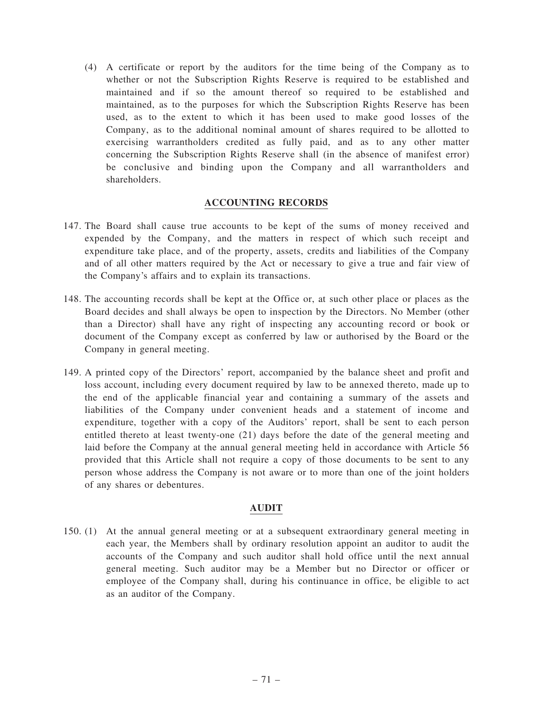(4) A certificate or report by the auditors for the time being of the Company as to whether or not the Subscription Rights Reserve is required to be established and maintained and if so the amount thereof so required to be established and maintained, as to the purposes for which the Subscription Rights Reserve has been used, as to the extent to which it has been used to make good losses of the Company, as to the additional nominal amount of shares required to be allotted to exercising warrantholders credited as fully paid, and as to any other matter concerning the Subscription Rights Reserve shall (in the absence of manifest error) be conclusive and binding upon the Company and all warrantholders and shareholders.

# ACCOUNTING RECORDS

- 147. The Board shall cause true accounts to be kept of the sums of money received and expended by the Company, and the matters in respect of which such receipt and expenditure take place, and of the property, assets, credits and liabilities of the Company and of all other matters required by the Act or necessary to give a true and fair view of the Company's affairs and to explain its transactions.
- 148. The accounting records shall be kept at the Office or, at such other place or places as the Board decides and shall always be open to inspection by the Directors. No Member (other than a Director) shall have any right of inspecting any accounting record or book or document of the Company except as conferred by law or authorised by the Board or the Company in general meeting.
- 149. A printed copy of the Directors' report, accompanied by the balance sheet and profit and loss account, including every document required by law to be annexed thereto, made up to the end of the applicable financial year and containing a summary of the assets and liabilities of the Company under convenient heads and a statement of income and expenditure, together with a copy of the Auditors' report, shall be sent to each person entitled thereto at least twenty-one (21) days before the date of the general meeting and laid before the Company at the annual general meeting held in accordance with Article 56 provided that this Article shall not require a copy of those documents to be sent to any person whose address the Company is not aware or to more than one of the joint holders of any shares or debentures.

## AUDIT

150. (1) At the annual general meeting or at a subsequent extraordinary general meeting in each year, the Members shall by ordinary resolution appoint an auditor to audit the accounts of the Company and such auditor shall hold office until the next annual general meeting. Such auditor may be a Member but no Director or officer or employee of the Company shall, during his continuance in office, be eligible to act as an auditor of the Company.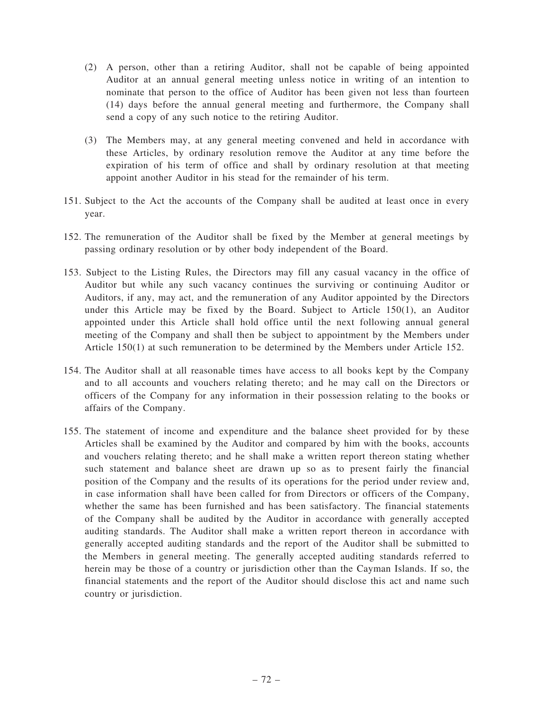- (2) A person, other than a retiring Auditor, shall not be capable of being appointed Auditor at an annual general meeting unless notice in writing of an intention to nominate that person to the office of Auditor has been given not less than fourteen (14) days before the annual general meeting and furthermore, the Company shall send a copy of any such notice to the retiring Auditor.
- (3) The Members may, at any general meeting convened and held in accordance with these Articles, by ordinary resolution remove the Auditor at any time before the expiration of his term of office and shall by ordinary resolution at that meeting appoint another Auditor in his stead for the remainder of his term.
- 151. Subject to the Act the accounts of the Company shall be audited at least once in every year.
- 152. The remuneration of the Auditor shall be fixed by the Member at general meetings by passing ordinary resolution or by other body independent of the Board.
- 153. Subject to the Listing Rules, the Directors may fill any casual vacancy in the office of Auditor but while any such vacancy continues the surviving or continuing Auditor or Auditors, if any, may act, and the remuneration of any Auditor appointed by the Directors under this Article may be fixed by the Board. Subject to Article 150(1), an Auditor appointed under this Article shall hold office until the next following annual general meeting of the Company and shall then be subject to appointment by the Members under Article 150(1) at such remuneration to be determined by the Members under Article 152.
- 154. The Auditor shall at all reasonable times have access to all books kept by the Company and to all accounts and vouchers relating thereto; and he may call on the Directors or officers of the Company for any information in their possession relating to the books or affairs of the Company.
- 155. The statement of income and expenditure and the balance sheet provided for by these Articles shall be examined by the Auditor and compared by him with the books, accounts and vouchers relating thereto; and he shall make a written report thereon stating whether such statement and balance sheet are drawn up so as to present fairly the financial position of the Company and the results of its operations for the period under review and, in case information shall have been called for from Directors or officers of the Company, whether the same has been furnished and has been satisfactory. The financial statements of the Company shall be audited by the Auditor in accordance with generally accepted auditing standards. The Auditor shall make a written report thereon in accordance with generally accepted auditing standards and the report of the Auditor shall be submitted to the Members in general meeting. The generally accepted auditing standards referred to herein may be those of a country or jurisdiction other than the Cayman Islands. If so, the financial statements and the report of the Auditor should disclose this act and name such country or jurisdiction.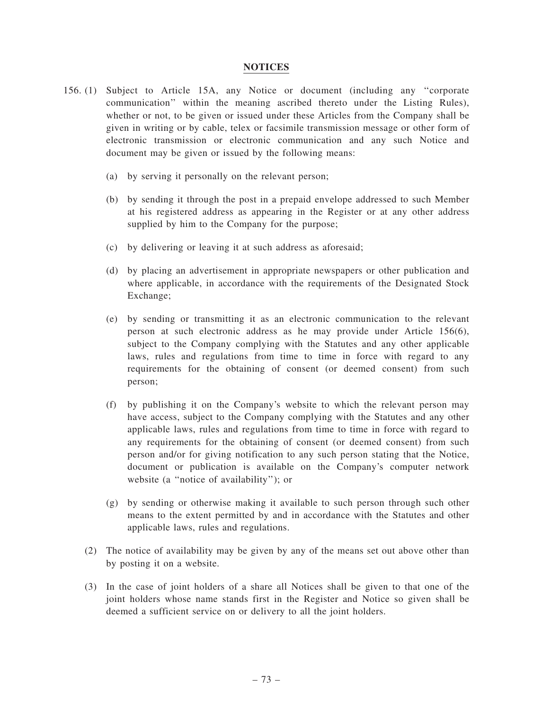### **NOTICES**

- 156. (1) Subject to Article 15A, any Notice or document (including any ''corporate communication'' within the meaning ascribed thereto under the Listing Rules), whether or not, to be given or issued under these Articles from the Company shall be given in writing or by cable, telex or facsimile transmission message or other form of electronic transmission or electronic communication and any such Notice and document may be given or issued by the following means:
	- (a) by serving it personally on the relevant person;
	- (b) by sending it through the post in a prepaid envelope addressed to such Member at his registered address as appearing in the Register or at any other address supplied by him to the Company for the purpose;
	- (c) by delivering or leaving it at such address as aforesaid;
	- (d) by placing an advertisement in appropriate newspapers or other publication and where applicable, in accordance with the requirements of the Designated Stock Exchange;
	- (e) by sending or transmitting it as an electronic communication to the relevant person at such electronic address as he may provide under Article 156(6), subject to the Company complying with the Statutes and any other applicable laws, rules and regulations from time to time in force with regard to any requirements for the obtaining of consent (or deemed consent) from such person;
	- (f) by publishing it on the Company's website to which the relevant person may have access, subject to the Company complying with the Statutes and any other applicable laws, rules and regulations from time to time in force with regard to any requirements for the obtaining of consent (or deemed consent) from such person and/or for giving notification to any such person stating that the Notice, document or publication is available on the Company's computer network website (a ''notice of availability''); or
	- (g) by sending or otherwise making it available to such person through such other means to the extent permitted by and in accordance with the Statutes and other applicable laws, rules and regulations.
	- (2) The notice of availability may be given by any of the means set out above other than by posting it on a website.
	- (3) In the case of joint holders of a share all Notices shall be given to that one of the joint holders whose name stands first in the Register and Notice so given shall be deemed a sufficient service on or delivery to all the joint holders.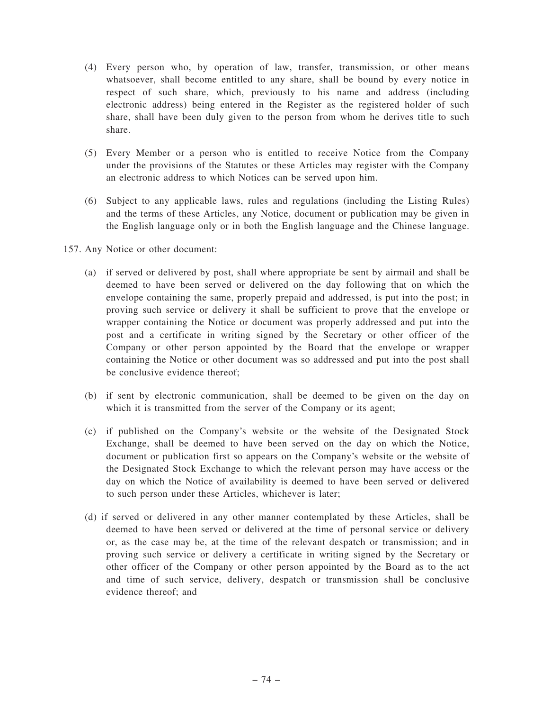- (4) Every person who, by operation of law, transfer, transmission, or other means whatsoever, shall become entitled to any share, shall be bound by every notice in respect of such share, which, previously to his name and address (including electronic address) being entered in the Register as the registered holder of such share, shall have been duly given to the person from whom he derives title to such share.
- (5) Every Member or a person who is entitled to receive Notice from the Company under the provisions of the Statutes or these Articles may register with the Company an electronic address to which Notices can be served upon him.
- (6) Subject to any applicable laws, rules and regulations (including the Listing Rules) and the terms of these Articles, any Notice, document or publication may be given in the English language only or in both the English language and the Chinese language.
- 157. Any Notice or other document:
	- (a) if served or delivered by post, shall where appropriate be sent by airmail and shall be deemed to have been served or delivered on the day following that on which the envelope containing the same, properly prepaid and addressed, is put into the post; in proving such service or delivery it shall be sufficient to prove that the envelope or wrapper containing the Notice or document was properly addressed and put into the post and a certificate in writing signed by the Secretary or other officer of the Company or other person appointed by the Board that the envelope or wrapper containing the Notice or other document was so addressed and put into the post shall be conclusive evidence thereof;
	- (b) if sent by electronic communication, shall be deemed to be given on the day on which it is transmitted from the server of the Company or its agent;
	- (c) if published on the Company's website or the website of the Designated Stock Exchange, shall be deemed to have been served on the day on which the Notice, document or publication first so appears on the Company's website or the website of the Designated Stock Exchange to which the relevant person may have access or the day on which the Notice of availability is deemed to have been served or delivered to such person under these Articles, whichever is later;
	- (d) if served or delivered in any other manner contemplated by these Articles, shall be deemed to have been served or delivered at the time of personal service or delivery or, as the case may be, at the time of the relevant despatch or transmission; and in proving such service or delivery a certificate in writing signed by the Secretary or other officer of the Company or other person appointed by the Board as to the act and time of such service, delivery, despatch or transmission shall be conclusive evidence thereof; and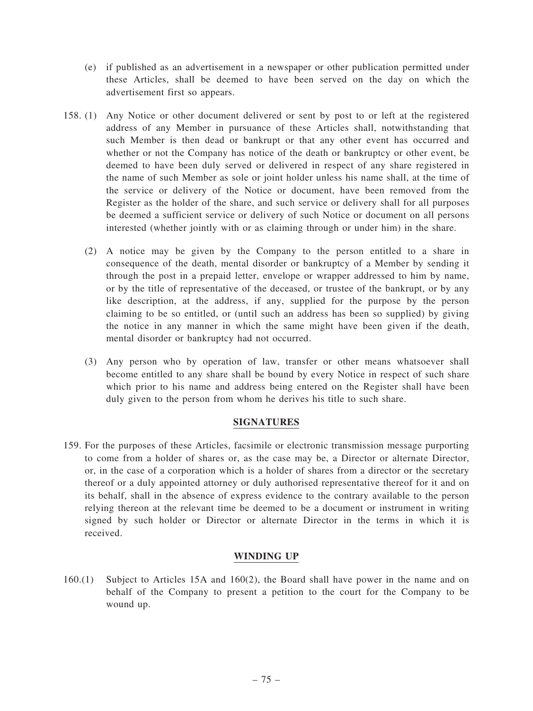- (e) if published as an advertisement in a newspaper or other publication permitted under these Articles, shall be deemed to have been served on the day on which the advertisement first so appears.
- 158. (1) Any Notice or other document delivered or sent by post to or left at the registered address of any Member in pursuance of these Articles shall, notwithstanding that such Member is then dead or bankrupt or that any other event has occurred and whether or not the Company has notice of the death or bankruptcy or other event, be deemed to have been duly served or delivered in respect of any share registered in the name of such Member as sole or joint holder unless his name shall, at the time of the service or delivery of the Notice or document, have been removed from the Register as the holder of the share, and such service or delivery shall for all purposes be deemed a sufficient service or delivery of such Notice or document on all persons interested (whether jointly with or as claiming through or under him) in the share.
	- (2) A notice may be given by the Company to the person entitled to a share in consequence of the death, mental disorder or bankruptcy of a Member by sending it through the post in a prepaid letter, envelope or wrapper addressed to him by name, or by the title of representative of the deceased, or trustee of the bankrupt, or by any like description, at the address, if any, supplied for the purpose by the person claiming to be so entitled, or (until such an address has been so supplied) by giving the notice in any manner in which the same might have been given if the death, mental disorder or bankruptcy had not occurred.
	- (3) Any person who by operation of law, transfer or other means whatsoever shall become entitled to any share shall be bound by every Notice in respect of such share which prior to his name and address being entered on the Register shall have been duly given to the person from whom he derives his title to such share.

# SIGNATURES

159. For the purposes of these Articles, facsimile or electronic transmission message purporting to come from a holder of shares or, as the case may be, a Director or alternate Director, or, in the case of a corporation which is a holder of shares from a director or the secretary thereof or a duly appointed attorney or duly authorised representative thereof for it and on its behalf, shall in the absence of express evidence to the contrary available to the person relying thereon at the relevant time be deemed to be a document or instrument in writing signed by such holder or Director or alternate Director in the terms in which it is received.

# WINDING UP

160.(1) Subject to Articles 15A and 160(2), the Board shall have power in the name and on behalf of the Company to present a petition to the court for the Company to be wound up.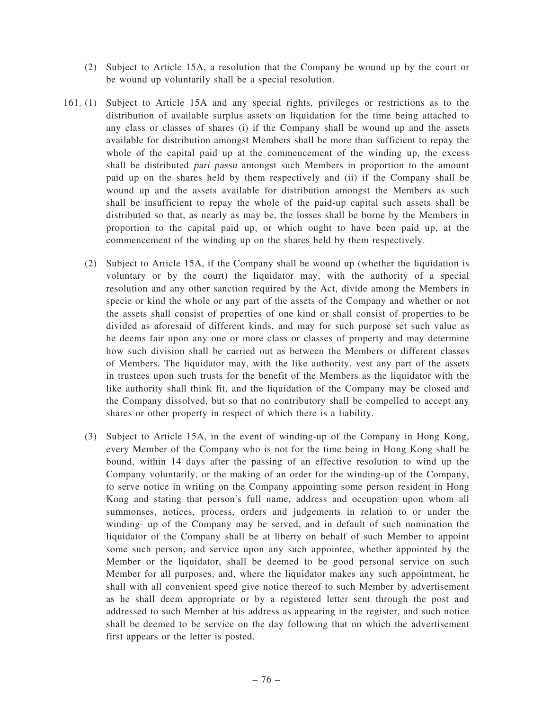- (2) Subject to Article 15A, a resolution that the Company be wound up by the court or be wound up voluntarily shall be a special resolution.
- 161. (1) Subject to Article 15A and any special rights, privileges or restrictions as to the distribution of available surplus assets on liquidation for the time being attached to any class or classes of shares (i) if the Company shall be wound up and the assets available for distribution amongst Members shall be more than sufficient to repay the whole of the capital paid up at the commencement of the winding up, the excess shall be distributed *pari passu* amongst such Members in proportion to the amount paid up on the shares held by them respectively and (ii) if the Company shall be wound up and the assets available for distribution amongst the Members as such shall be insufficient to repay the whole of the paid-up capital such assets shall be distributed so that, as nearly as may be, the losses shall be borne by the Members in proportion to the capital paid up, or which ought to have been paid up, at the commencement of the winding up on the shares held by them respectively.
	- (2) Subject to Article 15A, if the Company shall be wound up (whether the liquidation is voluntary or by the court) the liquidator may, with the authority of a special resolution and any other sanction required by the Act, divide among the Members in specie or kind the whole or any part of the assets of the Company and whether or not the assets shall consist of properties of one kind or shall consist of properties to be divided as aforesaid of different kinds, and may for such purpose set such value as he deems fair upon any one or more class or classes of property and may determine how such division shall be carried out as between the Members or different classes of Members. The liquidator may, with the like authority, vest any part of the assets in trustees upon such trusts for the benefit of the Members as the liquidator with the like authority shall think fit, and the liquidation of the Company may be closed and the Company dissolved, but so that no contributory shall be compelled to accept any shares or other property in respect of which there is a liability.
	- (3) Subject to Article 15A, in the event of winding-up of the Company in Hong Kong, every Member of the Company who is not for the time being in Hong Kong shall be bound, within 14 days after the passing of an effective resolution to wind up the Company voluntarily, or the making of an order for the winding-up of the Company, to serve notice in writing on the Company appointing some person resident in Hong Kong and stating that person's full name, address and occupation upon whom all summonses, notices, process, orders and judgements in relation to or under the winding- up of the Company may be served, and in default of such nomination the liquidator of the Company shall be at liberty on behalf of such Member to appoint some such person, and service upon any such appointee, whether appointed by the Member or the liquidator, shall be deemed to be good personal service on such Member for all purposes, and, where the liquidator makes any such appointment, he shall with all convenient speed give notice thereof to such Member by advertisement as he shall deem appropriate or by a registered letter sent through the post and addressed to such Member at his address as appearing in the register, and such notice shall be deemed to be service on the day following that on which the advertisement first appears or the letter is posted.